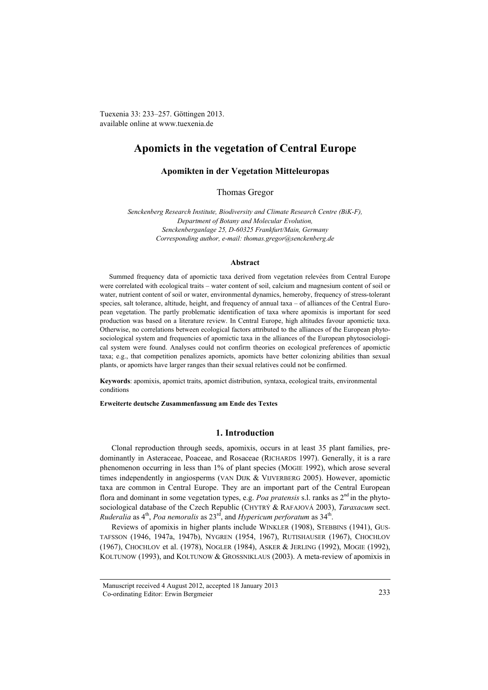Tuexenia 33: 233–257. Göttingen 2013. available online at www.tuexenia.de

# **Apomicts in the vegetation of Central Europe**

**Apomikten in der Vegetation Mitteleuropas**

Thomas Gregor

*Senckenberg Research Institute, Biodiversity and Climate Research Centre (BiK-F), Department of Botany and Molecular Evolution, Senckenberganlage 25, D-60325 Frankfurt/Main, Germany Corresponding author, e-mail[: thomas.gregor@senckenberg.de](mailto:thomas.gregor@senckenberg.de)*

## **Abstract**

Summed frequency data of apomictic taxa derived from vegetation relevées from Central Europe were correlated with ecological traits – water content of soil, calcium and magnesium content of soil or water, nutrient content of soil or water, environmental dynamics, hemeroby, frequency of stress-tolerant species, salt tolerance, altitude, height, and frequency of annual taxa – of alliances of the Central European vegetation. The partly problematic identification of taxa where apomixis is important for seed production was based on a literature review. In Central Europe, high altitudes favour apomictic taxa. Otherwise, no correlations between ecological factors attributed to the alliances of the European phytosociological system and frequencies of apomictic taxa in the alliances of the European phytosociological system were found. Analyses could not confirm theories on ecological preferences of apomictic taxa; e.g., that competition penalizes apomicts, apomicts have better colonizing abilities than sexual plants, or apomicts have larger ranges than their sexual relatives could not be confirmed.

**Keywords**: apomixis, apomict traits, apomict distribution, syntaxa, ecological traits, environmental conditions

**Erweiterte deutsche Zusammenfassung am Ende des Textes**

## **1. Introduction**

Clonal reproduction through seeds, apomixis, occurs in at least 35 plant families, predominantly in Asteraceae, Poaceae, and Rosaceae (RICHARDS 1997). Generally, it is a rare phenomenon occurring in less than 1% of plant species (MOGIE 1992), which arose several times independently in angiosperms (VAN DIJK & VIJVERBERG 2005). However, apomictic taxa are common in Central Europe. They are an important part of the Central European flora and dominant in some vegetation types, e.g. *Poa pratensis* s.l. ranks as  $2<sup>nd</sup>$  in the phytosociological database of the Czech Republic (CHYTRÝ & RAFAJOVÁ 2003), *Taraxacum* sect. *Ruderalia* as  $4<sup>th</sup>$ , *Poa nemoralis* as  $23<sup>rd</sup>$ , and *Hypericum perforatum* as  $34<sup>th</sup>$ .

Reviews of apomixis in higher plants include WINKLER (1908), STEBBINS (1941), GUS-TAFSSON (1946, 1947a, 1947b), NYGREN (1954, 1967), RUTISHAUSER (1967), CHOCHLOV (1967), CHOCHLOV et al. (1978), NOGLER (1984), ASKER & JERLING (1992), MOGIE (1992), KOLTUNOW (1993), and KOLTUNOW & GROSSNIKLAUS (2003). A meta-review of apomixis in

Manuscript received 4 August 2012, accepted 18 January 2013 Co-ordinating Editor: Erwin Bergmeier 233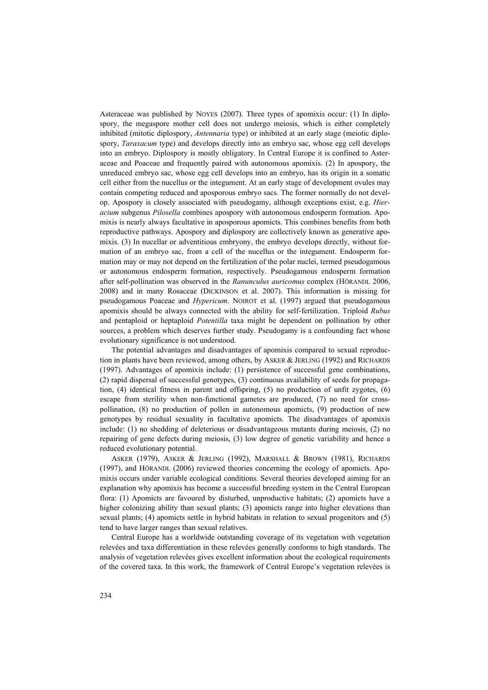Asteraceae was published by NOYES (2007). Three types of apomixis occur: (1) In diplospory, the megaspore mother cell does not undergo meiosis, which is either completely inhibited (mitotic diplospory, *Antennaria* type) or inhibited at an early stage (meiotic diplospory, *Taraxacum* type) and develops directly into an embryo sac, whose egg cell develops into an embryo. Diplospory is mostly obligatory. In Central Europe it is confined to Asteraceae and Poaceae and frequently paired with autonomous apomixis. (2) In apospory, the unreduced embryo sac, whose egg cell develops into an embryo, has its origin in a somatic cell either from the nucellus or the integument. At an early stage of development ovules may contain competing reduced and aposporous embryo sacs. The former normally do not develop. Apospory is closely associated with pseudogamy, although exceptions exist, e.g. *Hieracium* subgenus *Pilosella* combines apospory with autonomous endosperm formation. Apomixis is nearly always facultative in aposporous apomicts. This combines benefits from both reproductive pathways. Apospory and diplospory are collectively known as generative apomixis. (3) In nucellar or adventitious embryony, the embryo develops directly, without formation of an embryo sac, from a cell of the nucellus or the integument. Endosperm formation may or may not depend on the fertilization of the polar nuclei, termed pseudogamous or autonomous endosperm formation, respectively. Pseudogamous endosperm formation after self-pollination was observed in the *Ranunculus auricomus* complex (HÖRANDL 2006, 2008) and in many Rosaceae (DICKINSON et al. 2007). This information is missing for pseudogamous Poaceae and *Hypericum*. NOIROT et al. (1997) argued that pseudogamous apomixis should be always connected with the ability for self-fertilization. Triploid *Rubus* and pentaploid or heptaploid *Potentilla* taxa might be dependent on pollination by other sources, a problem which deserves further study. Pseudogamy is a confounding fact whose evolutionary significance is not understood.

The potential advantages and disadvantages of apomixis compared to sexual reproduction in plants have been reviewed, among others, by ASKER & JERLING (1992) and RICHARDS (1997). Advantages of apomixis include: (1) persistence of successful gene combinations, (2) rapid dispersal of successful genotypes, (3) continuous availability of seeds for propagation, (4) identical fitness in parent and offspring, (5) no production of unfit zygotes, (6) escape from sterility when non-functional gametes are produced, (7) no need for crosspollination, (8) no production of pollen in autonomous apomicts, (9) production of new genotypes by residual sexuality in facultative apomicts. The disadvantages of apomixis include: (1) no shedding of deleterious or disadvantageous mutants during meiosis, (2) no repairing of gene defects during meiosis, (3) low degree of genetic variability and hence a reduced evolutionary potential.

ASKER (1979), ASKER & JERLING (1992), MARSHALL & BROWN (1981), RICHARDS (1997), and HÖRANDL (2006) reviewed theories concerning the ecology of apomicts. Apomixis occurs under variable ecological conditions. Several theories developed aiming for an explanation why apomixis has become a successful breeding system in the Central European flora: (1) Apomicts are favoured by disturbed, unproductive habitats; (2) apomicts have a higher colonizing ability than sexual plants; (3) apomicts range into higher elevations than sexual plants; (4) apomicts settle in hybrid habitats in relation to sexual progenitors and (5) tend to have larger ranges than sexual relatives.

Central Europe has a worldwide outstanding coverage of its vegetation with vegetation relevées and taxa differentiation in these relevées generally conforms to high standards. The analysis of vegetation relevées gives excellent information about the ecological requirements of the covered taxa. In this work, the framework of Central Europe's vegetation relevées is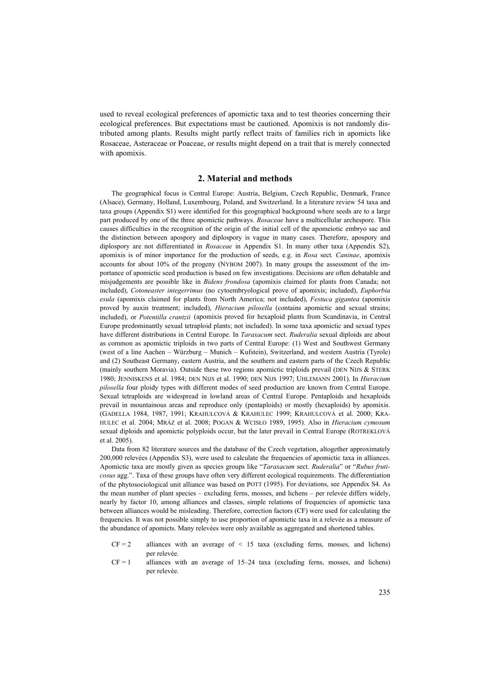used to reveal ecological preferences of apomictic taxa and to test theories concerning their ecological preferences. But expectations must be cautioned. Apomixis is not randomly distributed among plants. Results might partly reflect traits of families rich in apomicts like Rosaceae, Asteraceae or Poaceae, or results might depend on a trait that is merely connected with apomixis.

### **2. Material and methods**

The geographical focus is Central Europe: Austria, Belgium, Czech Republic, Denmark, France (Alsace), Germany, Holland, Luxembourg, Poland, and Switzerland. In a literature review 54 taxa and taxa groups (Appendix S1) were identified for this geographical background where seeds are to a large part produced by one of the three apomictic pathways. *Rosaceae* have a multicellular archespore. This causes difficulties in the recognition of the origin of the initial cell of the apomeiotic embryo sac and the distinction between apospory and diplospory is vague in many cases. Therefore, apospory and diplospory are not differentiated in *Rosaceae* in Appendix S1. In many other taxa (Appendix S2), apomixis is of minor importance for the production of seeds, e.g. in *Rosa* sect*. Caninae*, apomixis accounts for about 10% of the progeny (NYBOM 2007). In many groups the assessment of the importance of apomictic seed production is based on few investigations. Decisions are often debatable and misjudgements are possible like in *Bidens frondosa* (apomixis claimed for plants from Canada; not included), *Cotoneaster integerrimus* (no cytoembryological prove of apomixis; included), *Euphorbia esula* (apomixis claimed for plants from North America; not included), *Festuca gigantea* (apomixis proved by auxin treatment; included), *Hieracium pilosella* (contains apomictic and sexual strains; included), or *Potentilla crantzii* (apomixis proved for hexaploid plants from Scandinavia, in Central Europe predominantly sexual tetraploid plants; not included). In some taxa apomictic and sexual types have different distributions in Central Europe. In *Taraxacum* sect. *Ruderalia* sexual diploids are about as common as apomictic triploids in two parts of Central Europe: (1) West and Southwest Germany (west of a line Aachen – Würzburg – Munich – Kufstein), Switzerland, and western Austria (Tyrole) and (2) Southeast Germany, eastern Austria, and the southern and eastern parts of the Czech Republic (mainly southern Moravia). Outside these two regions apomictic triploids prevail (DEN NIJS & STERK 1980; JENNISKENS et al. 1984; DEN NIJS et al. 1990; DEN NIJS 1997; UHLEMANN 2001). In *Hieracium pilosella* four ploidy types with different modes of seed production are known from Central Europe. Sexual tetraploids are widespread in lowland areas of Central Europe. Pentaploids and hexaploids prevail in mountainous areas and reproduce only (pentaploids) or mostly (hexaploids) by apomixis. (GADELLA 1984, 1987, 1991; KRAHULCOVÁ & KRAHULEC 1999; KRAHULCOVÁ et al. 2000; KRA-HULEC et al. 2004; MRÁZ et al. 2008; POGAN & WCISŁO 1989, 1995). Also in *Hieracium cymosum* sexual diploids and apomictic polyploids occur, but the later prevail in Central Europe (ROTREKLOVÁ et al. 2005).

Data from 82 literature sources and the database of the Czech vegetation, altogether approximately 200,000 relevées (Appendix S3), were used to calculate the frequencies of apomictic taxa in alliances. Apomictic taxa are mostly given as species groups like "*Taraxacum* sect. *Ruderalia*" or "*Rubus fruticosus* agg.". Taxa of these groups have often very different ecological requirements. The differentiation of the phytosociological unit alliance was based on POTT (1995). For deviations, see Appendix S4. As the mean number of plant species – excluding ferns, mosses, and lichens – per relevée differs widely, nearly by factor 10, among alliances and classes, simple relations of frequencies of apomictic taxa between alliances would be misleading. Therefore, correction factors (CF) were used for calculating the frequencies. It was not possible simply to use proportion of apomictic taxa in a relevée as a measure of the abundance of apomicts. Many relevées were only available as aggregated and shortened tables.

- $CF = 2$  alliances with an average of  $\leq 15$  taxa (excluding ferns, mosses, and lichens) per relevée.
- $CF = 1$  alliances with an average of 15–24 taxa (excluding ferns, mosses, and lichens) per relevée.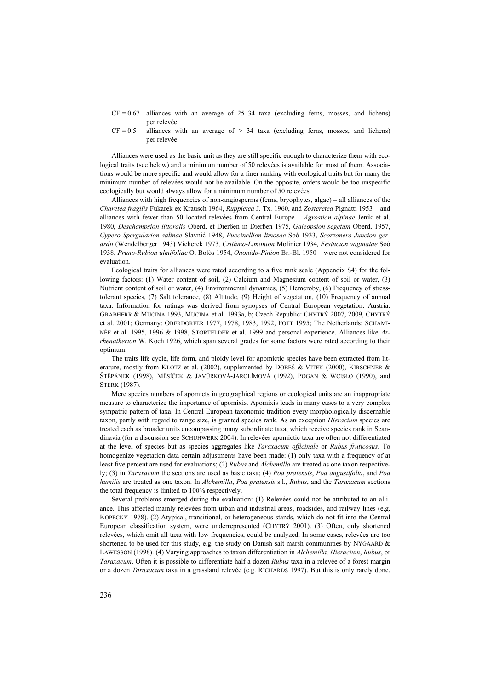- $CF = 0.67$  alliances with an average of 25–34 taxa (excluding ferns, mosses, and lichens) per relevée.
- $CF = 0.5$  alliances with an average of  $> 34$  taxa (excluding ferns, mosses, and lichens) per relevée.

Alliances were used as the basic unit as they are still specific enough to characterize them with ecological traits (see below) and a minimum number of 50 relevées is available for most of them. Associations would be more specific and would allow for a finer ranking with ecological traits but for many the minimum number of relevées would not be available. On the opposite, orders would be too unspecific ecologically but would always allow for a minimum number of 50 relevées.

Alliances with high frequencies of non-angiosperms (ferns, bryophytes, algae) – all alliances of the *Charetea fragilis* Fukarek ex Krausch 1964, *Ruppietea* J. Tx. 1960, and *Zosteretea* Pignatti 1953 – and alliances with fewer than 50 located relevées from Central Europe – *Agrostion alpinae* Jeník et al. 1980*, Deschampsion littoralis* Oberd. et Dierßen in Dierßen 1975, *Galeopsion segetum* Oberd. 1957, *Cypero-Spergularion salinae* Slavnić 1948, *Puccinellion limosae* Soó 1933, *Scorzonero-Juncion gerardii* (Wendelberger 1943) Vicherek 1973*, Crithmo-Limonion* Molinier 1934*, Festucion vaginatae* Soó 1938, *Pruno-Rubion ulmifoliae* O. Bolòs 1954, *Ononido-Pinion* Br.-Bl. 1950 – were not considered for evaluation.

Ecological traits for alliances were rated according to a five rank scale (Appendix S4) for the following factors: (1) Water content of soil, (2) Calcium and Magnesium content of soil or water, (3) Nutrient content of soil or water, (4) Environmental dynamics, (5) Hemeroby, (6) Frequency of stresstolerant species, (7) Salt tolerance, (8) Altitude, (9) Height of vegetation, (10) Frequency of annual taxa. Information for ratings was derived from synopses of Central European vegetation: Austria: GRABHERR & MUCINA 1993, MUCINA et al. 1993a, b; Czech Republic: CHYTRÝ 2007, 2009, CHYTRÝ et al. 2001; Germany: OBERDORFER 1977, 1978, 1983, 1992, POTT 1995; The Netherlands: SCHAMI-NÉE et al. 1995, 1996 & 1998, STORTELDER et al. 1999 and personal experience. Alliances like *Arrhenatherion* W. Koch 1926, which span several grades for some factors were rated according to their optimum.

The traits life cycle, life form, and ploidy level for apomictic species have been extracted from literature, mostly from KLOTZ et al. (2002), supplemented by DOBEŠ & VITEK (2000), KIRSCHNER & ŠTĚPÁNEK (1998), MĚSÍČEK & JAVŮRKOVÁ-JAROLÍMOVÁ (1992), POGAN & WCISŁO (1990), and STERK (1987).

Mere species numbers of apomicts in geographical regions or ecological units are an inappropriate measure to characterize the importance of apomixis. Apomixis leads in many cases to a very complex sympatric pattern of taxa. In Central European taxonomic tradition every morphologically discernable taxon, partly with regard to range size, is granted species rank. As an exception *Hieracium* species are treated each as broader units encompassing many subordinate taxa, which receive species rank in Scandinavia (for a discussion see SCHUHWERK 2004). In relevées apomictic taxa are often not differentiated at the level of species but as species aggregates like *Taraxacum officinale* or *Rubus fruticosus*. To homogenize vegetation data certain adjustments have been made: (1) only taxa with a frequency of at least five percent are used for evaluations; (2) *Rubus* and *Alchemilla* are treated as one taxon respectively; (3) in *Taraxacum* the sections are used as basic taxa; (4) *Poa pratensis*, *Poa angustifolia*, and *Poa humilis* are treated as one taxon. In *Alchemilla*, *Poa pratensis* s.l., *Rubus*, and the *Taraxacum* sections the total frequency is limited to 100% respectively.

Several problems emerged during the evaluation: (1) Relevées could not be attributed to an alliance. This affected mainly relevées from urban and industrial areas, roadsides, and railway lines (e.g. KOPECKÝ 1978). (2) Atypical, transitional, or heterogeneous stands, which do not fit into the Central European classification system, were underrepresented (CHYTRÝ 2001). (3) Often, only shortened relevées, which omit all taxa with low frequencies, could be analyzed. In some cases, relevées are too shortened to be used for this study, e.g. the study on Danish salt marsh communities by NYGAARD & LAWESSON (1998). (4) Varying approaches to taxon differentiation in *Alchemilla, Hieracium*, *Rubus*, or *Taraxacum*. Often it is possible to differentiate half a dozen *Rubus* taxa in a relevée of a forest margin or a dozen *Taraxacum* taxa in a grassland relevée (e.g. RICHARDS 1997). But this is only rarely done.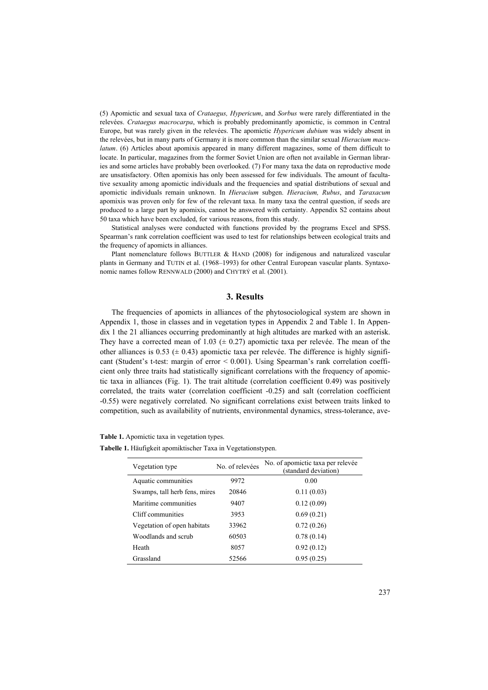(5) Apomictic and sexual taxa of *Crataegus, Hypericum*, and *Sorbus* were rarely differentiated in the relevées. *Crataegus macrocarpa*, which is probably predominantly apomictic, is common in Central Europe, but was rarely given in the relevées. The apomictic *Hypericum dubium* was widely absent in the relevées, but in many parts of Germany it is more common than the similar sexual *Hieracium maculatum*. (6) Articles about apomixis appeared in many different magazines, some of them difficult to locate. In particular, magazines from the former Soviet Union are often not available in German libraries and some articles have probably been overlooked. (7) For many taxa the data on reproductive mode are unsatisfactory. Often apomixis has only been assessed for few individuals. The amount of facultative sexuality among apomictic individuals and the frequencies and spatial distributions of sexual and apomictic individuals remain unknown. In *Hieracium* subgen. *Hieracium, Rubus*, and *Taraxacum* apomixis was proven only for few of the relevant taxa. In many taxa the central question, if seeds are produced to a large part by apomixis, cannot be answered with certainty. Appendix S2 contains about 50 taxa which have been excluded, for various reasons, from this study.

Statistical analyses were conducted with functions provided by the programs Excel and SPSS. Spearman's rank correlation coefficient was used to test for relationships between ecological traits and the frequency of apomicts in alliances.

Plant nomenclature follows BUTTLER & HAND (2008) for indigenous and naturalized vascular plants in Germany and TUTIN et al. (1968–1993) for other Central European vascular plants. Syntaxonomic names follow RENNWALD (2000) and CHYTRÝ et al. (2001).

## **3. Results**

The frequencies of apomicts in alliances of the phytosociological system are shown in Appendix 1, those in classes and in vegetation types in Appendix 2 and Table 1. In Appendix 1 the 21 alliances occurring predominantly at high altitudes are marked with an asterisk. They have a corrected mean of 1.03 ( $\pm$  0.27) apomictic taxa per relevée. The mean of the other alliances is 0.53 ( $\pm$  0.43) apomictic taxa per relevée. The difference is highly significant (Student's t-test: margin of error < 0.001). Using Spearman's rank correlation coefficient only three traits had statistically significant correlations with the frequency of apomictic taxa in alliances (Fig. 1). The trait altitude (correlation coefficient 0.49) was positively correlated, the traits water (correlation coefficient -0.25) and salt (correlation coefficient -0.55) were negatively correlated. No significant correlations exist between traits linked to competition, such as availability of nutrients, environmental dynamics, stress-tolerance, ave-

**Table 1.** Apomictic taxa in vegetation types.

**Tabelle 1.** Häufigkeit apomiktischer Taxa in Vegetationstypen.

| Vegetation type               | No. of relevées | No. of apomictic taxa per relevée<br>(standard deviation) |
|-------------------------------|-----------------|-----------------------------------------------------------|
| Aquatic communities           | 9972            | 0.00                                                      |
| Swamps, tall herb fens, mires | 20846           | 0.11(0.03)                                                |
| Maritime communities          | 9407            | 0.12(0.09)                                                |
| Cliff communities             | 3953            | 0.69(0.21)                                                |
| Vegetation of open habitats   | 33962           | 0.72(0.26)                                                |
| Woodlands and scrub           | 60503           | 0.78(0.14)                                                |
| Heath                         | 8057            | 0.92(0.12)                                                |
| Grassland                     | 52566           | 0.95(0.25)                                                |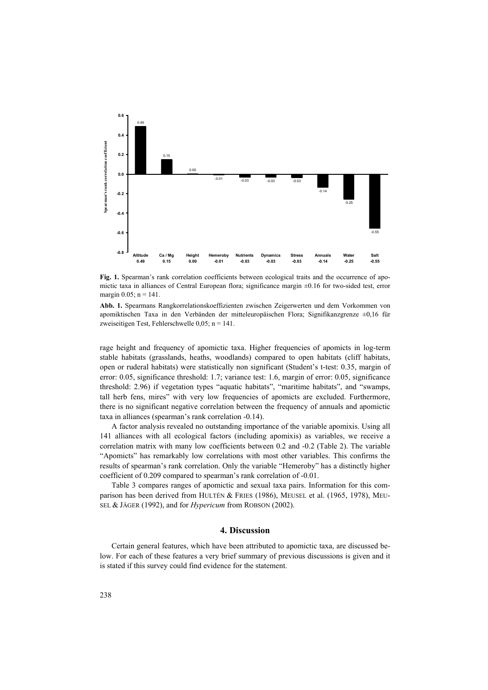

**Fig. 1.** Spearman's rank correlation coefficients between ecological traits and the occurrence of apomictic taxa in alliances of Central European flora; significance margin ±0.16 for two-sided test, error margin  $0.05$ ; n = 141.

**Abb. 1.** Spearmans Rangkorrelationskoeffizienten zwischen Zeigerwerten und dem Vorkommen von apomiktischen Taxa in den Verbänden der mitteleuropäischen Flora; Signifikanzgrenze ±0,16 für zweiseitigen Test, Fehlerschwelle 0,05; n = 141.

rage height and frequency of apomictic taxa. Higher frequencies of apomicts in log-term stable habitats (grasslands, heaths, woodlands) compared to open habitats (cliff habitats, open or ruderal habitats) were statistically non significant (Student's t-test: 0.35, margin of error: 0.05, significance threshold: 1.7; variance test: 1.6, margin of error: 0.05, significance threshold: 2.96) if vegetation types "aquatic habitats", "maritime habitats", and "swamps, tall herb fens, mires" with very low frequencies of apomicts are excluded. Furthermore, there is no significant negative correlation between the frequency of annuals and apomictic taxa in alliances (spearman's rank correlation -0.14).

A factor analysis revealed no outstanding importance of the variable apomixis. Using all 141 alliances with all ecological factors (including apomixis) as variables, we receive a correlation matrix with many low coefficients between 0.2 and -0.2 (Table 2). The variable "Apomicts" has remarkably low correlations with most other variables. This confirms the results of spearman's rank correlation. Only the variable "Hemeroby" has a distinctly higher coefficient of 0.209 compared to spearman's rank correlation of -0.01.

Table 3 compares ranges of apomictic and sexual taxa pairs. Information for this comparison has been derived from HULTÉN & FRIES (1986), MEUSEL et al. (1965, 1978), MEU-SEL & JÄGER (1992), and for *Hypericum* from ROBSON (2002).

## **4. Discussion**

Certain general features, which have been attributed to apomictic taxa, are discussed below. For each of these features a very brief summary of previous discussions is given and it is stated if this survey could find evidence for the statement.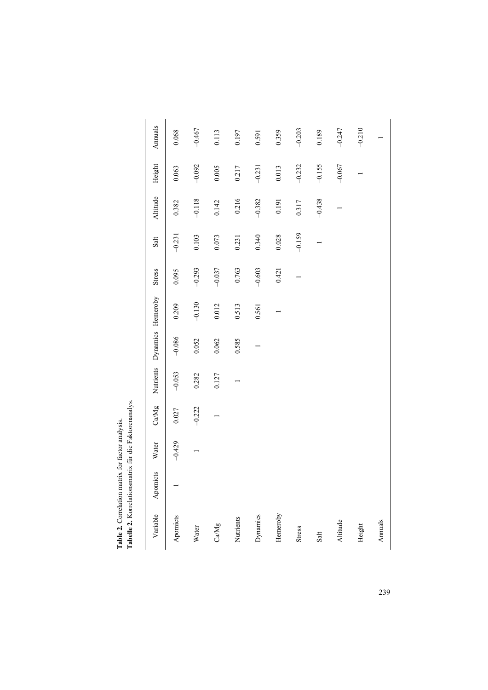|               | an the 2011 Note of the 1 can be a family of the contract of the contract of the contract of the contract of the contract of the contract of the contract of the contract of the contract of the contract of the contract of t |          |           |          |                             |          |               |          |          |          |          |
|---------------|--------------------------------------------------------------------------------------------------------------------------------------------------------------------------------------------------------------------------------|----------|-----------|----------|-----------------------------|----------|---------------|----------|----------|----------|----------|
| Variable      | Apomicts                                                                                                                                                                                                                       | Water    | CaMg      |          | Nutrients Dynamics Hemeroby |          | <b>Stress</b> | Salt     | Altitude | Height   | Annuals  |
| Apomicts      |                                                                                                                                                                                                                                | $-0.429$ | $0.027\,$ | $-0.053$ | $-0.086$                    | 0.209    | 0.095         | $-0.231$ | 0.382    | 0.063    | 0.068    |
| Water         |                                                                                                                                                                                                                                |          | $-0.222$  | 0.282    | 0.052                       | $-0.130$ | $-0.293$      | 0.103    | $-0.118$ | $-0.092$ | $-0.467$ |
| CaMg          |                                                                                                                                                                                                                                |          |           | 0.127    | 0.062                       | 0.012    | $-0.037$      | 0.073    | 0.142    | 0.005    | 0.113    |
| Nutrients     |                                                                                                                                                                                                                                |          |           |          | 0.585                       | 0.513    | $-0.763$      | 0.231    | $-0.216$ | 0.217    | 0.197    |
| Dynamics      |                                                                                                                                                                                                                                |          |           |          |                             | 0.561    | $-0.603$      | 0.340    | $-0.382$ | $-0.231$ | 0.591    |
| Hemeroby      |                                                                                                                                                                                                                                |          |           |          |                             |          | $-0.421$      | 0.028    | $-0.191$ | 0.013    | 0.359    |
| <b>Stress</b> |                                                                                                                                                                                                                                |          |           |          |                             |          |               | $-0.159$ | 0.317    | $-0.232$ | $-0.203$ |
| Salt          |                                                                                                                                                                                                                                |          |           |          |                             |          |               |          | $-0.438$ | $-0.155$ | 0.189    |
| Altitude      |                                                                                                                                                                                                                                |          |           |          |                             |          |               |          |          | $-0.067$ | $-0.247$ |
| Height        |                                                                                                                                                                                                                                |          |           |          |                             |          |               |          |          |          | $-0.210$ |
| Annuals       |                                                                                                                                                                                                                                |          |           |          |                             |          |               |          |          |          |          |

Table 2. Correlation matrix for factor analysis.<br>Tabelle 2. Korrelationsmatrix für die Faktorenanalys. **Tabelle 2.** Korrelationsmatrix für die Faktorenanalys. **Table 2.** Correlation matrix for factor analysis.

239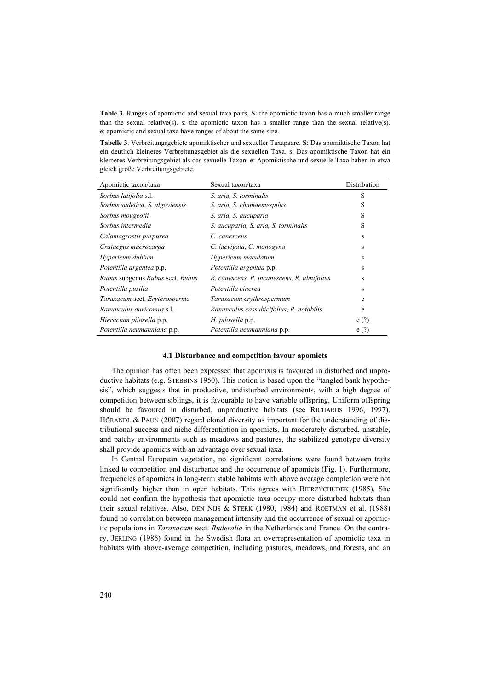**Table 3.** Ranges of apomictic and sexual taxa pairs. **S**: the apomictic taxon has a much smaller range than the sexual relative(s). s: the apomictic taxon has a smaller range than the sexual relative(s). e: apomictic and sexual taxa have ranges of about the same size.

**Tabelle 3**. Verbreitungsgebiete apomiktischer und sexueller Taxapaare. **S**: Das apomiktische Taxon hat ein deutlich kleineres Verbreitungsgebiet als die sexuellen Taxa. s: Das apomiktische Taxon hat ein kleineres Verbreitungsgebiet als das sexuelle Taxon. e: Apomiktische und sexuelle Taxa haben in etwa gleich große Verbreitungsgebiete.

| Apomictic taxon/taxa             | Sexual taxon/taxa                           | Distribution |
|----------------------------------|---------------------------------------------|--------------|
| Sorbus latifolia s.l.            | S. aria, S. torminalis                      | S            |
| Sorbus sudetica, S. algoviensis  | S. aria, S. chamaemespilus                  | S            |
| Sorbus mougeotii                 | S. aria, S. aucuparia                       | S            |
| Sorbus intermedia                | S. aucuparia, S. aria, S. torminalis        | S            |
| Calamagrostis purpurea           | C. canescens                                | S            |
| Crataegus macrocarpa             | C. laevigata, C. monogyna                   | S            |
| Hypericum dubium                 | Hypericum maculatum                         | s            |
| Potentilla argentea p.p.         | Potentilla argentea p.p.                    | S            |
| Rubus subgenus Rubus sect. Rubus | R. canescens, R. incanescens, R. ulmifolius | s            |
| Potentilla pusilla               | Potentilla cinerea                          | S            |
| Taraxacum sect. Erythrosperma    | Taraxacum erythrospermum                    | e            |
| Ranunculus auricomus s.l.        | Ranunculus cassubicifolius, R. notabilis    | e            |
| Hieracium pilosella p.p.         | H. pilosella p.p.                           | e(?)         |
| Potentilla neumanniana p.p.      | Potentilla neumanniana p.p.                 | e(?)         |

### **4.1 Disturbance and competition favour apomicts**

The opinion has often been expressed that apomixis is favoured in disturbed and unproductive habitats (e.g. STEBBINS 1950). This notion is based upon the "tangled bank hypothesis", which suggests that in productive, undisturbed environments, with a high degree of competition between siblings, it is favourable to have variable offspring. Uniform offspring should be favoured in disturbed, unproductive habitats (see RICHARDS 1996, 1997). HÖRANDL & PAUN (2007) regard clonal diversity as important for the understanding of distributional success and niche differentiation in apomicts. In moderately disturbed, unstable, and patchy environments such as meadows and pastures, the stabilized genotype diversity shall provide apomicts with an advantage over sexual taxa.

In Central European vegetation, no significant correlations were found between traits linked to competition and disturbance and the occurrence of apomicts (Fig. 1). Furthermore, frequencies of apomicts in long-term stable habitats with above average completion were not significantly higher than in open habitats. This agrees with BIERZYCHUDEK (1985). She could not confirm the hypothesis that apomictic taxa occupy more disturbed habitats than their sexual relatives. Also, DEN NIJS & STERK (1980, 1984) and ROETMAN et al. (1988) found no correlation between management intensity and the occurrence of sexual or apomictic populations in *Taraxacum* sect. *Ruderalia* in the Netherlands and France. On the contrary, JERLING (1986) found in the Swedish flora an overrepresentation of apomictic taxa in habitats with above-average competition, including pastures, meadows, and forests, and an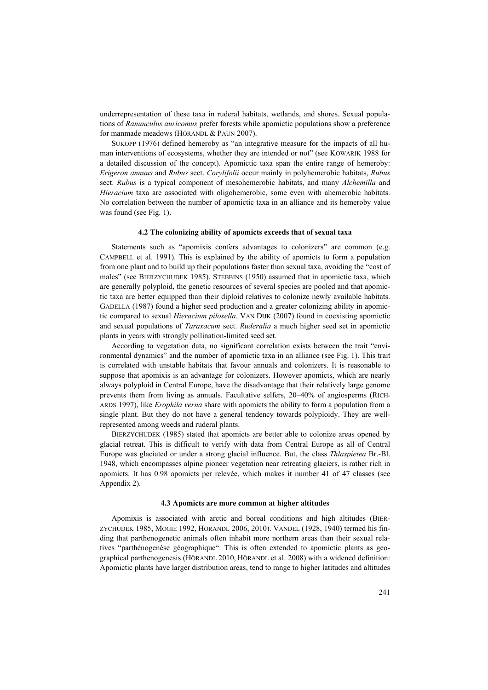underrepresentation of these taxa in ruderal habitats, wetlands, and shores. Sexual populations of *Ranunculus auricomus* prefer forests while apomictic populations show a preference for manmade meadows (HÖRANDL & PAUN 2007).

SUKOPP (1976) defined hemeroby as "an integrative measure for the impacts of all human interventions of ecosystems, whether they are intended or not" (see KOWARIK 1988 for a detailed discussion of the concept). Apomictic taxa span the entire range of hemeroby: *Erigeron annuus* and *Rubus* sect. *Corylifolii* occur mainly in polyhemerobic habitats, *Rubus* sect. *Rubus* is a typical component of mesohemerobic habitats, and many *Alchemilla* and *Hieracium* taxa are associated with oligohemerobic, some even with ahemerobic habitats. No correlation between the number of apomictic taxa in an alliance and its hemeroby value was found (see Fig. 1).

## **4.2 The colonizing ability of apomicts exceeds that of sexual taxa**

Statements such as "apomixis confers advantages to colonizers" are common (e.g. CAMPBELL et al. 1991). This is explained by the ability of apomicts to form a population from one plant and to build up their populations faster than sexual taxa, avoiding the "cost of males" (see BIERZYCHUDEK 1985). STEBBINS (1950) assumed that in apomictic taxa, which are generally polyploid, the genetic resources of several species are pooled and that apomictic taxa are better equipped than their diploid relatives to colonize newly available habitats. GADELLA (1987) found a higher seed production and a greater colonizing ability in apomictic compared to sexual *Hieracium pilosella*. VAN DIJK (2007) found in coexisting apomictic and sexual populations of *Taraxacum* sect. *Ruderalia* a much higher seed set in apomictic plants in years with strongly pollination-limited seed set.

According to vegetation data, no significant correlation exists between the trait "environmental dynamics" and the number of apomictic taxa in an alliance (see Fig. 1). This trait is correlated with unstable habitats that favour annuals and colonizers. It is reasonable to suppose that apomixis is an advantage for colonizers. However apomicts, which are nearly always polyploid in Central Europe, have the disadvantage that their relatively large genome prevents them from living as annuals. Facultative selfers, 20–40% of angiosperms (RICH-ARDS 1997), like *Erophila verna* share with apomicts the ability to form a population from a single plant. But they do not have a general tendency towards polyploidy. They are wellrepresented among weeds and ruderal plants.

BIERZYCHUDEK (1985) stated that apomicts are better able to colonize areas opened by glacial retreat. This is difficult to verify with data from Central Europe as all of Central Europe was glaciated or under a strong glacial influence. But, the class *Thlaspietea* Br.-Bl. 1948, which encompasses alpine pioneer vegetation near retreating glaciers, is rather rich in apomicts. It has 0.98 apomicts per relevée, which makes it number 41 of 47 classes (see Appendix 2).

#### **4.3 Apomicts are more common at higher altitudes**

Apomixis is associated with arctic and boreal conditions and high altitudes (BIER-ZYCHUDEK 1985, MOGIE 1992, HÖRANDL 2006, 2010). VANDEL (1928, 1940) termed his finding that parthenogenetic animals often inhabit more northern areas than their sexual relatives "parthénogenèse géographique". This is often extended to apomictic plants as geographical parthenogenesis (HÖRANDL 2010, HÖRANDL et al. 2008) with a widened definition: Apomictic plants have larger distribution areas, tend to range to higher latitudes and altitudes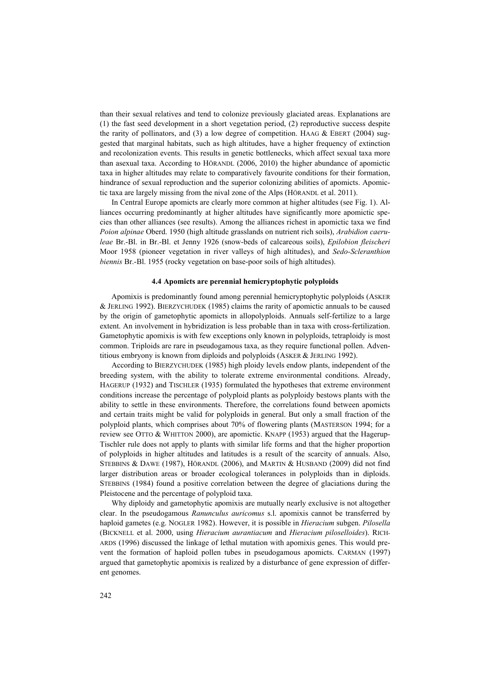than their sexual relatives and tend to colonize previously glaciated areas. Explanations are (1) the fast seed development in a short vegetation period, (2) reproductive success despite the rarity of pollinators, and (3) a low degree of competition. HAAG  $&$  EBERT (2004) suggested that marginal habitats, such as high altitudes, have a higher frequency of extinction and recolonization events. This results in genetic bottlenecks, which affect sexual taxa more than asexual taxa. According to HÖRANDL (2006, 2010) the higher abundance of apomictic taxa in higher altitudes may relate to comparatively favourite conditions for their formation, hindrance of sexual reproduction and the superior colonizing abilities of apomicts. Apomictic taxa are largely missing from the nival zone of the Alps (HÖRANDL et al. 2011).

In Central Europe apomicts are clearly more common at higher altitudes (see Fig. 1). Alliances occurring predominantly at higher altitudes have significantly more apomictic species than other alliances (see results). Among the alliances richest in apomictic taxa we find *Poion alpinae* Oberd. 1950 (high altitude grasslands on nutrient rich soils), *Arabidion caeruleae* Br.-Bl. in Br.-Bl. et Jenny 1926 (snow-beds of calcareous soils), *Epilobion fleischeri* Moor 1958 (pioneer vegetation in river valleys of high altitudes), and *Sedo-Scleranthion biennis* Br.-Bl. 1955 (rocky vegetation on base-poor soils of high altitudes).

## **4.4 Apomicts are perennial hemicryptophytic polyploids**

Apomixis is predominantly found among perennial hemicryptophytic polyploids (ASKER & JERLING 1992). BIERZYCHUDEK (1985) claims the rarity of apomictic annuals to be caused by the origin of gametophytic apomicts in allopolyploids. Annuals self-fertilize to a large extent. An involvement in hybridization is less probable than in taxa with cross-fertilization. Gametophytic apomixis is with few exceptions only known in polyploids, tetraploidy is most common. Triploids are rare in pseudogamous taxa, as they require functional pollen. Adventitious embryony is known from diploids and polyploids (ASKER & JERLING 1992).

According to BIERZYCHUDEK (1985) high ploidy levels endow plants, independent of the breeding system, with the ability to tolerate extreme environmental conditions. Already, HAGERUP (1932) and TISCHLER (1935) formulated the hypotheses that extreme environment conditions increase the percentage of polyploid plants as polyploidy bestows plants with the ability to settle in these environments. Therefore, the correlations found between apomicts and certain traits might be valid for polyploids in general. But only a small fraction of the polyploid plants, which comprises about 70% of flowering plants (MASTERSON 1994; for a review see OTTO & WHITTON 2000), are apomictic. KNAPP (1953) argued that the Hagerup-Tischler rule does not apply to plants with similar life forms and that the higher proportion of polyploids in higher altitudes and latitudes is a result of the scarcity of annuals. Also, STEBBINS & DAWE (1987), HÖRANDL (2006), and MARTIN & HUSBAND (2009) did not find larger distribution areas or broader ecological tolerances in polyploids than in diploids. STEBBINS (1984) found a positive correlation between the degree of glaciations during the Pleistocene and the percentage of polyploid taxa.

Why diploidy and gametophytic apomixis are mutually nearly exclusive is not altogether clear. In the pseudogamous *Ranunculus auricomus* s.l. apomixis cannot be transferred by haploid gametes (e.g. NOGLER 1982). However, it is possible in *Hieracium* subgen. *Pilosella* (BICKNELL et al. 2000, using *Hieracium aurantiacum* and *Hieracium piloselloides*). RICH-ARDS (1996) discussed the linkage of lethal mutation with apomixis genes. This would prevent the formation of haploid pollen tubes in pseudogamous apomicts. CARMAN (1997) argued that gametophytic apomixis is realized by a disturbance of gene expression of different genomes.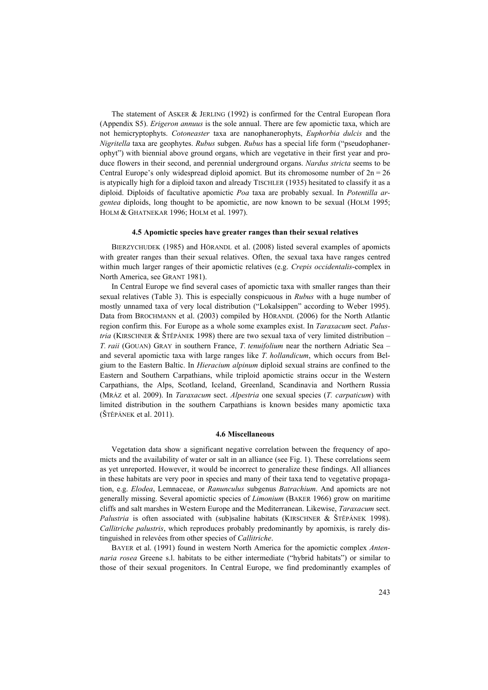The statement of ASKER & JERLING (1992) is confirmed for the Central European flora (Appendix S5). *Erigeron annuus* is the sole annual. There are few apomictic taxa, which are not hemicryptophyts. *Cotoneaster* taxa are nanophanerophyts, *Euphorbia dulcis* and the *Nigritella* taxa are geophytes. *Rubus* subgen. *Rubus* has a special life form ("pseudophanerophyt") with biennial above ground organs, which are vegetative in their first year and produce flowers in their second, and perennial underground organs. *Nardus stricta* seems to be Central Europe's only widespread diploid apomict. But its chromosome number of  $2n = 26$ is atypically high for a diploid taxon and already TISCHLER (1935) hesitated to classify it as a diploid. Diploids of facultative apomictic *Poa* taxa are probably sexual. In *Potentilla argentea* diploids, long thought to be apomictic, are now known to be sexual (HOLM 1995; HOLM & GHATNEKAR 1996; HOLM et al. 1997).

## **4.5 Apomictic species have greater ranges than their sexual relatives**

BIERZYCHUDEK (1985) and HÖRANDL et al. (2008) listed several examples of apomicts with greater ranges than their sexual relatives. Often, the sexual taxa have ranges centred within much larger ranges of their apomictic relatives (e.g. *Crepis occidentalis*-complex in North America, see GRANT 1981).

In Central Europe we find several cases of apomictic taxa with smaller ranges than their sexual relatives (Table 3). This is especially conspicuous in *Rubus* with a huge number of mostly unnamed taxa of very local distribution ("Lokalsippen" according to Weber 1995). Data from BROCHMANN et al. (2003) compiled by HÖRANDL (2006) for the North Atlantic region confirm this. For Europe as a whole some examples exist. In *Taraxacum* sect. *Palustria* (KIRSCHNER & ŠTĚPÁNEK 1998) there are two sexual taxa of very limited distribution – *T. raii* (GOUAN) GRAY in southern France, *T. tenuifolium* near the northern Adriatic Sea – and several apomictic taxa with large ranges like *T. hollandicum*, which occurs from Belgium to the Eastern Baltic. In *Hieracium alpinum* diploid sexual strains are confined to the Eastern and Southern Carpathians, while triploid apomictic strains occur in the Western Carpathians, the Alps, Scotland, Iceland, Greenland, Scandinavia and Northern Russia (MRÁZ et al. 2009). In *Taraxacum* sect. *Alpestria* one sexual species (*T. carpaticum*) with limited distribution in the southern Carpathians is known besides many apomictic taxa (ŠTĚPÁNEK et al. 2011).

#### **4.6 Miscellaneous**

Vegetation data show a significant negative correlation between the frequency of apomicts and the availability of water or salt in an alliance (see Fig. 1). These correlations seem as yet unreported. However, it would be incorrect to generalize these findings. All alliances in these habitats are very poor in species and many of their taxa tend to vegetative propagation, e.g. *Elodea*, Lemnaceae, or *Ranunculus* subgenus *Batrachium*. And apomicts are not generally missing. Several apomictic species of *Limonium* (BAKER 1966) grow on maritime cliffs and salt marshes in Western Europe and the Mediterranean. Likewise, *Taraxacum* sect. *Palustria* is often associated with (sub)saline habitats (KIRSCHNER & ŠTĚPÁNEK 1998). *Callitriche palustris*, which reproduces probably predominantly by apomixis, is rarely distinguished in relevées from other species of *Callitriche*.

BAYER et al. (1991) found in western North America for the apomictic complex *Antennaria rosea* Greene s.l. habitats to be either intermediate ("hybrid habitats") or similar to those of their sexual progenitors. In Central Europe, we find predominantly examples of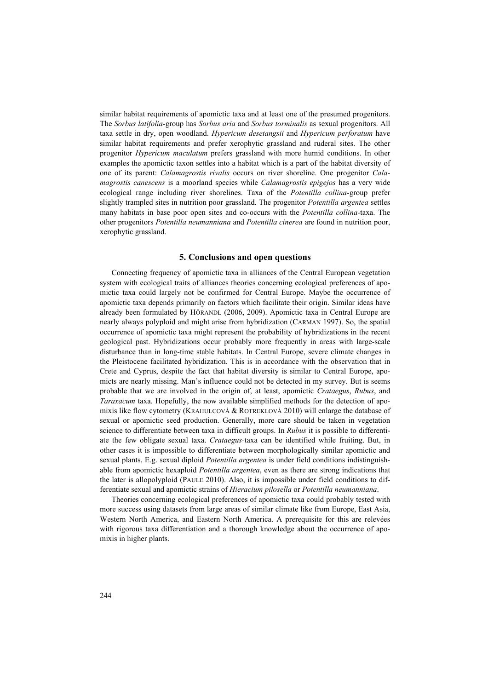similar habitat requirements of apomictic taxa and at least one of the presumed progenitors. The *Sorbus latifolia-*group has *Sorbus aria* and *Sorbus torminalis* as sexual progenitors. All taxa settle in dry, open woodland. *Hypericum desetangsii* and *Hypericum perforatum* have similar habitat requirements and prefer xerophytic grassland and ruderal sites. The other progenitor *Hypericum maculatum* prefers grassland with more humid conditions. In other examples the apomictic taxon settles into a habitat which is a part of the habitat diversity of one of its parent: *Calamagrostis rivalis* occurs on river shoreline. One progenitor *Calamagrostis canescens* is a moorland species while *Calamagrostis epigejos* has a very wide ecological range including river shorelines. Taxa of the *Potentilla collina-*group prefer slightly trampled sites in nutrition poor grassland. The progenitor *Potentilla argentea* settles many habitats in base poor open sites and co-occurs with the *Potentilla collina-*taxa. The other progenitors *Potentilla neumanniana* and *Potentilla cinerea* are found in nutrition poor, xerophytic grassland.

## **5. Conclusions and open questions**

Connecting frequency of apomictic taxa in alliances of the Central European vegetation system with ecological traits of alliances theories concerning ecological preferences of apomictic taxa could largely not be confirmed for Central Europe. Maybe the occurrence of apomictic taxa depends primarily on factors which facilitate their origin. Similar ideas have already been formulated by HÖRANDL (2006, 2009). Apomictic taxa in Central Europe are nearly always polyploid and might arise from hybridization (CARMAN 1997). So, the spatial occurrence of apomictic taxa might represent the probability of hybridizations in the recent geological past. Hybridizations occur probably more frequently in areas with large-scale disturbance than in long-time stable habitats. In Central Europe, severe climate changes in the Pleistocene facilitated hybridization. This is in accordance with the observation that in Crete and Cyprus, despite the fact that habitat diversity is similar to Central Europe, apomicts are nearly missing. Man's influence could not be detected in my survey. But is seems probable that we are involved in the origin of, at least, apomictic *Crataegus*, *Rubus*, and *Taraxacum* taxa. Hopefully, the now available simplified methods for the detection of apomixis like flow cytometry (KRAHULCOVÁ & ROTREKLOVÁ 2010) will enlarge the database of sexual or apomictic seed production. Generally, more care should be taken in vegetation science to differentiate between taxa in difficult groups. In *Rubus* it is possible to differentiate the few obligate sexual taxa. *Crataegus-*taxa can be identified while fruiting. But, in other cases it is impossible to differentiate between morphologically similar apomictic and sexual plants. E.g. sexual diploid *Potentilla argentea* is under field conditions indistinguishable from apomictic hexaploid *Potentilla argentea*, even as there are strong indications that the later is allopolyploid (PAULE 2010). Also, it is impossible under field conditions to differentiate sexual and apomictic strains of *Hieracium pilosella* or *Potentilla neumanniana*.

Theories concerning ecological preferences of apomictic taxa could probably tested with more success using datasets from large areas of similar climate like from Europe, East Asia, Western North America, and Eastern North America. A prerequisite for this are relevées with rigorous taxa differentiation and a thorough knowledge about the occurrence of apomixis in higher plants.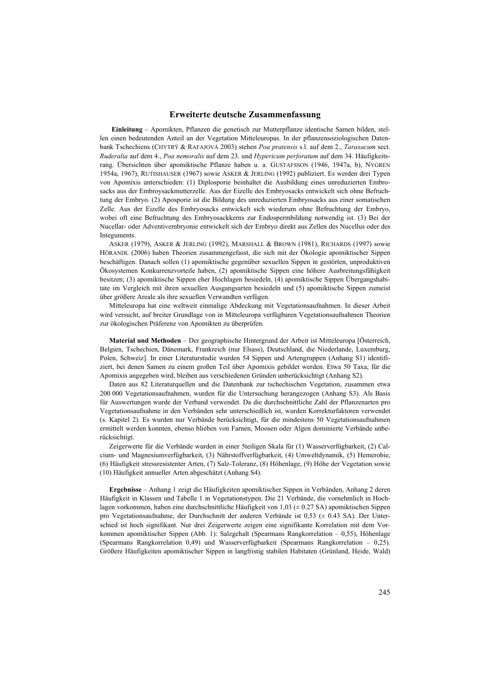## **Erweiterte deutsche Zusammenfassung**

**Einleitung** – Apomikten, Pflanzen die genetisch zur Mutterpflanze identische Samen bilden, stellen einen bedeutenden Anteil an der Vegetation Mitteleuropas. In der pflanzensoziologischen Datenbank Tschechiens (CHYTRÝ & RAFAJOVÁ 2003) stehen *Poa pratensis* s.l. auf dem 2., *Taraxacum* sect. *Ruderalia* auf dem 4., *Poa nemoralis* auf dem 23. und *Hypericum perforatum* auf dem 34. Häufigkeitsrang. Übersichten über apomiktische Pflanze haben u. a. GUSTAFSSON (1946, 1947a, b), NYGREN 1954a, 1967), RUTISHAUSER (1967) sowie ASKER & JERLING (1992) publiziert. Es werden drei Typen von Apomixis unterschieden: (1) Diplosporie beinhaltet die Ausbildung eines unreduzierten Embrosacks aus der Embroysackmutterzelle. Aus der Eizelle des Embryosacks entwickelt sich ohne Befruchtung der Embryo. (2) Aposporie ist die Bildung des unreduzierten Embryosacks aus einer somatischen Zelle. Aus der Eizelle des Embryosacks entwickelt sich wiederum ohne Befruchtung der Embryo, wobei oft eine Befruchtung des Embryosackkerns zur Endospermbildung notwendig ist. (3) Bei der Nucellar- oder Adventivembryonie entwickelt sich der Embryo direkt aus Zellen des Nucellus oder des Integuments.

ASKER (1979), ASKER & JERLING (1992), MARSHALL & BROWN (1981), RICHARDS (1997) sowie HÖRANDL (2006) haben Theorien zusammengefasst, die sich mit der Ökologie apomiktischer Sippen beschäftigen. Danach sollen (1) apomiktische gegenüber sexuellen Sippen in gestörten, unproduktiven Ökosystemen Konkurrenzvorteile haben, (2) apomiktische Sippen eine höhere Ausbreitungsfähigkeit besitzen; (3) apomiktische Sippen eher Hochlagen besiedeln, (4) apomiktische Sippen Übergangshabitate im Vergleich mit ihren sexuellen Ausgangsarten besiedeln und (5) apomiktische Sippen zumeist über größere Areale als ihre sexuellen Verwandten verfügen.

Mitteleuropa hat eine weltweit einmalige Abdeckung mit Vegetationsaufnahmen. In dieser Arbeit wird versucht, auf breiter Grundlage von in Mitteleuropa verfügbaren Vegetationsaufnahmen Theorien zur ökologischen Präferenz von Apomikten zu überprüfen.

**Material und Methoden** – Der geographische Hintergrund der Arbeit ist Mitteleuropa [Österreich, Belgien, Tschechien, Dänemark, Frankreich (nur Elsass), Deutschland, die Niederlande, Luxemburg, Polen, Schweiz]. In einer Literaturstudie wurden 54 Sippen und Artengruppen (Anhang S1) identifiziert, bei denen Samen zu einem großen Teil über Apomixis gebildet werden. Etwa 50 Taxa, für die Apomixis angegeben wird, bleiben aus verschiedenen Gründen unberücksichtigt (Anhang S2).

Daten aus 82 Literaturquellen und die Datenbank zur tschechischen Vegetation, zusammen etwa 200 000 Vegetationsaufnahmen, wurden für die Untersuchung herangezogen (Anhang S3). Als Basis für Auswertungen wurde der Verband verwendet. Da die durchschnittliche Zahl der Pflanzenarten pro Vegetationsaufnahme in den Verbänden sehr unterschiedlich ist, wurden Korrekturfaktoren verwendet (s. Kapitel 2). Es wurden nur Verbände berücksichtigt, für die mindestens 50 Vegetationsaufnahmen ermittelt werden konnten, ebenso blieben von Farnen, Moosen oder Algen dominierte Verbände unberücksichtigt.

Zeigerwerte für die Verbände wurden in einer 5teiligen Skala für (1) Wasserverfügbarkeit, (2) Calcium- und Magnesiumverfügbarkeit, (3) Nährstoffverfügbarkeit, (4) Umweltdynamik, (5) Hemerobie, (6) Häufigkeit stressresistenter Arten, (7) Salz-Toleranz, (8) Höhenlage, (9) Höhe der Vegetation sowie (10) Häufigkeit annueller Arten abgeschätzt (Anhang S4).

**Ergebnisse** – Anhang 1 zeigt die Häufigkeiten apomiktischer Sippen in Verbänden, Anhang 2 deren Häufigkeit in Klassen und Tabelle 1 in Vegetationstypen. Die 21 Verbände, die vornehmlich in Hochlagen vorkommen, haben eine durchschnittliche Häufigkeit von 1,03 ( $\pm$  0.27 SA) apomiktischen Sippen pro Vegetationsaufnahme, der Durchschnitt der anderen Verbände ist 0,53 (± 0.43 SA). Der Unterschied ist hoch signifikant. Nur drei Zeigerwerte zeigen eine signifikante Korrelation mit dem Vorkommen apomiktischer Sippen (Abb. 1): Salzgehalt (Spearmans Rangkorrelation – 0,55), Höhenlage (Spearmans Rangkorrelation 0,49) und Wasserverfügbarkeit (Spearmans Rangkorrelation – 0,25). Größere Häufigkeiten apomiktischer Sippen in langfristig stabilen Habitaten (Grünland, Heide, Wald)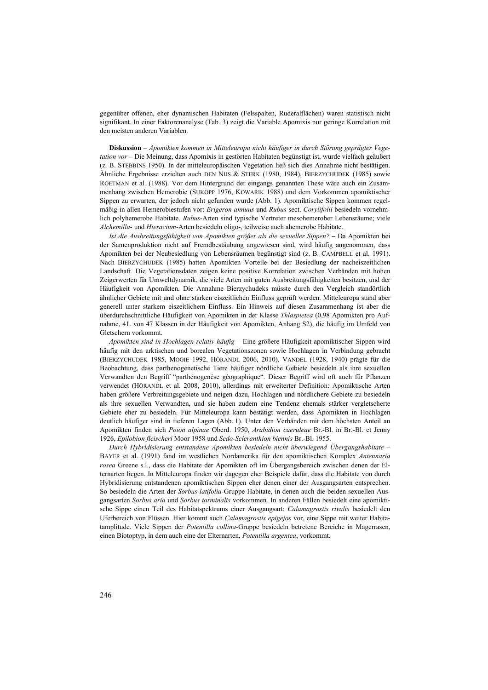gegenüber offenen, eher dynamischen Habitaten (Felsspalten, Ruderalflächen) waren statistisch nicht signifikant. In einer Faktorenanalyse (Tab. 3) zeigt die Variable Apomixis nur geringe Korrelation mit den meisten anderen Variablen.

**Diskussion** – *Apomikten kommen in Mitteleuropa nicht häufiger in durch Störung geprägter Vegetation vor* **–** Die Meinung, dass Apomixis in gestörten Habitaten begünstigt ist, wurde vielfach geäußert (z. B. STEBBINS 1950). In der mitteleuropäischen Vegetation ließ sich dies Annahme nicht bestätigen. Ähnliche Ergebnisse erzielten auch DEN NIJS & STERK (1980, 1984), BIERZYCHUDEK (1985) sowie ROETMAN et al. (1988). Vor dem Hintergrund der eingangs genannten These wäre auch ein Zusammenhang zwischen Hemerobie (SUKOPP 1976, KOWARIK 1988) und dem Vorkommen apomiktischer Sippen zu erwarten, der jedoch nicht gefunden wurde (Abb. 1). Apomiktische Sippen kommen regelmäßig in allen Hemerobiestufen vor: *Erigeron annuus* und *Rubus* sect. *Corylifolii* besiedeln vornehmlich polyhemerobe Habitate. *Rubus-*Arten sind typische Vertreter mesohemerober Lebensräume; viele *Alchemilla-* und *Hieracium-*Arten besiedeln oligo-, teilweise auch ahemerobe Habitate.

*Ist die Ausbreitungsfähigkeit von Apomikten größer als die sexueller Sippen?* **–** Da Apomikten bei der Samenproduktion nicht auf Fremdbestäubung angewiesen sind, wird häufig angenommen, dass Apomikten bei der Neubesiedlung von Lebensräumen begünstigt sind (z. B. CAMPBELL et al. 1991). Nach BIERZYCHUDEK (1985) hatten Apomikten Vorteile bei der Besiedlung der nacheiszeitlichen Landschaft. Die Vegetationsdaten zeigen keine positive Korrelation zwischen Verbänden mit hohen Zeigerwerten für Umweltdynamik, die viele Arten mit guten Ausbreitungsfähigkeiten besitzen, und der Häufigkeit von Apomikten. Die Annahme Bierzychudeks müsste durch den Vergleich standörtlich ähnlicher Gebiete mit und ohne starken eiszeitlichen Einfluss geprüft werden. Mitteleuropa stand aber generell unter starkem eiszeitlichem Einfluss. Ein Hinweis auf diesen Zusammenhang ist aber die überdurchschnittliche Häufigkeit von Apomikten in der Klasse *Thlaspietea* (0,98 Apomikten pro Aufnahme, 41. von 47 Klassen in der Häufigkeit von Apomikten, Anhang S2), die häufig im Umfeld von Gletschern vorkommt.

*Apomikten sind in Hochlagen relativ häufig* – Eine größere Häufigkeit apomiktischer Sippen wird häufig mit den arktischen und borealen Vegetationszonen sowie Hochlagen in Verbindung gebracht (BIERZYCHUDEK 1985, MOGIE 1992, HÖRANDL 2006, 2010). VANDEL (1928, 1940) prägte für die Beobachtung, dass parthenogenetische Tiere häufiger nördliche Gebiete besiedeln als ihre sexuellen Verwandten den Begriff "parthénogenèse géographique". Dieser Begriff wird oft auch für Pflanzen verwendet (HÖRANDL et al. 2008, 2010), allerdings mit erweiterter Definition: Apomiktische Arten haben größere Verbreitungsgebiete und neigen dazu, Hochlagen und nördlichere Gebiete zu besiedeln als ihre sexuellen Verwandten, und sie haben zudem eine Tendenz ehemals stärker vergletscherte Gebiete eher zu besiedeln. Für Mitteleuropa kann bestätigt werden, dass Apomikten in Hochlagen deutlich häufiger sind in tieferen Lagen (Abb. 1). Unter den Verbänden mit dem höchsten Anteil an Apomikten finden sich *Poion alpinae* Oberd. 1950, *Arabidion caeruleae* Br.-Bl. in Br.-Bl. et Jenny 1926, *Epilobion fleischeri* Moor 1958 und *Sedo-Scleranthion biennis* Br.-Bl. 1955.

*Durch Hybridisierung entstandene Apomikten besiedeln nicht überwiegend Übergangshabitate* – BAYER et al. (1991) fand im westlichen Nordamerika für den apomiktischen Komplex *Antennaria rosea* Greene s.l., dass die Habitate der Apomikten oft im Übergangsbereich zwischen denen der Elternarten liegen. In Mitteleuropa finden wir dagegen eher Beispiele dafür, dass die Habitate von durch Hybridisierung entstandenen apomiktischen Sippen eher denen einer der Ausgangsarten entsprechen. So besiedeln die Arten der *Sorbus latifolia-*Gruppe Habitate, in denen auch die beiden sexuellen Ausgangsarten *Sorbus aria* und *Sorbus torminalis* vorkommen. In anderen Fällen besiedelt eine apomiktische Sippe einen Teil des Habitatspektrums einer Ausgangsart: *Calamagrostis rivalis* besiedelt den Uferbereich von Flüssen. Hier kommt auch *Calamagrostis epigejos* vor, eine Sippe mit weiter Habitatamplitude. Viele Sippen der *Potentilla collina-*Gruppe besiedeln betretene Bereiche in Magerrasen, einen Biotoptyp, in dem auch eine der Elternarten, *Potentilla argentea*, vorkommt.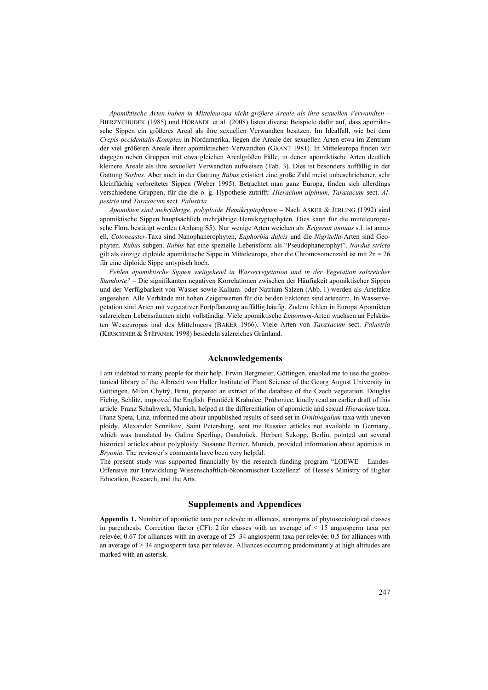*Apomiktische Arten haben in Mitteleuropa nicht größere Areale als ihre sexuellen Verwandten* – BIERZYCHUDEK (1985) und HÖRANDL et al. (2008) listen diverse Beispiele dafür auf, dass apomiktische Sippen ein größeres Areal als ihre sexuellen Verwandten besitzen. Im Idealfall, wie bei dem *Crepis-occidentalis-Komplex* in Nordamerika, liegen die Areale der sexuellen Arten etwa im Zentrum der viel größeren Areale ihrer apomiktischen Verwandten (GRANT 1981). In Mitteleuropa finden wir dagegen neben Gruppen mit etwa gleichen Arealgrößen Fälle, in denen apomiktische Arten deutlich kleinere Areale als ihre sexuellen Verwandten aufweisen (Tab. 3). Dies ist besonders auffällig in der Gattung *Sorbus*. Aber auch in der Gattung *Rubus* existiert eine große Zahl meist unbeschriebener, sehr kleinflächig verbreiteter Sippen (Weber 1995). Betrachtet man ganz Europa, finden sich allerdings verschiedene Gruppen, für die die o. g. Hypothese zutrifft: *Hieracium alpinum*, *Taraxacum* sect. *Alpestria* und *Taraxacum* sect. *Palustria.*

*Apomikten sind mehrjährige, polyploide Hemikryptophyten* – Nach ASKER & JERLING (1992) sind apomiktische Sippen hauptsächlich mehrjährige Hemikryptophyten. Dies kann für die mitteleuropäische Flora bestätigt werden (Anhang S5). Nur wenige Arten weichen ab: *Erigeron annuus* s.l. ist annuell, *Cotoneaster-*Taxa sind Nanophanerophyten, *Euphorbia dulcis* und die *Nigritella-*Arten sind Geophyten. *Rubus* subgen. *Rubus* hat eine spezielle Lebensform als "Pseudophanerophyt". *Nardus stricta* gilt als einzige diploide apomiktische Sippe in Mitteleuropa, aber die Chromosomenzahl ist mit  $2n = 26$ für eine diploide Sippe untypisch hoch.

*Fehlen apomiktische Sippen weitgehend in Wasservegetation und in der Vegetation salzreicher Standorte?* – Die signifikanten negativen Korrelationen zwischen der Häufigkeit apomiktischer Sippen und der Verfügbarkeit von Wasser sowie Kalium- oder Natrium-Salzen (Abb. 1) werden als Artefakte angesehen. Alle Verbände mit hohen Zeigerwerten für die beiden Faktoren sind artenarm. In Wasservegetation sind Arten mit vegetativer Fortpflanzung auffällig häufig. Zudem fehlen in Europa Apomikten salzreichen Lebensräumen nicht vollständig. Viele apomiktische *Limonium-*Arten wachsen an Felsküsten Westeuropas und des Mittelmeers (BAKER 1966). Viele Arten von *Taraxacum* sect. *Palustria* (KIRSCHNER & ŠTĔPÁNEK 1998) besiedeln salzreiches Grünland.

### **Acknowledgements**

I am indebted to many people for their help. Erwin Bergmeier, Göttingen, enabled me to use the geobotanical library of the Albrecht von Haller Institute of Plant Science of the Georg August University in Göttingen. Milan Chytrý, Brnu, prepared an extract of the database of the Czech vegetation. Douglas Fiebig, Schlitz, improved the English. Frantiček Krahulec, Průhonice, kindly read an earlier draft of this article. Franz Schuhwerk, Munich, helped at the differentiation of apomictic and sexual *Hieracium* taxa. Franz Speta, Linz, informed me about unpublished results of seed set in *Ornithogalum* taxa with uneven ploidy. Alexander Sennikov, Saint Petersburg, sent me Russian articles not available in Germany, which was translated by Galina Sperling, Osnabrück. Herbert Sukopp, Berlin, pointed out several historical articles about polyploidy. Susanne Renner, Munich, provided information about apomixis in *Bryonia*. The reviewer's comments have been very helpful.

The present study was supported financially by the research funding program "LOEWE – Landes-Offensive zur Entwicklung Wissenschaftlich-ökonomischer Exzellenz" of Hesse's Ministry of Higher Education, Research, and the Arts.

## **Supplements and Appendices**

**Appendix 1.** Number of apomictic taxa per relevée in alliances, acronyms of phytosociological classes in parenthesis. Correction factor (CF): 2 for classes with an average of  $\leq$  15 angiosperm taxa per relevée; 0.67 for alliances with an average of 25–34 angiosperm taxa per relevée; 0.5 for alliances with an average of > 34 angiosperm taxa per relevée. Alliances occurring predominantly at high altitudes are marked with an asterisk.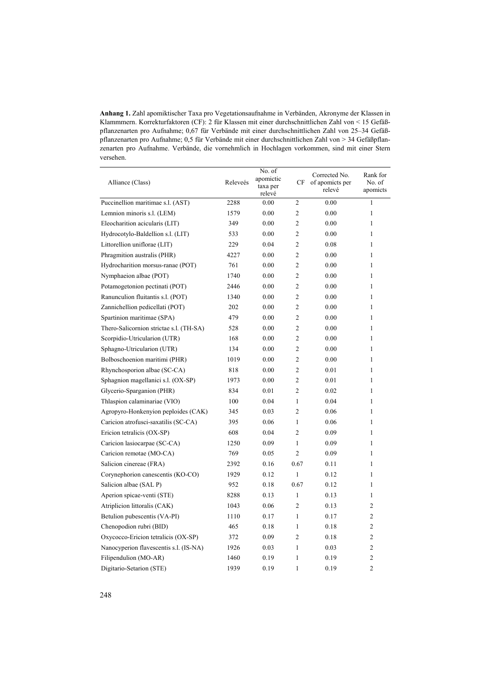**Anhang 1.** Zahl apomiktischer Taxa pro Vegetationsaufnahme in Verbänden, Akronyme der Klassen in Klammmern. Korrekturfaktoren (CF): 2 für Klassen mit einer durchschnittlichen Zahl von < 15 Gefäßpflanzenarten pro Aufnahme; 0,67 für Verbände mit einer durchschnittlichen Zahl von 25–34 Gefäßpflanzenarten pro Aufnahme; 0,5 für Verbände mit einer durchschnittlichen Zahl von > 34 Gefäßpflanzenarten pro Aufnahme. Verbände, die vornehmlich in Hochlagen vorkommen, sind mit einer Stern versehen.

| Alliance (Class)                        | Releveés | No. of<br>apomictic<br>taxa per<br>relevé | CF             | Corrected No.<br>of apomicts per<br>relevé | Rank for<br>No. of<br>apomicts |
|-----------------------------------------|----------|-------------------------------------------|----------------|--------------------------------------------|--------------------------------|
| Puccinellion maritimae s.l. (AST)       | 2288     | 0.00                                      | $\overline{c}$ | 0.00                                       | 1                              |
| Lemnion minoris s.l. (LEM)              | 1579     | 0.00                                      | 2              | 0.00                                       | 1                              |
| Eleocharition acicularis (LIT)          | 349      | 0.00                                      | $\overline{c}$ | 0.00                                       | 1                              |
| Hydrocotylo-Baldellion s.l. (LIT)       | 533      | 0.00                                      | $\overline{c}$ | 0.00                                       | $\mathbf{1}$                   |
| Littorellion uniflorae (LIT)            | 229      | 0.04                                      | $\overline{2}$ | 0.08                                       | 1                              |
| Phragmition australis (PHR)             | 4227     | 0.00                                      | $\overline{2}$ | 0.00                                       | 1                              |
| Hydrocharition morsus-ranae (POT)       | 761      | 0.00                                      | $\overline{2}$ | 0.00                                       | 1                              |
| Nymphaeion albae (POT)                  | 1740     | 0.00                                      | 2              | 0.00                                       | 1                              |
| Potamogetonion pectinati (POT)          | 2446     | 0.00                                      | $\overline{c}$ | 0.00                                       | 1                              |
| Ranunculion fluitantis s.l. (POT)       | 1340     | 0.00                                      | $\overline{c}$ | 0.00                                       | 1                              |
| Zannichellion pedicellati (POT)         | 202      | 0.00                                      | $\overline{c}$ | 0.00                                       | 1                              |
| Spartinion maritimae (SPA)              | 479      | 0.00                                      | $\overline{c}$ | 0.00                                       | 1                              |
| Thero-Salicornion strictae s.l. (TH-SA) | 528      | 0.00                                      | $\overline{c}$ | 0.00                                       | 1                              |
| Scorpidio-Utricularion (UTR)            | 168      | 0.00                                      | $\overline{c}$ | 0.00                                       | 1                              |
| Sphagno-Utricularion (UTR)              | 134      | 0.00                                      | $\overline{c}$ | 0.00                                       | $\mathbf{1}$                   |
| Bolboschoenion maritimi (PHR)           | 1019     | 0.00                                      | $\overline{c}$ | 0.00                                       | 1                              |
| Rhynchosporion albae (SC-CA)            | 818      | 0.00                                      | $\overline{c}$ | 0.01                                       | 1                              |
| Sphagnion magellanici s.l. (OX-SP)      | 1973     | 0.00                                      | $\overline{2}$ | 0.01                                       | 1                              |
| Glycerio-Sparganion (PHR)               | 834      | 0.01                                      | 2              | 0.02                                       | $\mathbf{1}$                   |
| Thlaspion calaminariae (VIO)            | 100      | 0.04                                      | $\mathbf{1}$   | 0.04                                       | 1                              |
| Agropyro-Honkenyion peploides (CAK)     | 345      | 0.03                                      | $\overline{2}$ | 0.06                                       | 1                              |
| Caricion atrofusci-saxatilis (SC-CA)    | 395      | 0.06                                      | $\mathbf{1}$   | 0.06                                       | 1                              |
| Ericion tetralicis (OX-SP)              | 608      | 0.04                                      | $\overline{c}$ | 0.09                                       | 1                              |
| Caricion lasiocarpae (SC-CA)            | 1250     | 0.09                                      | 1              | 0.09                                       | 1                              |
| Caricion remotae (MO-CA)                | 769      | 0.05                                      | $\overline{c}$ | 0.09                                       | 1                              |
| Salicion cinereae (FRA)                 | 2392     | 0.16                                      | 0.67           | 0.11                                       | 1                              |
| Corynephorion canescentis (KO-CO)       | 1929     | 0.12                                      | 1              | 0.12                                       | 1                              |
| Salicion albae (SAL P)                  | 952      | 0.18                                      | 0.67           | 0.12                                       | 1                              |
| Aperion spicae-venti (STE)              | 8288     | 0.13                                      | $\mathbf{1}$   | 0.13                                       | 1                              |
| Atriplicion littoralis (CAK)            | 1043     | 0.06                                      | $\overline{c}$ | 0.13                                       | $\overline{2}$                 |
| Betulion pubescentis (VA-PI)            | 1110     | 0.17                                      | $\mathbf{1}$   | 0.17                                       | $\overline{2}$                 |
| Chenopodion rubri (BID)                 | 465      | 0.18                                      | $\mathbf{1}$   | 0.18                                       | 2                              |
| Oxycocco-Ericion tetralicis (OX-SP)     | 372      | 0.09                                      | $\overline{2}$ | 0.18                                       | $\mathfrak{2}$                 |
| Nanocyperion flavescentis s.l. (IS-NA)  | 1926     | 0.03                                      | 1              | 0.03                                       | $\overline{2}$                 |
| Filipendulion (MO-AR)                   | 1460     | 0.19                                      | 1              | 0.19                                       | $\overline{c}$                 |
| Digitario-Setarion (STE)                | 1939     | 0.19                                      | 1              | 0.19                                       | $\overline{2}$                 |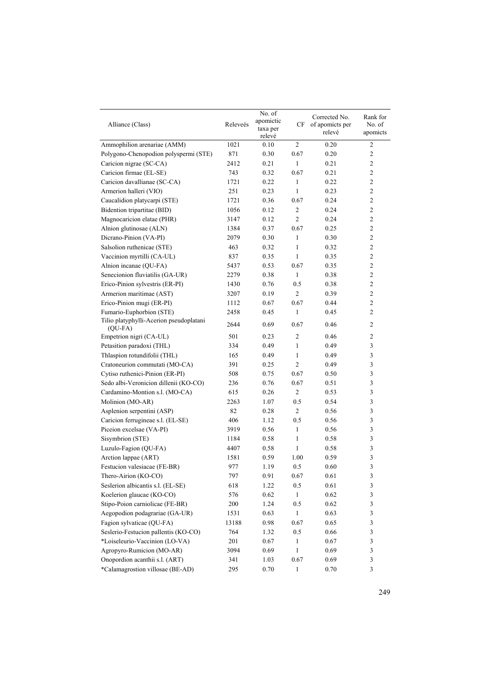| Alliance (Class)                                     | Releveés | No. of<br>apomictic<br>taxa per<br>relevé | CF             | Corrected No.<br>of apomicts per<br>relevé | Rank for<br>No. of<br>apomicts |
|------------------------------------------------------|----------|-------------------------------------------|----------------|--------------------------------------------|--------------------------------|
| Ammophilion arenariae (AMM)                          | 1021     | 0.10                                      | 2              | 0.20                                       | $\overline{c}$                 |
| Polygono-Chenopodion polyspermi (STE)                | 871      | 0.30                                      | 0.67           | 0.20                                       | $\overline{2}$                 |
| Caricion nigrae (SC-CA)                              | 2412     | 0.21                                      | $\mathbf{1}$   | 0.21                                       | $\overline{c}$                 |
| Caricion firmae (EL-SE)                              | 743      | 0.32                                      | 0.67           | 0.21                                       | $\overline{c}$                 |
| Caricion davallianae (SC-CA)                         | 1721     | 0.22                                      | 1              | 0.22                                       | $\overline{c}$                 |
| Armerion halleri (VIO)                               | 251      | 0.23                                      | 1              | 0.23                                       | $\overline{2}$                 |
| Caucalidion platycarpi (STE)                         | 1721     | 0.36                                      | 0.67           | 0.24                                       | $\overline{2}$                 |
| Bidention tripartitae (BID)                          | 1056     | 0.12                                      | 2              | 0.24                                       | $\overline{2}$                 |
| Magnocaricion elatae (PHR)                           | 3147     | 0.12                                      | $\overline{c}$ | 0.24                                       | $\sqrt{2}$                     |
| Alnion glutinosae (ALN)                              | 1384     | 0.37                                      | 0.67           | 0.25                                       | $\overline{c}$                 |
| Dicrano-Pinion (VA-PI)                               | 2079     | 0.30                                      | $\mathbf{1}$   | 0.30                                       | $\overline{2}$                 |
| Salsolion ruthenicae (STE)                           | 463      | 0.32                                      | 1              | 0.32                                       | $\overline{c}$                 |
| Vaccinion myrtilli (CA-UL)                           | 837      | 0.35                                      | $\mathbf{1}$   | 0.35                                       | $\sqrt{2}$                     |
| Alnion incanae (QU-FA)                               | 5437     | 0.53                                      | 0.67           | 0.35                                       | $\overline{c}$                 |
| Senecionion fluviatilis (GA-UR)                      | 2279     | 0.38                                      | 1              | 0.38                                       | $\sqrt{2}$                     |
| Erico-Pinion sylvestris (ER-PI)                      | 1430     | 0.76                                      | 0.5            | 0.38                                       | $\overline{2}$                 |
| Armerion maritimae (AST)                             | 3207     | 0.19                                      | $\overline{2}$ | 0.39                                       | $\overline{2}$                 |
| Erico-Pinion mugi (ER-PI)                            | 1112     | 0.67                                      | 0.67           | 0.44                                       | $\sqrt{2}$                     |
| Fumario-Euphorbion (STE)                             | 2458     | 0.45                                      | 1              | 0.45                                       | $\overline{c}$                 |
| Tilio platyphylli-Acerion pseudoplatani<br>$(QU-FA)$ | 2644     | 0.69                                      | 0.67           | 0.46                                       | $\overline{c}$                 |
| Empetrion nigri (CA-UL)                              | 501      | 0.23                                      | 2              | 0.46                                       | $\overline{c}$                 |
| Petasition paradoxi (THL)                            | 334      | 0.49                                      | 1              | 0.49                                       | $\mathfrak z$                  |
| Thlaspion rotundifolii (THL)                         | 165      | 0.49                                      | $\mathbf{1}$   | 0.49                                       | 3                              |
| Cratoneurion commutati (MO-CA)                       | 391      | 0.25                                      | $\overline{c}$ | 0.49                                       | 3                              |
| Cytiso ruthenici-Pinion (ER-PI)                      | 508      | 0.75                                      | 0.67           | 0.50                                       | 3                              |
| Sedo albi-Veronicion dillenii (KO-CO)                | 236      | 0.76                                      | 0.67           | 0.51                                       | 3                              |
| Cardamino-Montion s.l. (MO-CA)                       | 615      | 0.26                                      | 2              | 0.53                                       | $\overline{3}$                 |
| Molinion (MO-AR)                                     | 2263     | 1.07                                      | 0.5            | 0.54                                       | $\mathfrak{Z}$                 |
| Asplenion serpentini (ASP)                           | 82       | 0.28                                      | $\overline{c}$ | 0.56                                       | $\mathfrak{Z}$                 |
| Caricion ferrugineae s.l. (EL-SE)                    | 406      | 1.12                                      | 0.5            | 0.56                                       | $\mathfrak{Z}$                 |
| Piceion excelsae (VA-PI)                             | 3919     | 0.56                                      | $\mathbf{1}$   | 0.56                                       | 3                              |
| Sisymbrion (STE)                                     | 1184     | 0.58                                      | 1              | 0.58                                       | 3                              |
| Luzulo-Fagion (QU-FA)                                | 4407     | 0.58                                      | $\mathbf{1}$   | 0.58                                       | 3                              |
| Arction lappae (ART)                                 | 1581     | 0.59                                      | 1.00           | 0.59                                       | 3                              |
| Festucion valesiacae (FE-BR)                         | 977      | 1.19                                      | 0.5            | 0.60                                       | 3                              |
| Thero-Airion (KO-CO)                                 | 797      | 0.91                                      | 0.67           | 0.61                                       | $\mathfrak{Z}$                 |
| Seslerion albicantis s.l. (EL-SE)                    | 618      | 1.22                                      | 0.5            | 0.61                                       | $\mathfrak{Z}$                 |
| Koelerion glaucae (KO-CO)                            | 576      | 0.62                                      | $\,1$          | 0.62                                       | $\mathfrak{Z}$                 |
| Stipo-Poion carniolicae (FE-BR)                      | 200      | 1.24                                      | 0.5            | 0.62                                       | $\ensuremath{\mathfrak{Z}}$    |
| Aegopodion podagrariae (GA-UR)                       | 1531     | 0.63                                      | $\mathbf{1}$   | 0.63                                       | $\mathfrak{Z}$                 |
| Fagion sylvaticae (QU-FA)                            | 13188    | 0.98                                      | 0.67           | 0.65                                       | 3                              |
| Seslerio-Festucion pallentis (KO-CO)                 | 764      | 1.32                                      | 0.5            | 0.66                                       | 3                              |
| *Loiseleurio-Vaccinion (LO-VA)                       | 201      | 0.67                                      | 1              | 0.67                                       | 3                              |
| Agropyro-Rumicion (MO-AR)                            | 3094     | 0.69                                      | 1              | 0.69                                       | 3                              |
| Onopordion acanthii s.l. (ART)                       | 341      | 1.03                                      | 0.67           | 0.69                                       | 3                              |
| *Calamagrostion villosae (BE-AD)                     | 295      | 0.70                                      | 1              | 0.70                                       | $\overline{3}$                 |
|                                                      |          |                                           |                |                                            |                                |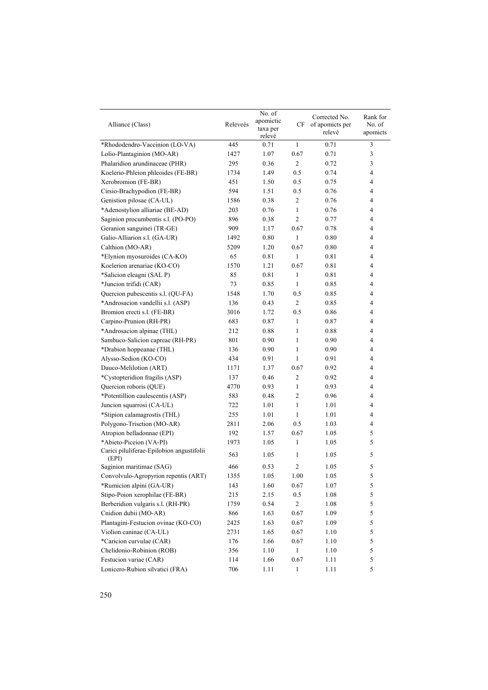| Alliance (Class)                                   | Releveés | No. of<br>apomictic<br>taxa per<br>relevé | CF             | Corrected No.<br>of apomicts per<br>relevé | Rank for<br>No. of<br>apomicts |
|----------------------------------------------------|----------|-------------------------------------------|----------------|--------------------------------------------|--------------------------------|
| *Rhododendro-Vaccinion (LO-VA)                     | 445      | 0.71                                      | 1              | 0.71                                       | 3                              |
| Lolio-Plantaginion (MO-AR)                         | 1427     | 1.07                                      | 0.67           | 0.71                                       | 3                              |
| Phalaridion arundinaceae (PHR)                     | 295      | 0.36                                      | 2              | 0.72                                       | $\mathfrak z$                  |
| Koelerio-Phleion phleoides (FE-BR)                 | 1734     | 1.49                                      | 0.5            | 0.74                                       | 4                              |
| Xerobromion (FE-BR)                                | 451      | 1.50                                      | 0.5            | 0.75                                       | 4                              |
| Cirsio-Brachypodion (FE-BR)                        | 594      | 1.51                                      | 0.5            | 0.76                                       | 4                              |
| Genistion pilosae (CA-UL)                          | 1586     | 0.38                                      | 2              | 0.76                                       | 4                              |
| *Adenostylion alliariae (BE-AD)                    | 203      | 0.76                                      | 1              | 0.76                                       | 4                              |
| Saginion procumbentis s.l. (PO-PO)                 | 896      | 0.38                                      | 2              | 0.77                                       | 4                              |
| Geranion sanguinei (TR-GE)                         | 909      | 1.17                                      | 0.67           | 0.78                                       | 4                              |
| Galio-Alliarion s.l. (GA-UR)                       | 1492     | 0.80                                      | 1              | 0.80                                       | 4                              |
| Calthion (MO-AR)                                   | 5209     | 1.20                                      | 0.67           | 0.80                                       | 4                              |
| *Elynion myosuroides (CA-KO)                       | 65       | 0.81                                      | 1              | 0.81                                       | 4                              |
| Koelerion arenariae (KO-CO)                        | 1570     | 1.21                                      | 0.67           | 0.81                                       | 4                              |
| *Salicion eleagni (SAL P)                          | 85       | 0.81                                      | $\mathbf{1}$   | 0.81                                       | 4                              |
| *Juncion trifidi (CAR)                             | 73       | 0.85                                      | 1              | 0.85                                       | 4                              |
| Quercion pubescentis s.l. (QU-FA)                  | 1548     | 1.70                                      | 0.5            | 0.85                                       | 4                              |
| *Androsacion vandellii s.l. (ASP)                  | 136      | 0.43                                      | 2              | 0.85                                       | 4                              |
| Bromion erecti s.l. (FE-BR)                        | 3016     | 1.72                                      | 0.5            | 0.86                                       | 4                              |
| Carpino-Prunion (RH-PR)                            | 683      | 0.87                                      | $\mathbf{1}$   | 0.87                                       | 4                              |
| *Androsacion alpinae (THL)                         | 212      | 0.88                                      | 1              | 0.88                                       | 4                              |
| Sambuco-Salicion capreae (RH-PR)                   | 801      | 0.90                                      | 1              | 0.90                                       | 4                              |
| *Drabion hoppeanae (THL)                           | 136      | 0.90                                      | 1              | 0.90                                       | 4                              |
| Alysso-Sedion (KO-CO)                              | 434      | 0.91                                      | 1              | 0.91                                       | 4                              |
| Dauco-Melilotion (ART)                             | 1171     | 1.37                                      | 0.67           | 0.92                                       | 4                              |
| *Cystopteridion fragilis (ASP)                     | 137      | 0.46                                      | 2              | 0.92                                       | 4                              |
| Quercion roboris (QUE)                             | 4770     | 0.93                                      | 1              | 0.93                                       | 4                              |
| *Potentillion caulescentis (ASP)                   | 583      | 0.48                                      | 2              | 0.96                                       | 4                              |
| Juncion squarrosi (CA-UL)                          | 722      | 1.01                                      | 1              | 1.01                                       | 4                              |
| *Stipion calamagrostis (THL)                       | 255      | 1.01                                      | 1              | 1.01                                       | 4                              |
| Polygono-Trisetion (MO-AR)                         | 2811     | 2.06                                      | 0.5            | 1.03                                       | 4                              |
| Atropion belladonnae (EPI)                         | 192      | 1.57                                      | 0.67           | 1.05                                       | 5                              |
| *Abieto-Piceion (VA-PI)                            | 1973     | 1.05                                      | 1              | 1.05                                       | 5                              |
| Carici piluliferae-Epilobion angustifolii<br>(EPI) | 563      | 1.05                                      | 1              | 1.05                                       | 5                              |
| Saginion maritimae (SAG)                           | 466      | 0.53                                      | $\overline{2}$ | 1.05                                       | 5                              |
| Convolvulo-Agropyrion repentis (ART)               | 1355     | $1.05\,$                                  | 1.00           | 1.05                                       | 5                              |
| *Rumicion alpini (GA-UR)                           | 143      | 1.60                                      | 0.67           | 1.07                                       | $\sqrt{5}$                     |
| Stipo-Poion xerophilae (FE-BR)                     | 215      | 2.15                                      | 0.5            | 1.08                                       | 5                              |
| Berberidion vulgaris s.l. (RH-PR)                  | 1759     | 0.54                                      | $\overline{c}$ | 1.08                                       | 5                              |
| Cnidion dubii (MO-AR)                              | 866      | 1.63                                      | 0.67           | 1.09                                       | 5                              |
| Plantagini-Festucion ovinae (KO-CO)                | 2425     | 1.63                                      | 0.67           | 1.09                                       | 5                              |
| Violion caninae (CA-UL)                            | 2731     | 1.65                                      | 0.67           | 1.10                                       | 5                              |
| *Caricion curvulae (CAR)                           | 176      | 1.66                                      | 0.67           | 1.10                                       | 5                              |
| Chelidonio-Robinion (ROB)                          | 356      | 1.10                                      | $\mathbf{1}$   | 1.10                                       | 5                              |
| Festucion variae (CAR)                             | 114      | 1.66                                      | 0.67           | 1.11                                       | 5                              |
| Lonicero-Rubion silvatici (FRA)                    | 706      | 1.11                                      | $\mathbf{1}$   | 1.11                                       | 5                              |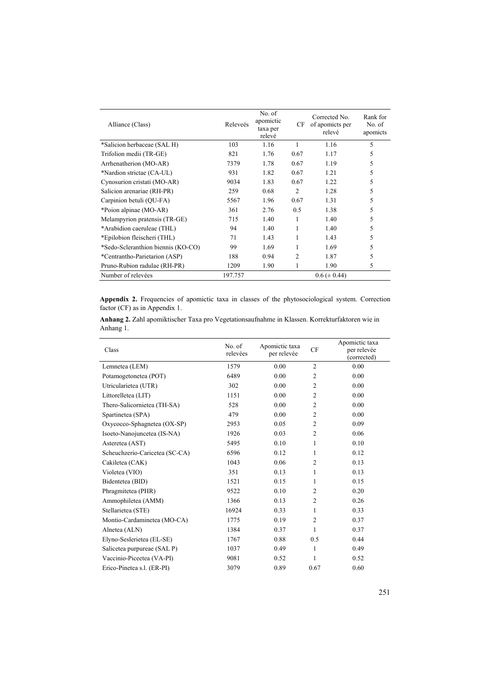| Alliance (Class)                   | Releveés | No. of<br>apomictic<br>taxa per<br>relevé | CF             | Corrected No.<br>of apomicts per<br>relevé | Rank for<br>No. of<br>apomicts |
|------------------------------------|----------|-------------------------------------------|----------------|--------------------------------------------|--------------------------------|
| *Salicion herbaceae (SAL H)        | 103      | 1.16                                      | 1              | 1.16                                       | 5                              |
| Trifolion medii (TR-GE)            | 821      | 1.76                                      | 0.67           | 1.17                                       | 5                              |
| Arrhenatherion (MO-AR)             | 7379     | 1.78                                      | 0.67           | 1.19                                       | 5                              |
| *Nardion strictae (CA-UL)          | 931      | 1.82                                      | 0.67           | 1.21                                       | 5                              |
| Cynosurion cristati (MO-AR)        | 9034     | 1.83                                      | 0.67           | 1.22                                       | 5                              |
| Salicion arenariae (RH-PR)         | 259      | 0.68                                      | $\overline{2}$ | 1.28                                       | 5                              |
| Carpinion betuli (QU-FA)           | 5567     | 1.96                                      | 0.67           | 1.31                                       | 5                              |
| *Poion alpinae (MO-AR)             | 361      | 2.76                                      | 0.5            | 1.38                                       | 5                              |
| Melampyrion pratensis (TR-GE)      | 715      | 1.40                                      | 1              | 1.40                                       | 5                              |
| *Arabidion caeruleae (THL)         | 94       | 1.40                                      | 1              | 1.40                                       | 5                              |
| *Epilobion fleischeri (THL)        | 71       | 1.43                                      | 1              | 1.43                                       | 5                              |
| *Sedo-Scleranthion biennis (KO-CO) | 99       | 1.69                                      |                | 1.69                                       | 5                              |
| *Centrantho-Parietarion (ASP)      | 188      | 0.94                                      | $\overline{2}$ | 1.87                                       | 5                              |
| Pruno-Rubion radulae (RH-PR)       | 1209     | 1.90                                      |                | 1.90                                       | 5                              |
| Number of relevées                 | 197.757  |                                           |                | $0.6 (\pm 0.44)$                           |                                |

**Appendix 2.** Frequencies of apomictic taxa in classes of the phytosociological system. Correction factor (CF) as in Appendix 1.

|           |  |  | Anhang 2. Zahl apomiktischer Taxa pro Vegetationsaufnahme in Klassen. Korrekturfaktoren wie in |  |
|-----------|--|--|------------------------------------------------------------------------------------------------|--|
| Anhang 1. |  |  |                                                                                                |  |

| Class                          | No. of<br>relevées | Apomictic taxa<br>per relevée | CF             | Apomictic taxa<br>per relevée<br>(corrected) |
|--------------------------------|--------------------|-------------------------------|----------------|----------------------------------------------|
| Lemnetea (LEM)                 | 1579               | 0.00                          | $\overline{2}$ | 0.00                                         |
| Potamogetonetea (POT)          | 6489               | 0.00                          | $\overline{2}$ | 0.00                                         |
| Utricularietea (UTR)           | 302                | 0.00                          | $\overline{2}$ | 0.00                                         |
| Littorelletea (LIT)            | 1151               | 0.00                          | $\overline{2}$ | 0.00                                         |
| Thero-Salicornietea (TH-SA)    | 528                | 0.00                          | $\overline{2}$ | 0.00                                         |
| Spartinetea (SPA)              | 479                | 0.00                          | $\overline{2}$ | 0.00                                         |
| Oxycocco-Sphagnetea (OX-SP)    | 2953               | 0.05                          | $\overline{2}$ | 0.09                                         |
| Isoeto-Nanojuncetea (IS-NA)    | 1926               | 0.03                          | $\overline{2}$ | 0.06                                         |
| Asteretea (AST)                | 5495               | 0.10                          | 1              | 0.10                                         |
| Scheuchzerio-Caricetea (SC-CA) | 6596               | 0.12                          | 1              | 0.12                                         |
| Cakiletea (CAK)                | 1043               | 0.06                          | $\overline{2}$ | 0.13                                         |
| Violetea (VIO)                 | 351                | 0.13                          | 1              | 0.13                                         |
| Bidentetea (BID)               | 1521               | 0.15                          | 1              | 0.15                                         |
| Phragmitetea (PHR)             | 9522               | 0.10                          | $\overline{2}$ | 0.20                                         |
| Ammophiletea (AMM)             | 1366               | 0.13                          | $\overline{2}$ | 0.26                                         |
| Stellarietea (STE)             | 16924              | 0.33                          | 1              | 0.33                                         |
| Montio-Cardaminetea (MO-CA)    | 1775               | 0.19                          | $\overline{2}$ | 0.37                                         |
| Alnetea (ALN)                  | 1384               | 0.37                          | 1              | 0.37                                         |
| Elyno-Seslerietea (EL-SE)      | 1767               | 0.88                          | 0.5            | 0.44                                         |
| Salicetea purpureae (SAL P)    | 1037               | 0.49                          | 1              | 0.49                                         |
| Vaccinio-Piceetea (VA-PI)      | 9081               | 0.52                          | 1              | 0.52                                         |
| Erico-Pinetea s.l. (ER-PI)     | 3079               | 0.89                          | 0.67           | 0.60                                         |
|                                |                    |                               |                |                                              |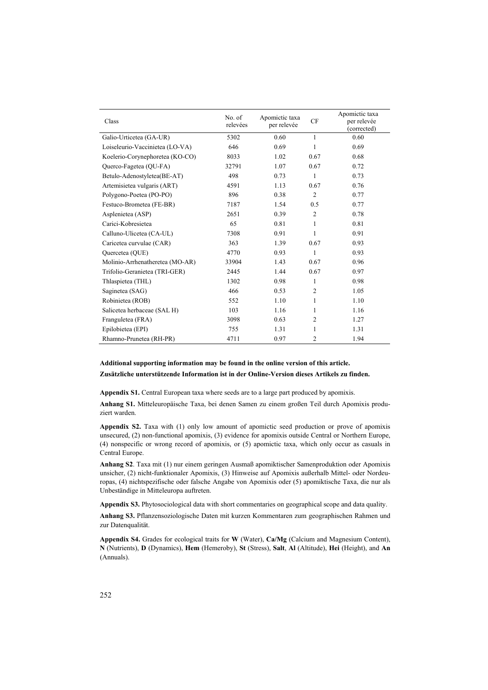| Class                           | No. of<br>relevées | Apomictic taxa<br>per relevée | <b>CF</b>      | Apomictic taxa<br>per relevée<br>(corrected) |
|---------------------------------|--------------------|-------------------------------|----------------|----------------------------------------------|
| Galio-Urticetea (GA-UR)         | 5302               | 0.60                          | 1              | 0.60                                         |
| Loiseleurio-Vaccinietea (LO-VA) | 646                | 0.69                          | 1              | 0.69                                         |
| Koelerio-Corynephoretea (KO-CO) | 8033               | 1.02                          | 0.67           | 0.68                                         |
| Querco-Fagetea (QU-FA)          | 32791              | 1.07                          | 0.67           | 0.72                                         |
| Betulo-Adenostyletea(BE-AT)     | 498                | 0.73                          | 1              | 0.73                                         |
| Artemisietea vulgaris (ART)     | 4591               | 1.13                          | 0.67           | 0.76                                         |
| Polygono-Poetea (PO-PO)         | 896                | 0.38                          | 2              | 0.77                                         |
| Festuco-Brometea (FE-BR)        | 7187               | 1.54                          | 0.5            | 0.77                                         |
| Asplenietea (ASP)               | 2651               | 0.39                          | 2              | 0.78                                         |
| Carici-Kobresietea              | 65                 | 0.81                          | 1              | 0.81                                         |
| Calluno-Ulicetea (CA-UL)        | 7308               | 0.91                          | 1              | 0.91                                         |
| Caricetea curvulae (CAR)        | 363                | 1.39                          | 0.67           | 0.93                                         |
| Quercetea (QUE)                 | 4770               | 0.93                          | 1              | 0.93                                         |
| Molinio-Arrhenatheretea (MO-AR) | 33904              | 1.43                          | 0.67           | 0.96                                         |
| Trifolio-Geranietea (TRI-GER)   | 2445               | 1.44                          | 0.67           | 0.97                                         |
| Thlaspietea (THL)               | 1302               | 0.98                          | 1              | 0.98                                         |
| Saginetea (SAG)                 | 466                | 0.53                          | $\overline{2}$ | 1.05                                         |
| Robinietea (ROB)                | 552                | 1.10                          | 1              | 1.10                                         |
| Salicetea herbaceae (SAL H)     | 103                | 1.16                          | 1              | 1.16                                         |
| Franguletea (FRA)               | 3098               | 0.63                          | 2              | 1.27                                         |
| Epilobietea (EPI)               | 755                | 1.31                          | 1              | 1.31                                         |
| Rhamno-Prunetea (RH-PR)         | 4711               | 0.97                          | $\overline{c}$ | 1.94                                         |

**Additional supporting information may be found in the online version of this article.**

**Zusätzliche unterstützende Information ist in der Online-Version dieses Artikels zu finden.**

**Appendix S1.** Central European taxa where seeds are to a large part produced by apomixis.

**Anhang S1.** Mitteleuropäische Taxa, bei denen Samen zu einem großen Teil durch Apomixis produziert warden.

**Appendix S2.** Taxa with (1) only low amount of apomictic seed production or prove of apomixis unsecured, (2) non-functional apomixis, (3) evidence for apomixis outside Central or Northern Europe, (4) nonspecific or wrong record of apomixis, or (5) apomictic taxa, which only occur as casuals in Central Europe.

**Anhang S2**. Taxa mit (1) nur einem geringen Ausmaß apomiktischer Samenproduktion oder Apomixis unsicher, (2) nicht-funktionaler Apomixis, (3) Hinweise auf Apomixis außerhalb Mittel- oder Nordeuropas, (4) nichtspezifische oder falsche Angabe von Apomixis oder (5) apomiktische Taxa, die nur als Unbeständige in Mitteleuropa auftreten.

**Appendix S3.** Phytosociological data with short commentaries on geographical scope and data quality.

**Anhang S3.** Pflanzensoziologische Daten mit kurzen Kommentaren zum geographischen Rahmen und zur Datenqualität.

**Appendix S4.** Grades for ecological traits for **W** (Water), **Ca/Mg** (Calcium and Magnesium Content), **N** (Nutrients), **D** (Dynamics), **Hem** (Hemeroby), **St** (Stress), **Salt**, **Al** (Altitude), **Hei** (Height), and **An** (Annuals).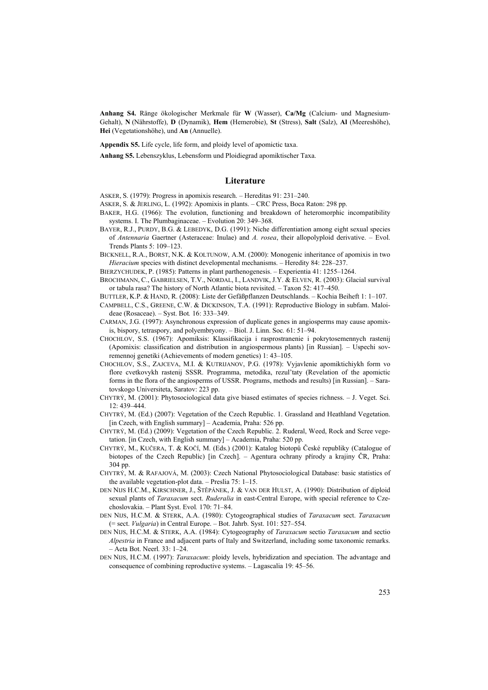**Anhang S4.** Ränge ökologischer Merkmale für **W** (Wasser), **Ca/Mg** (Calcium- und Magnesium-Gehalt), **N** (Nährstoffe), **D** (Dynamik), **Hem** (Hemerobie), **St** (Stress), **Salt** (Salz), **Al** (Meereshöhe), **Hei** (Vegetationshöhe), und **An** (Annuelle).

**Appendix S5.** Life cycle, life form, and ploidy level of apomictic taxa.

**Anhang S5.** Lebenszyklus, Lebensform und Ploidiegrad apomiktischer Taxa.

#### **Literature**

ASKER, S. (1979): Progress in apomixis research. – Hereditas 91: 231–240.

- ASKER, S. & JERLING, L. (1992): Apomixis in plants. CRC Press, Boca Raton: 298 pp.
- BAKER, H.G. (1966): The evolution, functioning and breakdown of heteromorphic incompatibility systems. I. The Plumbaginaceae. – Evolution 20: 349–368.
- BAYER, R.J., PURDY, B.G. & LEBEDYK, D.G. (1991): Niche differentiation among eight sexual species of *Antennaria* Gaertner (Asteraceae: Inulae) and *A. rosea*, their allopolyploid derivative. – Evol. Trends Plants 5: 109–123.
- BICKNELL, R.A., BORST, N.K. & KOLTUNOW, A.M. (2000): Monogenic inheritance of apomixis in two *Hieracium* species with distinct developmental mechanisms. – Heredity 84: 228–237.
- BIERZYCHUDEK, P. (1985): Patterns in plant parthenogenesis. Experientia 41: 1255–1264.
- BROCHMANN, C., GABRIELSEN, T.V., NORDAL, I., LANDVIK, J.Y. & ELVEN, R. (2003): Glacial survival or tabula rasa? The history of North Atlantic biota revisited. – Taxon 52: 417–450.
- BUTTLER, K.P. & HAND, R. (2008): Liste der Gefäßpflanzen Deutschlands. Kochia Beiheft 1: 1–107.
- CAMPBELL, C.S., GREENE, C.W. & DICKINSON, T.A. (1991): Reproductive Biology in subfam. Maloideae (Rosaceae). – Syst. Bot*.* 16: 333–349.
- CARMAN, J.G. (1997): Asynchronous expression of duplicate genes in angiosperms may cause apomixis, bispory, tetraspory, and polyembryony. – Biol. J. Linn. Soc*.* 61: 51–94.
- CHOCHLOV, S.S. (1967): Apomiksis: Klassifikacija i rasprostranenie i pokrytosemennych rastenij (Apomixis: classification and distribution in angiospermous plants) [in Russian]. – Uspechi sovremennoj genetiki (Achievements of modern genetics) 1: 43–105.
- CHOCHLOV, S.S., ZAJCEVA, M.I. & KUTRIJANOV, P.G. (1978): Vyjavlenie apomiktichiykh form vo flore cvetkovykh rastenij SSSR. Programma, metodika, rezul'taty (Revelation of the apomictic forms in the flora of the angiosperms of USSR. Programs, methods and results) [in Russian]. – Saratovskogo Universiteta, Saratov: 223 pp.
- CHYTRÝ, M. (2001): Phytosociological data give biased estimates of species richness. J. Veget. Sci. 12: 439–444.
- CHYTRÝ, M. (Ed.) (2007): Vegetation of the Czech Republic. 1. Grassland and Heathland Vegetation. [in Czech, with English summary] – Academia, Praha: 526 pp.
- CHYTRÝ, M. (Ed.) (2009): Vegetation of the Czech Republic. 2. Ruderal, Weed, Rock and Scree vegetation. [in Czech, with English summary] – Academia, Praha: 520 pp.
- CHYTRÝ, M., KUČERA, T. & KOČÍ, M. (Eds.) (2001): Katalog biotopů České republiky (Catalogue of biotopes of the Czech Republic) [in Czech]. – Agentura ochrany přírody a krajiny ČR, Praha: 304 pp.
- CHYTRÝ, M. & RAFAJOVÁ, M. (2003): Czech National Phytosociological Database: basic statistics of the available vegetation-plot data. – Preslia 75: 1–15.
- DEN NIJS H.C.M., KIRSCHNER, J., ŠTĔPÁNEK, J. & VAN DER HULST, A. (1990): Distribution of diploid sexual plants of *Taraxacum* sect. *Ruderalia* in east-Central Europe, with special reference to Czechoslovakia. – Plant Syst. Evol*.* 170: 71–84.
- DEN NIJS, H.C.M. & STERK, A.A. (1980): Cytogeographical studies of *Taraxacum* sect. *Taraxacum* (= sect. *Vulgaria*) in Central Europe. – Bot. Jahrb. Syst. 101: 527–554.
- DEN NIJS, H.C.M. & STERK, A.A. (1984): Cytogeography of *Taraxacum* sectio *Taraxacum* and sectio *Alpestria* in France and adjacent parts of Italy and Switzerland, including some taxonomic remarks. – Acta Bot. Neerl*.* 33: 1–24.
- DEN NIJS, H.C.M. (1997): *Taraxacum*: ploidy levels, hybridization and speciation. The advantage and consequence of combining reproductive systems. – Lagascalia 19: 45–56.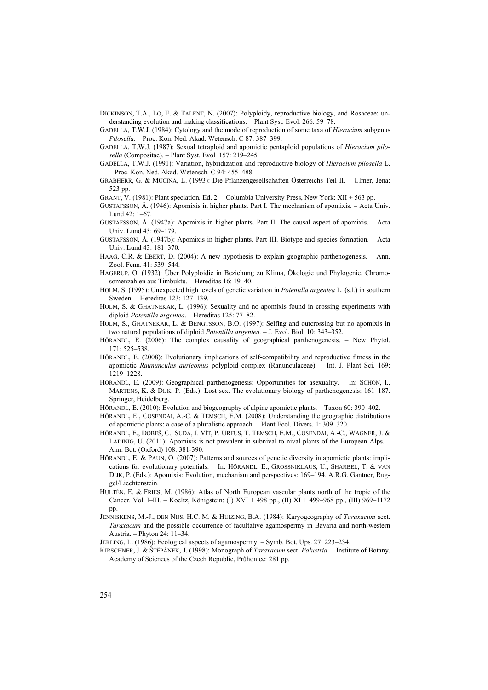[DICKINSON,](http://apps.isiknowledge.com/OneClickSearch.do?product=UA&search_mode=OneClickSearch&db_id=&SID=R1mdFem2cNefEGpbjf9&field=AU&value=Dickinson%20TA&ut=000249011600004&pos=1) T.A., [LO,](http://apps.isiknowledge.com/OneClickSearch.do?product=UA&search_mode=OneClickSearch&db_id=&SID=R1mdFem2cNefEGpbjf9&field=AU&value=Lo%20E&ut=000249011600004&pos=2) E. & [TALENT,](http://apps.isiknowledge.com/OneClickSearch.do?product=UA&search_mode=OneClickSearch&db_id=&SID=R1mdFem2cNefEGpbjf9&field=AU&value=Talent%20N&ut=000249011600004&pos=3) N. (2007): Polyploidy, reproductive biology, and Rosaceae: understanding evolution and making classifications. – Plant Syst. Evol*.* 266: 59–78.

GADELLA, T.W.J. (1984): Cytology and the mode of reproduction of some taxa of *Hieracium* subgenus *Pilosella*. *–* Proc. Kon. Ned. Akad. Wetensch. C 87: 387–399.

- GADELLA, T.W.J. (1987): Sexual tetraploid and apomictic pentaploid populations of *Hieracium pilosella* (Compositae). – Plant Syst. Evol*.* 157: 219–245.
- GADELLA, T.W.J. (1991): Variation, hybridization and reproductive biology of *Hieracium pilosella* L. – Proc. Kon. Ned. Akad. Wetensch. C 94: 455–488.

GRABHERR, G. & MUCINA, L. (1993): Die Pflanzengesellschaften Österreichs Teil II. – Ulmer, Jena: 523 pp.

GRANT, V. (1981): Plant speciation*.* Ed. 2. – Columbia University Press, New York: XII + 563 pp.

- GUSTAFSSON, Å. (1946): Apomixis in higher plants. Part I. The mechanism of apomixis. Acta Univ. Lund 42: 1–67.
- GUSTAFSSON, Å. (1947a): Apomixis in higher plants. Part II. The causal aspect of apomixis. Acta Univ. Lund 43: 69–179.
- GUSTAFSSON, Å. (1947b): Apomixis in higher plants. Part III. Biotype and species formation. Acta Univ. Lund 43: 181–370.
- HAAG, C.R. & EBERT, D. (2004): A new hypothesis to explain geographic parthenogenesis. Ann. Zool. Fenn*.* 41: 539–544.
- HAGERUP, O. (1932): Über Polyploidie in Beziehung zu Klima, Ökologie und Phylogenie. Chromosomenzahlen aus Timbuktu. – Hereditas 16: 19–40.
- HOLM, S. (1995): Unexpected high levels of genetic variation in *Potentilla argentea* L. (s.l.) in southern Sweden. – Hereditas 123: 127–139.
- HOLM, S. & GHATNEKAR, L. (1996): Sexuality and no apomixis found in crossing experiments with diploid *Potentilla argentea*. – Hereditas 125: 77–82.
- HOLM, S., GHATNEKAR, L. & BENGTSSON, B.O. (1997): Selfing and outcrossing but no apomixis in two natural populations of diploid *Potentilla argentea.* – J. Evol. Biol. 10: 343–352.
- HÖRANDL, E. (2006): The complex causality of geographical parthenogenesis. New Phytol. 171: 525–538.
- HÖRANDL, E. (2008): Evolutionary implications of self-compatibility and reproductive fitness in the apomictic *Raununculus auricomus* polyploid complex (Ranunculaceae). *–* Int. J. Plant Sci. 169: 1219–1228.
- HÖRANDL, E. (2009): Geographical parthenogenesis: Opportunities for asexuality. In: SCHÖN, I., MARTENS, K. & DIJK, P. (Eds.): Lost sex. The evolutionary biology of parthenogenesis: 161–187. Springer, Heidelberg.
- HÖRANDL, E. (2010): Evolution and biogeography of alpine apomictic plants. Taxon 60: 390–402.
- HÖRANDL, E., COSENDAI, A.-C. & TEMSCH, E.M. (2008): Understanding the geographic distributions of apomictic plants: a case of a pluralistic approach. – Plant Ecol. Divers. 1: 309–320.
- HÖRANDL, E., DOBEŠ, C., SUDA, J. VÍT, P. URFUS, T. TEMSCH, E.M., COSENDAI, A.-C., WAGNER, J. & LADINIG, U. (2011): Apomixis is not prevalent in subnival to nival plants of the European Alps. – Ann. Bot. (Oxford) 108: 381-390.
- HÖRANDL, E. & PAUN, O. (2007): Patterns and sources of genetic diversity in apomictic plants: implications for evolutionary potentials. – In: HÖRANDL, E., GROSSNIKLAUS, U., SHARBEL, T. & VAN DIJK, P. (Eds.): Apomixis: Evolution, mechanism and perspectives: 169–194*.* A.R.G. Gantner, Ruggel/Liechtenstein.
- HULTÉN, E. & FRIES, M. (1986): Atlas of North European vascular plants north of the tropic of the Cancer. Vol. I–III*. –* Koeltz, Königstein: (I) XVI + 498 pp., (II) XI + 499–968 pp., (III) 969–1172 pp.
- JENNISKENS, M.-J., DEN NIJS, H.C. M. & HUIZING, B.A. (1984): Karyogeography of *Taraxacum* sect. *Taraxacum* and the possible occurrence of facultative agamospermy in Bavaria and north-western Austria. – Phyton 24: 11–34.
- JERLING, L. (1986): Ecological aspects of agamospermy. Symb. Bot. Ups. 27: 223–234.
- KIRSCHNER, J. & ŠTĔPÁNEK, J. (1998): Monograph of *Taraxacum* sect. *Palustria*. Institute of Botany. Academy of Sciences of the Czech Republic, Průhonice: 281 pp.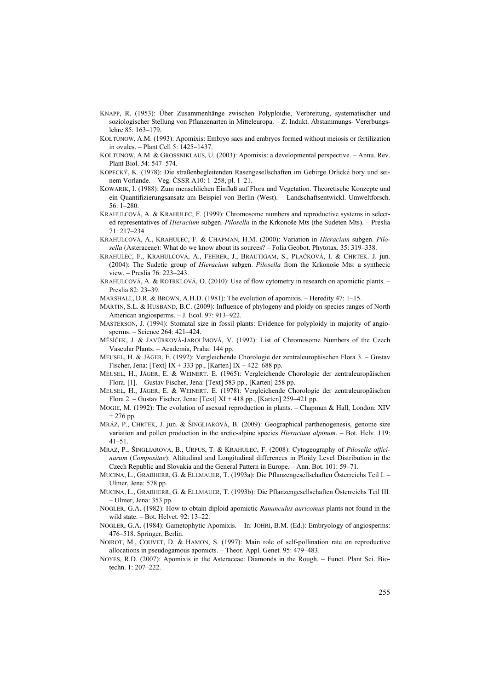- KNAPP, R. (1953): Über Zusammenhänge zwischen Polyploidie, Verbreitung, systematischer und soziologischer Stellung von Pflanzenarten in Mitteleuropa. – Z. Indukt. Abstammungs- Vererbungslehre 85: 163–179.
- KOLTUNOW, A.M. (1993): Apomixis: Embryo sacs and embryos formed without meiosis or fertilization in ovules. – Plant Cell 5: 1425–1437.
- KOLTUNOW, A.M. & GROSSNIKLAUS, U. (2003): Apomixis: a developmental perspective. Annu. Rev. Plant Biol. *5*4: 547–574.
- KOPECKÝ, K. (1978): Die straßenbegleitenden Rasengesellschaften im Gebirge Orlické hory und seinem Vorlande. – Veg. ČSSR A10: 1–258, pl. 1–21.
- KOWARIK, I. (1988): Zum menschlichen Einfluß auf Flora und Vegetation. Theoretische Konzepte und ein Quantifizierungsansatz am Beispiel von Berlin (West). – Landschaftsentwickl. Umweltforsch. 56: 1–280.
- KRAHULCOVÁ, A. & KRAHULEC, F. (1999): Chromosome numbers and reproductive systems in selected representatives of *Hieracium* subgen. *Pilosella* in the Krkonoše Mts (the Sudeten Mts). – Preslia 71: 217–234.
- KRAHULCOVÁ, A., KRAHULEC, F. & CHAPMAN, H.M. (2000): Variation in *Hieracium* subgen. *Pilosella* (Asteraceae): What do we know about its sources? – Folia Geobot. Phytotax*.* 35: 319–338.
- KRAHULEC, F., KRAHULCOVÁ, A., FEHRER, J., BRÄUTIGAM, S., PLAČKOVÁ, I. & CHRTEK. J. jun. (2004): The Sudetic group of *Hieracium* subgen. *Pilosella* from the Krkonoše Mts: a synthecic view. – Preslia 76: 223–243.
- KRAHULCOVÁ, A. & ROTRKLOVÁ, O. (2010): Use of flow cytometry in research on apomictic plants. Preslia 82: 23–39.
- MARSHALL, D.R. & BROWN, A.H.D. (1981): The evolution of apomixis. Heredity 47: 1–15.
- MARTIN, S.L. & HUSBAND, B.C. (2009): Influence of phylogeny and ploidy on species ranges of North American angiosperms. – J. Ecol. 97: 913–922.
- MASTERSON, J. (1994): Stomatal size in fossil plants: Evidence for polyploidy in majority of angiosperms. – Science 264: 421–424.
- MĚSÍČEK, J. & JAVŮRKOVÁ-JAROLÍMOVÁ, V. (1992): List of Chromosome Numbers of the Czech Vascular Plants*.* – Academia, Praha: 144 pp.
- MEUSEL, H. & JÄGER, E. (1992): Vergleichende Chorologie der zentraleuropäischen Flora 3*.* Gustav Fischer, Jena: [Text] IX + 333 pp., [Karten] IX + 422–688 pp.
- MEUSEL, H., JÄGER, E. & WEINERT. E. (1965): Vergleichende Chorologie der zentraleuropäischen Flora. [1]. *–* Gustav Fischer, Jena: [Text] 583 pp., [Karten] 258 pp.
- MEUSEL, H., JÄGER, E. & WEINERT. E. (1978): Vergleichende Chorologie der zentraleuropäischen Flora 2. – Gustav Fischer, Jena: [Text] XI + 418 pp., [Karten] 259–421 pp.
- MOGIE, M. (1992): The evolution of asexual reproduction in plants. Chapman & Hall, London: XIV + 276 pp.
- MRÁZ, P., CHRTEK, J. jun. & ŠINGLIAROVÁ, B. (2009): Geographical parthenogenesis, genome size variation and pollen production in the arctic-alpine species *Hieracium alpinum*. – Bot. Helv*.* 119: 41–51.
- MRÁZ, P., ŠINGLIAROVÁ, B., URFUS, T. & KRAHULEC, F. (2008): Cytogeography of *Pilosella officinarum* (*Compositae*): Altitudinal and Longitudinal differences in Ploidy Level Distribution in the Czech Republic and Slovakia and the General Pattern in Europe. – Ann. Bot. 101: 59–71.
- MUCINA, L., GRABHERR, G. & ELLMAUER, T. (1993a): Die Pflanzengesellschaften Österreichs Teil I. Ulmer, Jena: 578 pp.
- MUCINA, L., GRABHERR, G. & ELLMAUER, T. (1993b): Die Pflanzengesellschaften Österreichs Teil III*.* – Ulmer, Jena: 353 pp.
- NOGLER, G.A. (1982): How to obtain diploid apomictic *Ranunculus auricomus* plants not found in the wild state. – Bot. Helvet*.* 92: 13–22.
- NOGLER, G.A. (1984): Gametophytic Apomixis. In: JOHRI, B.M. (Ed.): Embryology of angiosperms: 476–518. Springer, Berlin.
- NOIROT, M., COUVET, D. & HAMON, S. (1997): Main role of self-pollination rate on reproductive allocations in pseudogamous apomicts. – Theor. Appl. Genet*.* 95: 479–483.
- NOYES, R.D. (2007): Apomixis in the Asteraceae: Diamonds in the Rough. Funct. Plant Sci. Biotechn. 1: 207–222.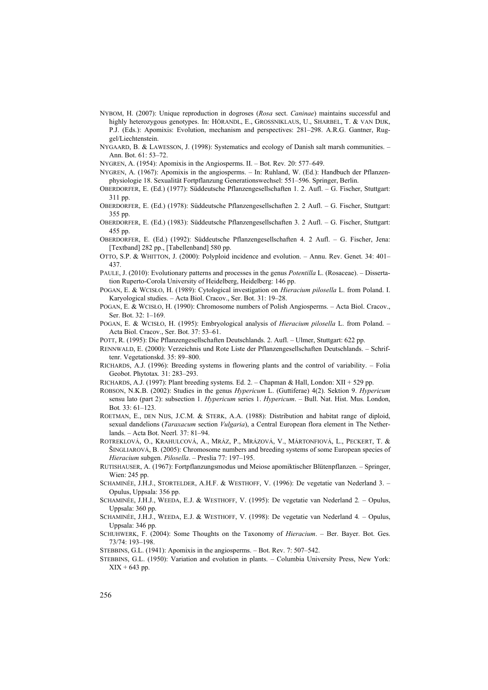- NYBOM, H. (2007): Unique reproduction in dogroses (*Rosa* sect. *Caninae*) maintains successful and highly heterozygous genotypes. In: HÖRANDL, E., GROSSNIKLAUS, U., SHARBEL, T. & VAN DIJK, P.J. (Eds.): Apomixis: Evolution, mechanism and perspectives: 281–298. A.R.G. Gantner, Ruggel/Liechtenstein.
- NYGAARD, B. & LAWESSON, J. (1998): Systematics and ecology of Danish salt marsh communities. Ann. Bot. 61: 53–72.

NYGREN, A. (1954): Apomixis in the Angiosperms. II. – Bot. Rev*.* 20: 577–649.

- NYGREN, A. (1967): Apomixis in the angiosperms. In: Ruhland, W. (Ed.): Handbuch der Pflanzenphysiologie 18. Sexualität Fortpflanzung Generationswechsel: 551–596. Springer, Berlin.
- OBERDORFER, E. (Ed.) (1977): Süddeutsche Pflanzengesellschaften 1. 2. Aufl. G. Fischer, Stuttgart: 311 pp.
- OBERDORFER, E. (Ed.) (1978): Süddeutsche Pflanzengesellschaften 2. 2 Aufl. G. Fischer, Stuttgart: 355 pp.
- OBERDORFER, E. (Ed.) (1983): Süddeutsche Pflanzengesellschaften 3. 2 Aufl. G. Fischer, Stuttgart: 455 pp.
- OBERDORFER, E. (Ed.) (1992): Süddeutsche Pflanzengesellschaften 4. 2 Aufl. *–* G. Fischer, Jena: [Textband] 282 pp., [Tabellenband] 580 pp.
- OTTO, S.P. & WHITTON, J. (2000): Polyploid incidence and evolution. Annu. Rev. Genet. 34: 401– 437.
- PAULE, J. (2010): Evolutionary patterns and processes in the genus *Potentilla* L. (Rosaceae). Dissertation Ruperto-Corola University of Heidelberg, Heidelberg: 146 pp.
- POGAN, E. & WCISŁO, H. (1989): Cytological investigation on *Hieracium pilosella* L. from Poland. I. Karyological studies. – Acta Biol. Cracov., Ser. Bot. 31: 19–28.
- POGAN, E. & WCISŁO, H. (1990): Chromosome numbers of Polish Angiosperms. Acta Biol. Cracov., Ser. Bot. 32: 1–169.
- POGAN, E. & WCISŁO, H. (1995): Embryological analysis of *Hieracium pilosella* L. from Poland. Acta Biol. Cracov., Ser. Bot. 37: 53–61.
- POTT, R. (1995): Die Pflanzengesellschaften Deutschlands. 2. Aufl. Ulmer, Stuttgart: 622 pp.
- RENNWALD, E. (2000): Verzeichnis und Rote Liste der Pflanzengesellschaften Deutschlands. Schriftenr. Vegetationskd. 35: 89–800.
- RICHARDS, A.J. (1996): Breeding systems in flowering plants and the control of variability. Folia Geobot. Phytotax*.* 31: 283–293.
- RICHARDS, A.J. (1997): Plant breeding systems*.* Ed. 2. Chapman & Hall, London: XII + 529 pp.
- ROBSON, N.K.B. (2002): Studies in the genus *Hypericum* L. (Guttiferae) 4(2). Sektion 9. *Hypericum* sensu lato (part 2): subsection 1. *Hypericum* series 1. *Hypericum*. – Bull. Nat. Hist. Mus. London, Bot*.* 33: 61–123.
- ROETMAN, E., DEN NIJS, J.C.M. & STERK, A.A. (1988): Distribution and habitat range of diploid, sexual dandelions (*Taraxacum* section *Vulgaria*), a Central European flora element in The Netherlands. – Acta Bot. Neerl*.* 37: 81–94.
- ROTREKLOVÁ, O., KRAHULCOVÁ, A., MRÁZ, P., MRÁZOVÁ, V., MÁRTONFIOVÁ, L., PECKERT, T. & ŠINGLIAROVÁ, B. (2005): Chromosome numbers and breeding systems of some European species of *Hieracium* subgen. *Pilosella*. – Preslia 77: 197–195.
- RUTISHAUSER, A. (1967): Fortpflanzungsmodus und Meiose apomiktischer Blütenpflanzen. Springer, Wien: 245 pp.
- SCHAMINÉE, J.H.J., STORTELDER, A.H.F. & WESTHOFF, V. (1996): De vegetatie van Nederland 3. Opulus, Uppsala: 356 pp.
- SCHAMINÉE, J.H.J., WEEDA, E.J. & WESTHOFF, V. (1995): De vegetatie van Nederland 2*.* Opulus, Uppsala: 360 pp.
- SCHAMINÉE, J.H.J., WEEDA, E.J. & WESTHOFF, V. (1998): De vegetatie van Nederland 4*. –* Opulus, Uppsala: 346 pp.
- SCHUHWERK, F. (2004): Some Thoughts on the Taxonomy of *Hieracium*. Ber. Bayer. Bot. Ges. 73/74: 193–198.

STEBBINS, G.L. (1941): Apomixis in the angiosperms. – Bot. Rev. 7: 507–542.

STEBBINS, G.L. (1950): Variation and evolution in plants. – Columbia University Press, New York:  $XIX + 643$  pp.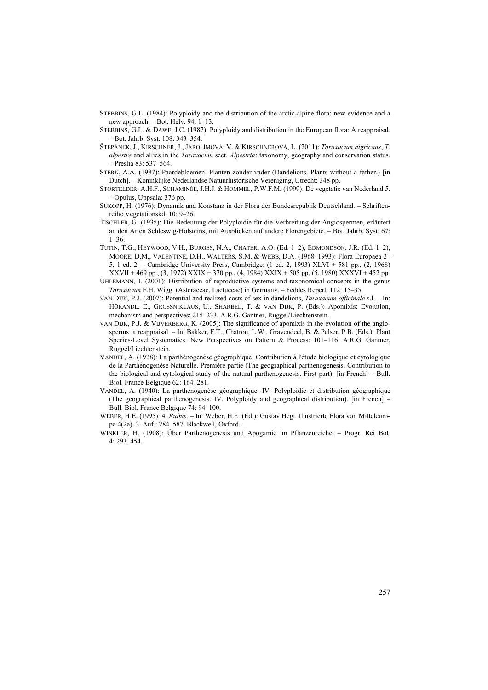STEBBINS, G.L. (1984): Polyploidy and the distribution of the arctic-alpine flora: new evidence and a new approach. – Bot. Helv. 94: 1–13.

STEBBINS, G.L. & DAWE, J.C. (1987): Polyploidy and distribution in the European flora: A reappraisal. – Bot. Jahrb. Syst. 108: 343–354.

- ŠTĚPÁNEK, J., KIRSCHNER, J., JAROLÍMOVÁ, V. & KIRSCHNEROVÁ, L. (2011): *Taraxacum nigricans*, *T. alpestre* and allies in the *Taraxacum* sect. *Alpestria*: taxonomy, geography and conservation status. – Preslia 83: 537–564.
- STERK, A.A. (1987): Paardebloemen. Planten zonder vader (Dandelions. Plants without a father.) [in Dutch]. – Koninklijke Nederlandse Natuurhistorische Vereniging, Utrecht: 348 pp.
- STORTELDER, A.H.F., SCHAMINÉE, J.H.J. & HOMMEL, P.W.F.M. (1999): De vegetatie van Nederland 5. *–* Opulus, Uppsala: 376 pp.
- SUKOPP, H. (1976): Dynamik und Konstanz in der Flora der Bundesrepublik Deutschland. Schriftenreihe Vegetationskd. 10: 9–26.
- TISCHLER, G. (1935): Die Bedeutung der Polyploidie für die Verbreitung der Angiospermen, erläutert an den Arten Schleswig-Holsteins, mit Ausblicken auf andere Florengebiete. – Bot. Jahrb. Syst*.* 67: 1–36.
- TUTIN, T.G., HEYWOOD, V.H., BURGES, N.A., CHATER, A.O. (Ed. 1–2), EDMONDSON, J.R. (Ed. 1–2), MOORE, D.M., VALENTINE, D.H., WALTERS, S.M. & WEBB, D.A. (1968–1993): Flora Europaea 2– 5, 1 ed. 2. – Cambridge University Press, Cambridge: (1 ed. 2, 1993) XLVI + 581 pp., (2, 1968) XXVII + 469 pp., (3, 1972) XXIX + 370 pp., (4, 1984) XXIX + 505 pp, (5, 1980) XXXVI + 452 pp.
- UHLEMANN, I. (2001): Distribution of reproductive systems and taxonomical concepts in the genus *Taraxacum* F.H. Wigg. (Asteraceae, Lactuceae) in Germany. – Feddes Repert. 112: 15–35.
- VAN DIJK, P.J. (2007): Potential and realized costs of sex in dandelions, *Taraxacum officinale* s.l. In: HÖRANDL, E., GROSSNIKLAUS, U., SHARBEL, T. & VAN DIJK, P. (Eds.): Apomixis: Evolution, mechanism and perspectives: 215–233*.* A.R.G. Gantner, Ruggel/Liechtenstein.
- VAN DIJK, P.J. & VIJVERBERG, K. (2005): The significance of apomixis in the evolution of the angiosperms: a reappraisal. – In: Bakker, F.T., Chatrou, L.W., Gravendeel, B. & Pelser, P.B. (Eds.): Plant Species-Level Systematics: New Perspectives on Pattern & Process: 101–116. A.R.G. Gantner, Ruggel/Liechtenstein.
- VANDEL, A. (1928): La parthénogenèse géographique. Contribution à l'étude biologique et cytologique de la Parthénogenèse Naturelle. Première partie (The geographical parthenogenesis. Contribution to the biological and cytological study of the natural parthenogenesis. First part). [in French] – Bull. Biol. France Belgique 62: 164–281.
- VANDEL, A. (1940): La parthénogenèse géographique. IV. Polyploidie et distribution géographique (The geographical parthenogenesis. IV. Polyploidy and geographical distribution). [in French] – Bull. Biol. France Belgique 74: 94–100.
- WEBER, H.E. (1995): 4. *Rubus*. In: Weber, H.E. (Ed.): Gustav Hegi. Illustrierte Flora von Mitteleuropa 4(2a). 3. Auf.: 284–587. Blackwell, Oxford.
- WINKLER, H. (1908): Über Parthenogenesis und Apogamie im Pflanzenreiche. Progr. Rei Bot*.* 4: 293–454.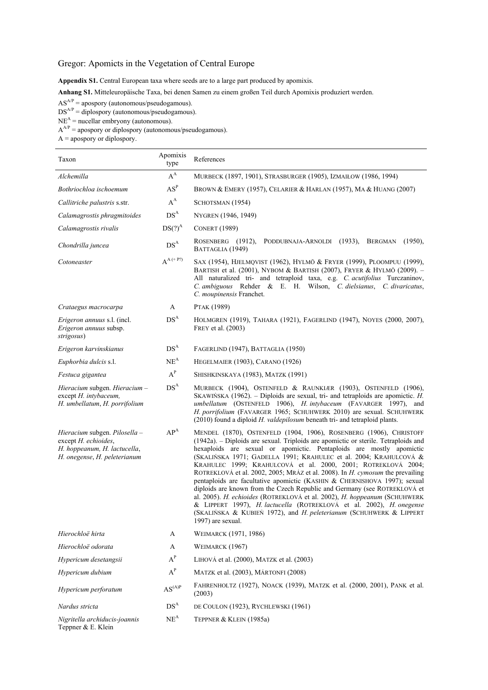# Gregor: Apomicts in the Vegetation of Central Europe

**Appendix S1.** Central European taxa where seeds are to a large part produced by apomixis.

**Anhang S1.** Mitteleuropäische Taxa, bei denen Samen zu einem großen Teil durch Apomixis produziert werden.

 $AS^{A/P}$  = apospory (autonomous/pseudogamous).

 $DS<sup>AP</sup> = diplospory (autonomous/pseudogamous).$ 

 $NE<sup>A</sup>$  = nucellar embryony (autonomous).

 $A^{AP}$  = apospory or diplospory (autonomous/pseudogamous).

 $A =$  apospory or diplospory.

| Taxon                                                                                                                 | Apomixis<br>type                 | References                                                                                                                                                                                                                                                                                                                                                                                                                                                                                                                                                                                                                                                                                                                                                                                                                                                                 |
|-----------------------------------------------------------------------------------------------------------------------|----------------------------------|----------------------------------------------------------------------------------------------------------------------------------------------------------------------------------------------------------------------------------------------------------------------------------------------------------------------------------------------------------------------------------------------------------------------------------------------------------------------------------------------------------------------------------------------------------------------------------------------------------------------------------------------------------------------------------------------------------------------------------------------------------------------------------------------------------------------------------------------------------------------------|
| Alchemilla                                                                                                            | $A^A$                            | MURBECK (1897, 1901), STRASBURGER (1905), IZMAIŁOW (1986, 1994)                                                                                                                                                                                                                                                                                                                                                                                                                                                                                                                                                                                                                                                                                                                                                                                                            |
| Bothriochloa ischoemum                                                                                                | $\mathbf{A}\mathbf{S}^\text{P}$  | BROWN & EMERY (1957), CELARIER & HARLAN (1957), MA & HUANG (2007)                                                                                                                                                                                                                                                                                                                                                                                                                                                                                                                                                                                                                                                                                                                                                                                                          |
| Callitriche palustris s.str.                                                                                          | $\mathbf{A}^\mathbf{A}$          | SCHOTSMAN (1954)                                                                                                                                                                                                                                                                                                                                                                                                                                                                                                                                                                                                                                                                                                                                                                                                                                                           |
| Calamagrostis phragmitoides                                                                                           | $DS^{\rm A}$                     | NYGREN (1946, 1949)                                                                                                                                                                                                                                                                                                                                                                                                                                                                                                                                                                                                                                                                                                                                                                                                                                                        |
| Calamagrostis rivalis                                                                                                 | $DS(?)^A$                        | <b>CONERT (1989)</b>                                                                                                                                                                                                                                                                                                                                                                                                                                                                                                                                                                                                                                                                                                                                                                                                                                                       |
| Chondrilla juncea                                                                                                     | $DS^A$                           | $(1950)$ ,<br>ROSENBERG $(1912)$ ,<br>PODDUBNAJA-ARNOLDI (1933), BERGMAN<br>BATTAGLIA (1949)                                                                                                                                                                                                                                                                                                                                                                                                                                                                                                                                                                                                                                                                                                                                                                               |
| Cotoneaster                                                                                                           | $A^{A (+ P')}$                   | SAX (1954), HJELMQVIST (1962), HYLMÖ & FRYER (1999), PLOOMPUU (1999),<br>BARTISH et al. (2001), NYBOM & BARTISH (2007), FRYER & HYLMÖ (2009). -<br>All naturalized tri- and tetraploid taxa, e.g. C. acutifolius Turczaninov,<br>C. ambiguous Rehder & E. H. Wilson, C. dielsianus, C. divaricatus,<br>C. moupinensis Franchet.                                                                                                                                                                                                                                                                                                                                                                                                                                                                                                                                            |
| Crataegus macrocarpa                                                                                                  | A                                | PTAK (1989)                                                                                                                                                                                                                                                                                                                                                                                                                                                                                                                                                                                                                                                                                                                                                                                                                                                                |
| Erigeron annuus s.l. (incl.<br>Erigeron annuus subsp.<br>strigosus)                                                   | DS <sup>A</sup>                  | HOLMGREN (1919), TAHARA (1921), FAGERLIND (1947), NOYES (2000, 2007),<br>FREY et al. (2003)                                                                                                                                                                                                                                                                                                                                                                                                                                                                                                                                                                                                                                                                                                                                                                                |
| Erigeron karvinskianus                                                                                                | DS <sup>A</sup>                  | FAGERLIND (1947), BATTAGLIA (1950)                                                                                                                                                                                                                                                                                                                                                                                                                                                                                                                                                                                                                                                                                                                                                                                                                                         |
| Euphorbia dulcis s.l.                                                                                                 | $NE^A$                           | HEGELMAIER (1903), CARANO (1926)                                                                                                                                                                                                                                                                                                                                                                                                                                                                                                                                                                                                                                                                                                                                                                                                                                           |
| Festuca gigantea                                                                                                      | $\textbf{A}^\textbf{P}$          | SHISHKINSKAYA (1983), MATZK (1991)                                                                                                                                                                                                                                                                                                                                                                                                                                                                                                                                                                                                                                                                                                                                                                                                                                         |
| Hieracium subgen. Hieracium -<br>except H. intybaceum,<br>H. umbellatum, H. porrifolium                               | DS <sup>A</sup>                  | MURBECK (1904), OSTENFELD & RAUNKLÆR (1903), OSTENFELD (1906),<br>SKAWIŃSKA $(1962)$ . – Diploids are sexual, tri- and tetraploids are apomictic. <i>H</i> .<br>umbellatum (OSTENFELD 1906), H. intybaceum (FAVARGER 1997), and<br>H. porrifolium (FAVARGER 1965; SCHUHWERK 2010) are sexual. SCHUHWERK<br>(2010) found a diploid H. valdepilosum beneath tri- and tetraploid plants.                                                                                                                                                                                                                                                                                                                                                                                                                                                                                      |
| Hieracium subgen. Pilosella -<br>except H. echioides,<br>H. hoppeanum, H. lactucella,<br>H. onegense, H. peleterianum | $AP^A$                           | MENDEL (1870), OSTENFELD (1904, 1906), ROSENBERG (1906), CHRISTOFF<br>(1942a). – Diploids are sexual. Triploids are apomictic or sterile. Tetraploids and<br>hexaploids are sexual or apomictic. Pentaploids are mostly apomictic<br>(SKALIŃSKA 1971; GADELLA 1991; KRAHULEC et al. 2004; KRAHULCOVÁ &<br>KRAHULEC 1999; KRAHULCOVÁ et al. 2000, 2001; ROTREKLOVÁ 2004;<br>ROTREKLOVÁ et al. 2002, 2005; MRÁZ et al. 2008). In <i>H. cymosum</i> the prevailing<br>pentaploids are facultative apomictic (KASHIN & CHERNISHOVA 1997); sexual<br>diploids are known from the Czech Republic and Germany (see ROTREKLOVÁ et<br>al. 2005). H. echioides (ROTREKLOVÁ et al. 2002), H. hoppeanum (SCHUHWERK<br>& LIPPERT 1997), H. lactucella (ROTREKLOVÁ et al. 2002), H. onegense<br>(SKALIŃSKA & KUBIEŃ 1972), and H. peleterianum (SCHUHWERK & LIPPERT<br>1997) are sexual. |
| Hierochloë hirta                                                                                                      | A                                | WEIMARCK (1971, 1986)                                                                                                                                                                                                                                                                                                                                                                                                                                                                                                                                                                                                                                                                                                                                                                                                                                                      |
| Hierochloë odorata                                                                                                    | A                                | WEIMARCK (1967)                                                                                                                                                                                                                                                                                                                                                                                                                                                                                                                                                                                                                                                                                                                                                                                                                                                            |
| Hypericum desetangsii                                                                                                 | $A^P$                            | LIHOVÁ et al. (2000), MATZK et al. (2003)                                                                                                                                                                                                                                                                                                                                                                                                                                                                                                                                                                                                                                                                                                                                                                                                                                  |
| Hypericum dubium                                                                                                      | $\mathbf{A}^\text{P}$            | MATZK et al. (2003), MÁRTONFI (2008)                                                                                                                                                                                                                                                                                                                                                                                                                                                                                                                                                                                                                                                                                                                                                                                                                                       |
| Hypericum perforatum                                                                                                  | $\text{AS}^{(\text{A})\text{P}}$ | FAHRENHOLTZ (1927), NOACK (1939), MATZK et al. (2000, 2001), PANK et al.<br>(2003)                                                                                                                                                                                                                                                                                                                                                                                                                                                                                                                                                                                                                                                                                                                                                                                         |
| Nardus stricta                                                                                                        | DS <sup>A</sup>                  | DE COULON (1923), RYCHLEWSKI (1961)                                                                                                                                                                                                                                                                                                                                                                                                                                                                                                                                                                                                                                                                                                                                                                                                                                        |
| Nigritella archiducis-joannis<br>Teppner & E. Klein                                                                   | NE <sup>A</sup>                  | TEPPNER & KLEIN (1985a)                                                                                                                                                                                                                                                                                                                                                                                                                                                                                                                                                                                                                                                                                                                                                                                                                                                    |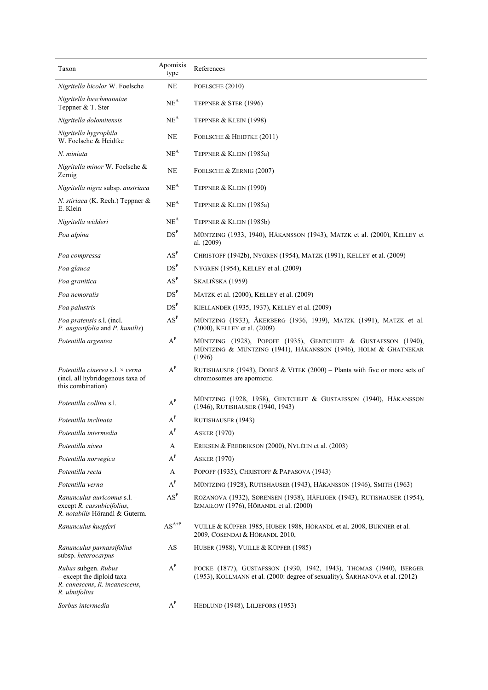| Taxon                                                                                              | Apomixis<br>type                               | References                                                                                                                                         |
|----------------------------------------------------------------------------------------------------|------------------------------------------------|----------------------------------------------------------------------------------------------------------------------------------------------------|
| Nigritella bicolor W. Foelsche                                                                     | NE                                             | FOELSCHE (2010)                                                                                                                                    |
| Nigritella buschmanniae<br>Teppner & T. Ster                                                       | $NE^A$                                         | TEPPNER & STER (1996)                                                                                                                              |
| Nigritella dolomitensis                                                                            | NE <sup>A</sup>                                | TEPPNER & KLEIN (1998)                                                                                                                             |
| Nigritella hygrophila<br>W. Foelsche & Heidtke                                                     | NE                                             | FOELSCHE & HEIDTKE (2011)                                                                                                                          |
| N. miniata                                                                                         | $NE^A$                                         | TEPPNER & KLEIN (1985a)                                                                                                                            |
| Nigritella minor W. Foelsche &<br>Zernig                                                           | NE                                             | FOELSCHE & ZERNIG (2007)                                                                                                                           |
| Nigritella nigra subsp. austriaca                                                                  | $NE^A$                                         | TEPPNER & KLEIN (1990)                                                                                                                             |
| N. stiriaca (K. Rech.) Teppner &<br>E. Klein                                                       | $NE^A$                                         | TEPPNER & KLEIN (1985a)                                                                                                                            |
| Nigritella widderi                                                                                 | $NE^A$                                         | TEPPNER & KLEIN (1985b)                                                                                                                            |
| Poa alpina                                                                                         | DS <sup>P</sup>                                | MÜNTZING (1933, 1940), HÅKANSSON (1943), MATZK et al. (2000), KELLEY et<br>al. (2009)                                                              |
| Poa compressa                                                                                      | $AS^P$                                         | CHRISTOFF (1942b), NYGREN (1954), MATZK (1991), KELLEY et al. (2009)                                                                               |
| Poa glauca                                                                                         | DS <sup>P</sup>                                | NYGREN (1954), KELLEY et al. (2009)                                                                                                                |
| Poa granitica                                                                                      | $AS^P$                                         | SKALIŃSKA (1959)                                                                                                                                   |
| Poa nemoralis                                                                                      | DS <sup>P</sup>                                | MATZK et al. (2000), KELLEY et al. (2009)                                                                                                          |
| Poa palustris                                                                                      | DS <sup>P</sup>                                | KIELLANDER (1935, 1937), KELLEY et al. (2009)                                                                                                      |
| Poa pratensis s.l. (incl.<br>P. angustifolia and P. humilis)                                       | $AS^P$                                         | MÜNTZING (1933), ÅKERBERG (1936, 1939), MATZK (1991), MATZK et al.<br>(2000), KELLEY et al. (2009)                                                 |
| Potentilla argentea                                                                                | $A^P$                                          | MÜNTZING (1928), POPOFF (1935), GENTCHEFF & GUSTAFSSON (1940),<br>MÜNTZING & MÜNTZING (1941), HÅKANSSON (1946), HOLM & GHATNEKAR<br>(1996)         |
| Potentilla cinerea s.l. $\times$ verna<br>(incl. all hybridogenous taxa of<br>this combination)    | $A^P$                                          | RUTISHAUSER (1943), DOBEŠ & VITEK (2000) - Plants with five or more sets of<br>chromosomes are apomictic.                                          |
| Potentilla collina s.l.                                                                            | $A^P$                                          | MÜNTZING (1928, 1958), GENTCHEFF & GUSTAFSSON (1940), HÅKANSSON<br>(1946), RUTISHAUSER (1940, 1943)                                                |
| Potentilla inclinata                                                                               | $A^P$                                          | RUTISHAUSER (1943)                                                                                                                                 |
| Potentilla intermedia                                                                              | $\textbf{A}^\textbf{P}$                        | <b>ASKER (1970)</b>                                                                                                                                |
| Potentilla nivea                                                                                   | A                                              | ERIKSEN & FREDRIKSON (2000), NYLÉHN et al. (2003)                                                                                                  |
| Potentilla norvegica                                                                               | $\textbf{A}^\textbf{P}$                        | <b>ASKER (1970)</b>                                                                                                                                |
| Potentilla recta                                                                                   | A                                              | POPOFF (1935), CHRISTOFF & PAPASOVA (1943)                                                                                                         |
| Potentilla verna                                                                                   | $\textbf{A}^\textbf{P}$                        | MÜNTZING (1928), RUTISHAUSER (1943), HÅKANSSON (1946), SMITH (1963)                                                                                |
| Ranunculus auricomus s.l. -<br>except R. cassubicifolius,<br>R. notabilis Hörandl & Guterm.        | $AS^P$                                         | ROZANOVA (1932), SØRENSEN (1938), HÄFLIGER (1943), RUTISHAUSER (1954),<br>IZMAIŁOW (1976), HÖRANDL et al. (2000)                                   |
| Ranunculus kuepferi                                                                                | $\mathbf{A}\mathbf{S}^{\mathbf{A}+\mathbf{P}}$ | VUILLE & KÜPFER 1985, HUBER 1988, HÖRANDL et al. 2008, BURNIER et al.<br>2009, COSENDAI & HÖRANDL 2010,                                            |
| Ranunculus parnassifolius<br>subsp. heterocarpus                                                   | $\mathbf{A}\mathbf{S}$                         | HUBER (1988), VUILLE & KÜPFER (1985)                                                                                                               |
| Rubus subgen. Rubus<br>- except the diploid taxa<br>R. canescens, R. incanescens,<br>R. ulmifolius | $A^P$                                          | FOCKE (1877), GUSTAFSSON (1930, 1942, 1943), THOMAS (1940), BERGER<br>(1953), KOLLMANN et al. (2000: degree of sexuality), ŠARHANOVÁ et al. (2012) |
| Sorbus intermedia                                                                                  | $A^P$                                          | HEDLUND (1948), LILJEFORS (1953)                                                                                                                   |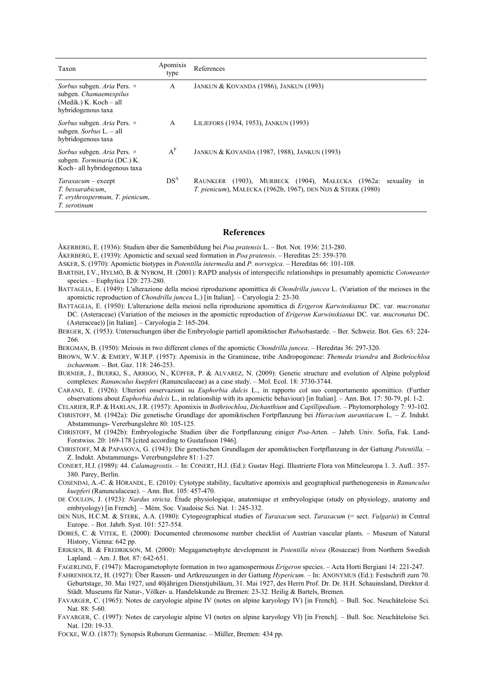| Taxon                                                                                                 | Apomixis<br>type | References                                                                                                                                  |
|-------------------------------------------------------------------------------------------------------|------------------|---------------------------------------------------------------------------------------------------------------------------------------------|
| Sorbus subgen. Aria Pers. ×<br>subgen. Chamaemespilus<br>(Medik.) K. Koch – all<br>hybridogenous taxa | A                | JANKUN & KOVANDA (1986), JANKUN (1993)                                                                                                      |
| Sorbus subgen. Aria Pers. ×<br>subgen. Sorbus $L - all$<br>hybridogenous taxa                         | $\mathsf{A}$     | LILJEFORS (1934, 1953), JANKUN (1993)                                                                                                       |
| Sorbus subgen. Aria Pers. ×<br>subgen. Torminaria (DC.) K.<br>Koch-all hybridogenous taxa             | $A^P$            | JANKUN & KOVANDA (1987, 1988), JANKUN (1993)                                                                                                |
| Taraxacum – except<br>T. bessarabicum.<br>T. erythrospermum, T. pienicum,<br>T. serotinum             | DS <sup>A</sup>  | (1903), MURBECK (1904), MALECKA (1962a:<br>RAUNKIÆR<br>sexuality in<br><i>T. pienicum</i> ), MAŁECKA (1962b, 1967), DEN NIJS & STERK (1980) |

## **References**

ÅKERBERG, E. (1936): Studien über die Samenbildung bei *Poa pratensis* L. – Bot. Not. 1936: 213-280.

ÅKERBERG, E. (1939): Apomictic and sexual seed formation in *Poa pratensis*. – Hereditas 25: 359-370.

- ASKER, S. (1970): Apomictic biotypes in *Potentilla intermedia* and *P. norvegica*. Hereditas 66: 101-108.
- BARTISH, I.V., HYLMÖ, B. & NYBOM, H. (2001): RAPD analysis of interspecific relationships in presumably apomictic *Cotoneaster* species. – Euphytica 120: 273-280.
- BATTAGLIA, E. (1949): L'alterazione della meiosi riproduzione apomittica di *Chondrilla juncea* L. (Variation of the meioses in the apomictic reproduction of *Chondrilla juncea* L.) [in Italian]. – Caryologia 2: 23-30.
- BATTAGLIA, E. (1950): L'alterazione della meiosi nella riproduzione apomittica di *Erigeron Karwinskianus* DC. var. *mucronatus* DC. (Asteraceae) (Variation of the meioses in the apomictic reproduction of *Erigeron Karwinskianus* DC. var. *mucronatus* DC. (Asteraceae)) [in Italian]. – Caryologia 2: 165-204.
- BERGER, X. (1953): Untersuchungen über die Embryologie partiell apomiktischer *Rubus*bastarde. Ber. Schweiz. Bot. Ges*.* 63: 224- 266.

BERGMAN, B. (1950): Meiosis in two different clones of the apomictic *Chondrilla juncea*. – Hereditas 36: 297-320.

BROWN, W.V. & EMERY, W.H.P. (1957): Apomixis in the Gramineae, tribe Andropogoneae: *Themeda triandra* and *Bothriochloa ischaemum*. – Bot. Gaz. 118: 246-253.

BURNIER, J., BUERKI, S., ARRIGO, N., KÜPFER, P. & ALVAREZ, N. (2009): Genetic structure and evolution of Alpine polyploid complexes: *Ranunculus kuepferi* (Ranunculaceae) as a case study. – Mol. Ecol. 18: 3730-3744.

CARANO, E. (1926): Ulteriori osservazioni su *Euphorbia dulcis* L., in rapporto col suo comportamento apomittico. (Further observations about *Euphorbia dulcis* L., in relationship with its apomictic behaviour) [in Italian]. *–* Ann. Bot*.* 17: 50-79, pl. 1-2.

CELARIER, R.P. & HARLAN, J.R. (1957): Apomixis in *Bothriochloa*, *Dichanthium* and *Capillipedium*. – Phytomorphology 7: 93-102. CHRISTOFF, M. (1942a): Die genetische Grundlage der apomiktischen Fortpflanzung bei *Hieracium aurantiacum* L. – Z. Indukt. Abstammungs- Vererbungslehre 80: 105-125.

- CHRISTOFF, M (1942b): Embryologische Studien über die Fortpflanzung einiger *Poa-*Arten. Jahrb. Univ. Sofia, Fak. Land-Forstwiss. 20: 169-178 [cited according to Gustafsson 1946].
- CHRISTOFF, M & PAPASOVA, G. (1943): Die genetischen Grundlagen der apomiktischen Fortpflanzung in der Gattung *Potentilla*. Z. Indukt. Abstammungs- Vererbungslehre 81: 1-27.
- CONERT, H.J. (1989): 44. *Calamagrostis*. In: CONERT, H.J. (Ed.): Gustav Hegi. Illustrierte Flora von Mitteleuropa 1. 3. Aufl.: 357- 380. Parey, Berlin.
- COSENDAI, A.-C. & HÖRANDL, E. (2010): Cytotype stability, facultative apomixis and geographical parthenogenesis in *Ranunculus kuepferi* (Ranunculaceae). – Ann. Bot. 105: 457-470.
- DE COULON, J. (1923): *Nardus stricta*. Étude physiologique, anatomique et embryologique (study on physiology, anatomy and embryology) [in French]. – Mém. Soc. Vaudoise Sci. Nat*.* 1: 245-332.
- DEN NIJS, H.C.M. & STERK, A.A. (1980): Cytogeographical studies of *Taraxacum* sect. *Taraxacum* (= sect. *Vulgaria*) in Central Europe. – Bot. Jahrb. Syst. 101: 527-554.
- DOBEŠ, C. & VITEK, E. (2000): Documented chromosome number checklist of Austrian vascular plants. Museum of Natural History, Vienna: 642 pp.

ERIKSEN, B. & FREDRIKSON, M. (2000): Megagametophyte development in *Potentilla nivea* (Rosaceae) from Northern Swedish Lapland. – Am. J. Bot. 87: 642-651.

FAGERLIND, F. (1947): Macrogametophyte formation in two agamospermous *Erigeron* species. – Acta Horti Bergiani 14: 221-247.

- FAHRENHOLTZ, H. (1927): Über Rassen- und Artkreuzungen in der Gattung *Hypericum.* In: ANONYMUS (Ed.): Festschrift zum 70. Geburtstage, 30. Mai 1927, und 40jährigen Dienstjubiläum, 31. Mai 1927, des Herrn Prof. Dr. Dr. H.H. Schauinsland, Direktor d. Städt. Museums für Natur-, Völker- u. Handelskunde zu Bremen: 23-32. Heilig & Bartels, Bremen.
- FAVARGER, C. (1965): Notes de caryologie alpine IV (notes on alpine karyology IV) [in French]. Bull. Soc. Neuchâteloise Sci. Nat*.* 88: 5-60.
- FAVARGER, C. (1997): Notes de caryologie alpine VI (notes on alpine karyology VI) [in French]. Bull. Soc. Neuchâteloise Sci. Nat. 120: 19-33.
- FOCKE, W.O. (1877): Synopsis Ruborum Germaniae. Müller, Bremen: 434 pp.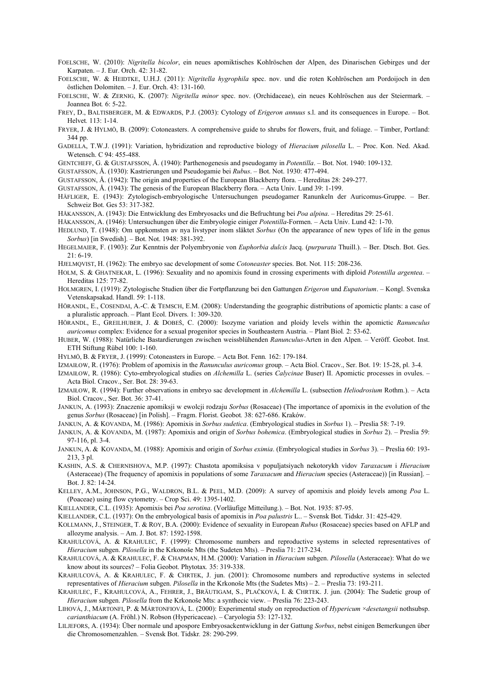- FOELSCHE, W. (2010): *Nigritella bicolor*, ein neues apomiktisches Kohlröschen der Alpen, des Dinarischen Gebirges und der Karpaten. – J. Eur. Orch. 42: 31-82.
- FOELSCHE, W. & HEIDTKE, U.H.J. (2011): *Nigritella hygrophila* spec. nov. und die roten Kohlröschen am Pordoijoch in den östlichen Dolomiten. – J. Eur. Orch. 43: 131-160.
- FOELSCHE, W. & ZERNIG, K. (2007): *Nigritella minor* spec. nov. (Orchidaceae), ein neues Kohlröschen aus der Steiermark. Joannea Bot*.* 6: 5-22.
- FREY, D., BALTISBERGER, M. & EDWARDS, P.J. (2003): Cytology of *Erigeron annuus* s.l. and its consequences in Europe. Bot. Helvet*.* 113: 1-14.
- FRYER, J. & HYLMÖ, B. (2009): Cotoneasters. A comprehensive guide to shrubs for flowers, fruit, and foliage. Timber, Portland: 344 pp.
- GADELLA, T.W.J. (1991): Variation, hybridization and reproductive biology of *Hieracium pilosella* L. Proc. Kon. Ned. Akad. Wetensch. C 94: 455-488.
- GENTCHEFF, G. & GUSTAFSSON, Å. (1940): Parthenogenesis and pseudogamy in *Potentilla*. Bot. Not. 1940: 109-132.
- GUSTAFSSON, Å. (1930): Kastrierungen und Pseudogamie bei *Rubus*. Bot. Not. 1930: 477-494.
- GUSTAFSSON, Å. (1942): The origin and properties of the European Blackberry flora. Hereditas 28: 249-277.
- GUSTAFSSON, Å. (1943): The genesis of the European Blackberry flora. Acta Univ. Lund 39: 1-199.
- HÄFLIGER, E. (1943): Zytologisch-embryologische Untersuchungen pseudogamer Ranunkeln der Auricomus-Gruppe. Ber. Schweiz Bot. Ges 53: 317-382.
- HÅKANSSON, A. (1943): Die Entwicklung des Embryosacks und die Befruchtung bei *Poa alpina*. Hereditas 29: 25-61.
- HÅKANSSON, A. (1946): Untersuchungen über die Embryologie einiger *Potentilla-*Formen. Acta Univ. Lund 42: 1-70.
- HEDLUND, T. (1948): Om uppkomsten av nya livstyper inom släktet *Sorbus* (On the appearance of new types of life in the genus *Sorbus*) [in Swedish]. – Bot. Not. 1948: 381-392.
- HEGELMAIER, F. (1903): Zur Kenntnis der Polyembryonie von *Euphorbia dulcis* Jacq. (*purpurata* Thuill.). *–* Ber. Dtsch. Bot. Ges. 21: 6-19.
- HJELMQVIST, H. (1962): The embryo sac development of some *Cotoneaster* species. Bot. Not. 115: 208-236.
- HOLM, S. & GHATNEKAR, L. (1996): Sexuality and no apomixis found in crossing experiments with diploid *Potentilla argentea*. Hereditas 125: 77-82.
- HOLMGREN, I. (1919): Zytologische Studien über die Fortpflanzung bei den Gattungen *Erigeron* und *Eupatorium*. Kongl. Svenska Vetenskapsakad. Handl. 59: 1-118.
- HÖRANDL, E., COSENDAI, A.-C. & TEMSCH, E.M. (2008): Understanding the geographic distributions of apomictic plants: a case of a pluralistic approach. – Plant Ecol. Divers. 1: 309-320.
- HÖRANDL, E., GREILHUBER, J. & DOBEŠ, C. (2000): Isozyme variation and ploidy levels within the apomictic *Ranunculus auricomus* complex: Evidence for a sexual progenitor species in Southeastern Austria. – Plant Biol*.* 2: 53-62.
- HUBER, W. (1988): Natürliche Bastardierungen zwischen weissblühenden *Ranunculus-*Arten in den Alpen. Veröff. Geobot. Inst. ETH Stiftung Rübel 100: 1-160.
- HYLMÖ, B. & FRYER, J. (1999): Cotoneasters in Europe. Acta Bot. Fenn*.* 162: 179-184.
- IZMAIŁOW, R. (1976): Problem of apomixis in the *Ranunculus auricomus* group. Acta Biol. Cracov., Ser. Bot. 19: 15-28, pl. 3-4.
- IZMAIŁOW, R. (1986): Cyto-embryological studies on *Alchemilla* L. (series *Calycinae* Buser) II. Apomictic processes in ovules. Acta Biol. Cracov., Ser. Bot. 28: 39-63.
- IZMAIŁOW, R. (1994): Further observations in embryo sac development in *Alchemilla* L. (subsection *Heliodrosium* Rothm.). Acta Biol. Cracov., Ser. Bot. 36: 37-41.
- JANKUN, A. (1993): Znaczenie apomiksji w ewolcji rodzaju *Sorbus* (Rosaceae) (The importance of apomixis in the evolution of the genus *Sorbus* (Rosaceae) [in Polish]. – Fragm. Florist. Geobot*.* 38: 627-686. Kraków.
- JANKUN, A. & KOVANDA, M. (1986): Apomixis in *Sorbus sudetica*. (Embryological studies in *Sorbus* 1). Preslia 58: 7-19.
- JANKUN, A. & KOVANDA, M. (1987): Apomixis and origin of *Sorbus bohemica*. (Embryological studies in *Sorbus* 2). Preslia 59: 97-116, pl. 3-4.
- JANKUN, A. & KOVANDA, M. (1988): Apomixis and origin of *Sorbus eximia*. (Embryological studies in *Sorbus* 3). Preslia 60: 193- 213, 3 pl.
- KASHIN, A.S. & CHERNISHOVA, M.P. (1997): Chastota apomiksisa v populjatsiyach nekotorykh vidov *Taraxacum* i *Hieracium* (Asteraceae) (The frequency of apomixis in populations of some *Taraxacum* and *Hieracium* species (Asteraceae)) [in Russian]. – Bot. J. 82: 14-24.
- KELLEY, A.M., JOHNSON, P.G., WALDRON, B.L. & PEEL, M.D. (2009): A survey of apomixis and ploidy levels among *Poa* L. (Poaceae) using flow cytometry. – Crop Sci. 49: 1395-1402.
- KIELLANDER, C.L. (1935): Apomixis bei *Poa serotina*. (Vorläufige Mitteilung.). Bot. Not. 1935: 87-95.
- KIELLANDER, C.L. (1937): On the embryological basis of apomixis in *Poa palustris* L.. Svensk Bot. Tidskr. 31: 425-429.
- KOLLMANN, J., STEINGER, T. & ROY, B.A. (2000): Evidence of sexuality in European *Rubus* (Rosaceae) species based on AFLP and allozyme analysis. – Am. J. Bot. 87: 1592-1598.
- KRAHULCOVÁ, A. & KRAHULEC, F. (1999): Chromosome numbers and reproductive systems in selected representatives of *Hieracium* subgen. *Pilosella* in the Krkonoše Mts (the Sudeten Mts). – Preslia 71: 217-234.
- KRAHULCOVÁ, A. & KRAHULEC, F. & CHAPMAN, H.M. (2000): Variation in *Hieracium* subgen. *Pilosella* (Asteraceae): What do we know about its sources? – Folia Geobot. Phytotax*.* 35: 319-338.
- KRAHULCOVÁ, A. & KRAHULEC, F. & CHRTEK, J. jun. (2001): Chromosome numbers and reproductive systems in selected representatives of *Hieracium* subgen. *Pilosella* in the Krkonoše Mts (the Sudetes Mts) – 2. – Preslia 73: 193-211.
- KRAHULEC, F., KRAHULCOVÁ, A., FEHRER, J., BRÄUTIGAM, S., PLAČKOVÁ, I. & CHRTEK. J. jun. (2004): The Sudetic group of *Hieracium* subgen. *Pilosella* from the Krkonoše Mts: a synthecic view. – Preslia 76: 223-243.
- LIHOVÁ, J., MÁRTONFI, P. & MÁRTONFIOVÁ, L. (2000): Experimental study on reproduction of *Hypericum* ×*desetangsii* nothsubsp. *carianthiacum* (A. Fröhl.) N. Robson (Hypericaceae). – Caryologia 53: 127-132.
- LILJEFORS, A. (1934): Über normale und apospore Embryosackentwicklung in der Gattung *Sorbus*, nebst einigen Bemerkungen über die Chromosomenzahlen. *–* Svensk Bot. Tidskr*.* 28: 290-299.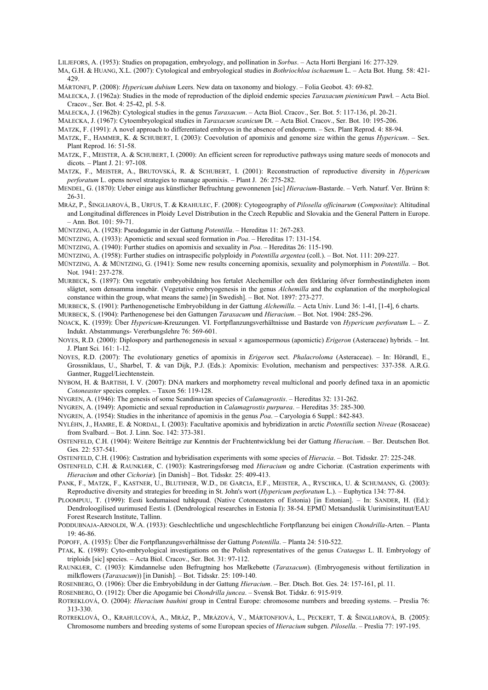LILJEFORS, A. (1953): Studies on propagation, embryology, and pollination in *Sorbus*. – Acta Horti Bergiani 16: 277-329.

- MA, G.H. & HUANG, X.L. (2007): Cytological and embryological studies in *Bothriochloa ischaemum* L. Acta Bot. Hung*.* 58: 421- 429.
- MÁRTONFI, P. (2008): *Hypericum dubium* Leers. New data on taxonomy and biology. Folia Geobot. 43: 69-82.
- MAŁECKA, J. (1962a): Studies in the mode of reproduction of the diploid endemic species *Taraxacum pieninicum* Pawł. Acta Biol. Cracov., Ser. Bot. 4: 25-42, pl. 5-8.
- MAŁECKA, J. (1962b): Cytological studies in the genus *Taraxacum*. Acta Biol. Cracov., Ser. Bot. 5: 117-136, pl. 20-21.
- MAŁECKA, J. (1967): Cytoembryological studies in *Taraxacum scanicum* Dt. Acta Biol. Cracov., Ser. Bot. 10: 195-206.
- MATZK, F. (1991): A novel approach to differentiated embryos in the absence of endosperm. Sex. Plant Reprod. 4: 88-94.
- MATZK, F., HAMMER, K. & SCHUBERT, I. (2003): Coevolution of apomixis and genome size within the genus *Hypericum*. Sex. Plant Reprod. 16: 51-58.
- MATZK, F., MEISTER, A. & SCHUBERT, I. (2000): An efficient screen for reproductive pathways using mature seeds of monocots and dicots*. –* Plant J. 21: 97-108.
- MATZK, F., MEISTER, A., BRUTOVSKÁ, R. & SCHUBERT, I. (2001): Reconstruction of reproductive diversity in *Hypericum perforatum* L. opens novel strategies to manage apomixis. *–* Plant J. 26: 275-282.
- MENDEL, G. (1870): Ueber einige aus künstlicher Befruchtung gewonnenen [sic] *Hieracium-*Bastarde. Verh. Naturf. Ver. Brünn 8: 26-31.
- MRÁZ, P., ŠINGLIAROVÁ, B., URFUS, T. & KRAHULEC, F. (2008): Cytogeography of *Pilosella officinarum* (*Compositae*): Altitudinal and Longitudinal differences in Ploidy Level Distribution in the Czech Republic and Slovakia and the General Pattern in Europe. – Ann. Bot. 101: 59-71.
- MÜNTZING, A. (1928): Pseudogamie in der Gattung *Potentilla*. Hereditas 11: 267-283.
- MÜNTZING, A. (1933): Apomictic and sexual seed formation in *Poa*. Hereditas 17: 131-154.
- MÜNTZING, A. (1940): Further studies on apomixis and sexuality in *Poa*. Hereditas 26: 115-190.
- MÜNTZING, A. (1958): Further studies on intraspecific polyploidy in *Potentilla argentea* (coll.). Bot. Not. 111: 209-227.
- MÜNTZING, A. & MÜNTZING, G. (1941): Some new results concerning apomixis, sexuality and polymorphism in *Potentilla*. Bot. Not. 1941: 237-278.
- MURBECK, S. (1897): Om vegetativ embryobildning hos fertalet Alechemillor och den förklaring öfver formbeständigheten inom slägtet, som densamma innebär. (Vegetative embryogenesis in the genus *Alchemilla* and the explanation of the morphological constance within the group, what means the same) [in Swedish]. – Bot. Not. 1897: 273-277.
- MURBECK, S. (1901): Parthenogenetische Embryobildung in der Gattung *Alchemilla*. Acta Univ. Lund 36: 1-41, [1-4], 6 charts.
- MURBECK, S. (1904): Parthenogenese bei den Gattungen *Taraxacum* und *Hieracium*. Bot. Not. 1904: 285-296.
- NOACK, K. (1939): Über *Hypericum-*Kreuzungen. VI. Fortpflanzungsverhältnisse und Bastarde von *Hypericum perforatum* L. Z. Indukt. Abstammungs- Vererbungslehre 76: 569-601.
- NOYES, R.D. (2000): Diplospory and parthenogenesis in sexual × agamospermous (apomictic) *Erigeron* (Asteraceae) hybrids. Int. J. Plant Sci*.* 161: 1-12.
- NOYES, R.D. (2007): The evolutionary genetics of apomixis in *Erigeron* sect. *Phalacroloma* (Asteraceae). In: Hörandl, E., Grossniklaus, U., Sharbel, T. & van Dijk, P.J. (Eds.): Apomixis: Evolution, mechanism and perspectives: 337-358. A.R.G. Gantner, Ruggel/Liechtenstein.
- NYBOM, H. & BARTISH, I. V. (2007): DNA markers and morphometry reveal multiclonal and poorly defined taxa in an apomictic *Cotoneaster* species complex. – Taxon 56: 119-128.
- NYGREN, A. (1946): The genesis of some Scandinavian species of *Calamagrostis*. Hereditas 32: 131-262.

NYGREN, A. (1949): Apomictic and sexual reproduction in *Calamagrostis purpurea*. – Hereditas 35: 285-300.

- NYGREN, A. (1954): Studies in the inheritance of apomixis in the genus *Poa*. Caryologia 6 Suppl.: 842-843.
- NYLÉHN, J., HAMRE, E. & NORDAL, I. (2003): Facultative apomixis and hybridization in arctic *Potentilla* section *Niveae* (Rosaceae) from Svalbard. – Bot. J. Linn. Soc. 142: 373-381.
- OSTENFELD, C.H. (1904): Weitere Beiträge zur Kenntnis der Fruchtentwicklung bei der Gattung *Hieracium*. Ber. Deutschen Bot. Ges*.* 22: 537-541.
- OSTENFELD, C.H. (1906): Castration and hybridisation experiments with some species of *Hieracia*. Bot. Tidsskr*.* 27: 225-248.
- OSTENFELD, C.H. & RAUNKIÆR, C. (1903): Kastreringsforsøg med *Hieracium* og andre Cichoriæ*.* (Castration experiments with *Hieracium* and other *Cichoriæ*)*.* [in Danish] – Bot. Tidsskr*.* 25: 409-413.
- PANK, F., MATZK, F., KASTNER, U., BLUTHNER, W.D., DE GARCIA, E.F., MEISTER, A., RYSCHKA, U. & SCHUMANN, G. (2003): Reproductive diversity and strategies for breeding in St. John's wort (*Hypericum perforatum* L.). – Euphytica 134: 77-84.
- PLOOMPUU, T. (1999): Eesti kodumaised tuhkpuud. (Native Cotoneasters of Estonia) [in Estonian]. In: SANDER, H. (Ed.): Dendroloogilised uurimused Eestis I. (Dendrological researches in Estonia I): 38-54. EPMÜ Metsanduslik Uurimisinstituut/EAU Forest Research Institute, Tallinn.
- PODDUBNAJA-ARNOLDI, W.A. (1933): Geschlechtliche und ungeschlechtliche Fortpflanzung bei einigen *Chondrilla-*Arten. Planta 19: 46-86.
- POPOFF, A. (1935): Über die Fortpflanzungsverhältnisse der Gattung *Potentilla*. Planta 24: 510-522.
- PTAK, K. (1989): Cyto-embryological investigations on the Polish representatives of the genus *Crataegus* L. II. Embryology of triploids [sic] species. – Acta Biol. Cracov., Ser. Bot. 31: 97-112.
- RAUNKIÆR, C. (1903): Kimdannelse uden Befrugtning hos Mælkebøtte (*Taraxacum*). (Embryogenesis without fertilization in milkflowers (*Taraxacum*)) [in Danish]. – Bot. Tidsskr. 25: 109-140.
- ROSENBERG, O. (1906): Über die Embryobildung in der Gattung *Hieracium*. Ber. Dtsch. Bot. Ges. 24: 157-161, pl. 11.
- ROSENBERG, O. (1912): Über die Apogamie bei *Chondrilla juncea*. Svensk Bot. Tidskr. 6: 915-919.
- ROTREKLOVÁ, O. (2004): *Hieracium bauhini* group in Central Europe: chromosome numbers and breeding systems. Preslia 76: 313-330.
- ROTREKLOVÁ, O., KRAHULCOVÁ, A., MRÁZ, P., MRÁZOVÁ, V., MÁRTONFIOVÁ, L., PECKERT, T. & ŠINGLIAROVÁ, B. (2005): Chromosome numbers and breeding systems of some European species of *Hieracium* subgen. *Pilosella*. – Preslia 77: 197-195.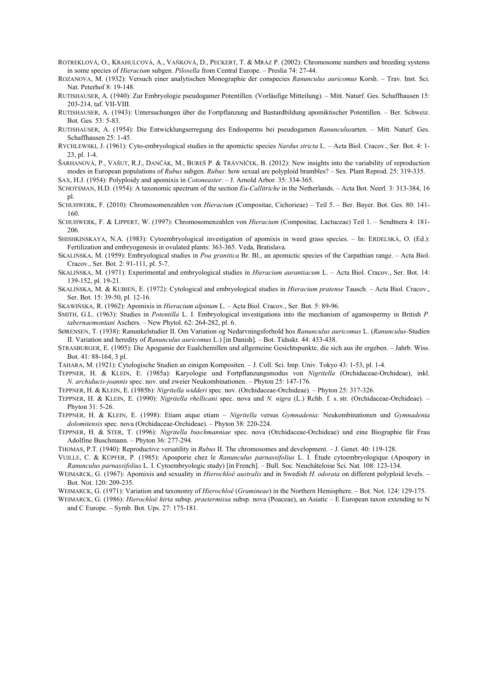- ROTREKLOVÁ, O., KRAHULCOVÁ, A., VAŇKOVÁ, D., PECKERT, T. & MRÁZ P. (2002): Chromosome numbers and breeding systems in some species of *Hieracium* subgen. *Pilosella* from Central Europe. – Preslia 74: 27-44.
- ROZANOVA, M. (1932): Versuch einer analytischen Monographie der conspecies *Ranunculus auricomus* Korsh. Trav. Inst. Sci. Nat. Peterhof 8: 19-148.
- RUTISHAUSER, A. (1940): Zur Embryologie pseudogamer Potentillen. (Vorläufige Mitteilung). Mitt. Naturf. Ges. Schaffhausen 15: 203-214, taf. VII-VIII.
- RUTISHAUSER, A. (1943): Untersuchungen über die Fortpflanzung und Bastardbildung apomiktischer Potentillen. Ber. Schweiz. Bot. Ges*.* 53: 5-83.
- RUTISHAUSER, A. (1954): Die Entwicklungserregung des Endosperms bei pseudogamen *Ranunculus*arten. Mitt. Naturf. Ges. Schaffhausen 25: 1-45.
- RYCHLEWSKI, J. (1961): Cyto-embryological studies in the apomictic species *Nardus stricta* L. Acta Biol. Cracov., Ser. Bot. 4: 1- 23, pl. 1-4.
- ŠARHANOVÁ, P., VAŠUT, R.J., DANČÁK, M., BUREŠ P. & TRÁVNÍČEK, B. (2012): New insights into the variability of reproduction modes in European populations of *Rubus* subgen. *Rubus*: how sexual are polyploid brambles? – Sex. Plant Reprod. 25: 319-335. SAX, H.J. (1954): Polyploidy and apomixis in *Cotoneaster*. – J. Arnold Arbor*.* 35: 334-365.
- SCHOTSMAN, H.D. (1954): A taxonomic spectrum of the section *Eu-Callitriche* in the Netherlands. Acta Bot. Neerl*.* 3: 313-384, 16 pl.
- SCHUHWERK, F. (2010): Chromosomenzahlen von *Hieracium* (Compositae, Cichorieae) Teil 5. Ber. Bayer. Bot. Ges. 80: 141- 160.
- SCHUHWERK, F. & LIPPERT, W. (1997): Chromosomenzahlen von *Hieracium* (Compositae*,* Lactuceae) Teil 1. Sendtnera 4: 181- 206.
- SHISHKINSKAYA, N.A. (1983): Cytoembryological investigation of apomixis in weed grass species. In: ERDELSKÁ, O. (Ed.): Fertilization and embryogenesis in ovulated plants: 363-365. Veda, Bratislava.
- SKALIŃSKA, M. (1959): Embryological studies in *Poa granitica* Br. Bl., an apomictic species of the Carpathian range. Acta Biol. Cracov., Ser. Bot. 2: 91-111, pl. 5-7.
- SKALIŃSKA, M. (1971): Experimental and embryological studies in *Hieracium aurantiacum* L. Acta Biol. Cracov., Ser. Bot. 14: 139-152, pl. 19-21.
- SKALIŃSKA, M. & KUBIEŃ, E. (1972): Cytological and embryological studies in *Hieracium pratense* Tausch. Acta Biol. Cracov., Ser. Bot. 15: 39-50, pl. 12-16.
- SKAWIŃSKA, R. (1962): Apomixis in *Hieracium alpinum* L. Acta Biol. Cracov., Ser. Bot. 5: 89-96.
- SMITH, G.L. (1963): Studies in *Potentilla* L. I. Embryological investigations into the mechanism of agamospermy in British *P. tabernaemontani* Aschers. – New Phytol*.* 62: 264-282, pl. 6.
- SØRENSEN, T. (1938): Ranunkelstudier II. Om Variation og Nedarvningsforhold hos *Ranunculus auricomus* L. (*Ranunculus-*Studien II. Variation and heredity of *Ranunculus auricomus* L.) [in Danish]. – Bot. Tidsskr*.* 44: 433-438.
- STRASBURGER, E. (1905): Die Apogamie der Eualchemillen und allgemeine Gesichtspunkte, die sich aus ihr ergeben. Jahrb. Wiss. Bot. 41: 88-164, 3 pl.
- TAHARA, M. (1921): Cytologische Studien an einigen Kompositen. J. Coll. Sci. Imp. Univ. Tokyo 43: 1-53, pl. 1-4.
- TEPPNER, H. & KLEIN, E. (1985a): Karyologie und Fortpflanzungsmodus von *Nigritella* (Orchidaceae-Orchideae), inkl. *N. archiducis-joannis* spec. nov. und zweier Neukombinationen. – Phyton 25: 147-176.
- TEPPNER, H. & KLEIN, E. (1985b): *Nigritella widderi* spec. nov. (Orchidaceae-Orchideae)*.*  Phyton 25: 317-326.
- TEPPNER, H. & KLEIN, E. (1990): *Nigritella rhellicani* spec. nova und *N. nigra* (L.) Rchb. f. s. str. (Orchidaceae-Orchideae). Phyton 31: 5-26.
- TEPPNER, H. & KLEIN, E. (1998): Etiam atque etiam *Nigritella* versus *Gymnadenia*: Neukombinationen und *Gymnadenia dolomitensis* spec. nova (Orchidaceae-Orchideae). – Phyton 38: 220-224.
- TEPPNER, H. & STER, T. (1996): *Nigritella buschmanniae* spec. nova (Orchidaceae-Orchideae) und eine Biographie für Frau Adolfine Buschmann. – Phyton 36: 277-294.
- THOMAS, P.T. (1940): Reproductive versatility in *Rubus* II. The chromosomes and development. J. Genet. 40: 119-128.
- VUILLE, C. & KÜPFER, P. (1985): Aposporie chez le *Ranunculus parnassifolius* L. I. Étude cytoembryologique (Apospory in *Ranunculus parnassifolius* L. I. Cytoembryologic study) [in French]. – Bull. Soc. Neuchâteloise Sci. Nat*.* 108: 123-134.
- WEIMARCK, G. (1967): Apomixis and sexuality in *Hierochloë australis* and in Swedish *H. odorata* on different polyploid levels. Bot. Not. 120: 209-235.
- WEIMARCK, G. (1971): Variation and taxonomy of *Hierochloë* (*Gramineae*) in the Northern Hemisphere. Bot. Not. 124: 129-175.
- WEIMARCK, G. (1986): *Hierochloë hirta* subsp. *praetermissa* subsp. nova (Poaceae), an Asiatic E European taxon extending to N and C Europe. – Symb. Bot. Ups. 27: 175-181.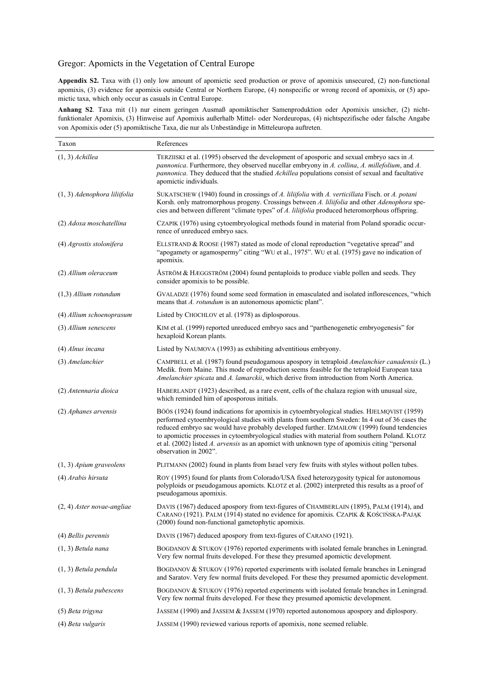# Gregor: Apomicts in the Vegetation of Central Europe

**Appendix S2.** Taxa with (1) only low amount of apomictic seed production or prove of apomixis unsecured, (2) non-functional apomixis, (3) evidence for apomixis outside Central or Northern Europe, (4) nonspecific or wrong record of apomixis, or (5) apomictic taxa, which only occur as casuals in Central Europe.

**Anhang S2**. Taxa mit (1) nur einem geringen Ausmaß apomiktischer Samenproduktion oder Apomixis unsicher, (2) nichtfunktionaler Apomixis, (3) Hinweise auf Apomixis außerhalb Mittel- oder Nordeuropas, (4) nichtspezifische oder falsche Angabe von Apomixis oder (5) apomiktische Taxa, die nur als Unbeständige in Mitteleuropa auftreten.

| Taxon                        | References                                                                                                                                                                                                                                                                                                                                                                                                                                                                                                            |
|------------------------------|-----------------------------------------------------------------------------------------------------------------------------------------------------------------------------------------------------------------------------------------------------------------------------------------------------------------------------------------------------------------------------------------------------------------------------------------------------------------------------------------------------------------------|
| $(1, 3)$ Achillea            | TERZIISKI et al. (1995) observed the development of aposporic and sexual embryo sacs in A.<br>pannonica. Furthermore, they observed nucellar embryony in A. collina, A. millefolium, and A.<br>pannonica. They deduced that the studied Achillea populations consist of sexual and facultative<br>apomictic individuals.                                                                                                                                                                                              |
| (1, 3) Adenophora liliifolia | SUKATSCHEW (1940) found in crossings of A. liliifolia with A. verticillata Fisch. or A. potani<br>Korsh. only matromorphous progeny. Crossings between A. liliifolia and other Adenophora spe-<br>cies and between different "climate types" of A. liliifolia produced heteromorphous offspring.                                                                                                                                                                                                                      |
| (2) Adoxa moschatellina      | CZAPIK (1976) using cytoembryological methods found in material from Poland sporadic occur-<br>rence of unreduced embryo sacs.                                                                                                                                                                                                                                                                                                                                                                                        |
| (4) Agrostis stolonifera     | ELLSTRAND & ROOSE (1987) stated as mode of clonal reproduction "vegetative spread" and<br>"apogamety or agamospermy" citing "WU et al., 1975". WU et al. (1975) gave no indication of<br>apomixis.                                                                                                                                                                                                                                                                                                                    |
| (2) Allium oleraceum         | ASTRÖM & HÆGGSTRÖM (2004) found pentaploids to produce viable pollen and seeds. They<br>consider apomixis to be possible.                                                                                                                                                                                                                                                                                                                                                                                             |
| $(1,3)$ Allium rotundum      | GVALADZE (1976) found some seed formation in emasculated and isolated inflorescences, "which<br>means that A. rotundum is an autonomous apomictic plant".                                                                                                                                                                                                                                                                                                                                                             |
| (4) Allium schoenoprasum     | Listed by CHOCHLOV et al. (1978) as diplosporous.                                                                                                                                                                                                                                                                                                                                                                                                                                                                     |
| (3) Allium senescens         | KIM et al. (1999) reported unreduced embryo sacs and "parthenogenetic embryogenesis" for<br>hexaploid Korean plants.                                                                                                                                                                                                                                                                                                                                                                                                  |
| (4) Alnus incana             | Listed by NAUMOVA (1993) as exhibiting adventitious embryony.                                                                                                                                                                                                                                                                                                                                                                                                                                                         |
| (3) Amelanchier              | CAMPBELL et al. (1987) found pseudogamous apospory in tetraploid Amelanchier canadensis (L.)<br>Medik. from Maine. This mode of reproduction seems feasible for the tetraploid European taxa<br>Amelanchier spicata and A. lamarckii, which derive from introduction from North America.                                                                                                                                                                                                                              |
| (2) Antennaria dioica        | HABERLANDT (1923) described, as a rare event, cells of the chalaza region with unusual size,<br>which reminded him of aposporous initials.                                                                                                                                                                                                                                                                                                                                                                            |
| (2) Aphanes arvensis         | BÖÖS (1924) found indications for apomixis in cytoembryological studies. HJELMQVIST (1959)<br>performed cytoembryological studies with plants from southern Sweden: In 4 out of 36 cases the<br>reduced embryo sac would have probably developed further. IZMAIŁOW (1999) found tendencies<br>to apomictic processes in cytoembryological studies with material from southern Poland. KLOTZ<br>et al. (2002) listed A. arvensis as an apomict with unknown type of apomixis citing "personal<br>observation in 2002". |
| $(1, 3)$ Apium graveolens    | PLITMANN (2002) found in plants from Israel very few fruits with styles without pollen tubes.                                                                                                                                                                                                                                                                                                                                                                                                                         |
| (4) Arabis hirsuta           | ROY (1995) found for plants from Colorado/USA fixed heterozygosity typical for autonomous<br>polyploids or pseudogamous apomicts. KLOTZ et al. (2002) interpreted this results as a proof of<br>pseudogamous apomixis.                                                                                                                                                                                                                                                                                                |
| $(2, 4)$ Aster novae-angliae | DAVIS (1967) deduced apospory from text-figures of CHAMBERLAIN (1895), PALM (1914), and<br>CARANO (1921). PALM (1914) stated no evidence for apomixis. CZAPIK & KOŚCIŃSKA-PAJĄK<br>(2000) found non-functional gametophytic apomixis.                                                                                                                                                                                                                                                                                 |
| (4) Bellis perennis          | DAVIS (1967) deduced apospory from text-figures of CARANO (1921).                                                                                                                                                                                                                                                                                                                                                                                                                                                     |
| $(1, 3)$ Betula nana         | BOGDANOV & STUKOV (1976) reported experiments with isolated female branches in Leningrad.<br>Very few normal fruits developed. For these they presumed apomictic development.                                                                                                                                                                                                                                                                                                                                         |
| $(1, 3)$ Betula pendula      | BOGDANOV & STUKOV (1976) reported experiments with isolated female branches in Leningrad<br>and Saratov. Very few normal fruits developed. For these they presumed apomictic development.                                                                                                                                                                                                                                                                                                                             |
| $(1, 3)$ Betula pubescens    | BOGDANOV & STUKOV (1976) reported experiments with isolated female branches in Leningrad.<br>Very few normal fruits developed. For these they presumed apomictic development.                                                                                                                                                                                                                                                                                                                                         |
| (5) Beta trigyna             | JASSEM (1990) and JASSEM & JASSEM (1970) reported autonomous apospory and diplospory.                                                                                                                                                                                                                                                                                                                                                                                                                                 |
| (4) Beta vulgaris            | JASSEM (1990) reviewed various reports of apomixis, none seemed reliable.                                                                                                                                                                                                                                                                                                                                                                                                                                             |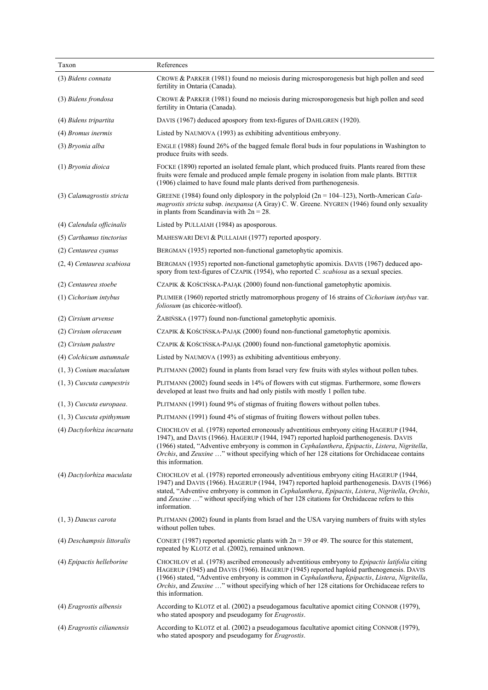| Taxon                       | References                                                                                                                                                                                                                                                                                                                                                                                                         |
|-----------------------------|--------------------------------------------------------------------------------------------------------------------------------------------------------------------------------------------------------------------------------------------------------------------------------------------------------------------------------------------------------------------------------------------------------------------|
| (3) Bidens connata          | CROWE & PARKER (1981) found no meiosis during microsporogenesis but high pollen and seed<br>fertility in Ontaria (Canada).                                                                                                                                                                                                                                                                                         |
| (3) Bidens frondosa         | CROWE & PARKER $(1981)$ found no meiosis during microsporogenesis but high pollen and seed<br>fertility in Ontaria (Canada).                                                                                                                                                                                                                                                                                       |
| (4) Bidens tripartita       | DAVIS (1967) deduced apospory from text-figures of DAHLGREN (1920).                                                                                                                                                                                                                                                                                                                                                |
| (4) <i>Bromus inermis</i>   | Listed by NAUMOVA (1993) as exhibiting adventitious embryony.                                                                                                                                                                                                                                                                                                                                                      |
| (3) Bryonia alba            | ENGLE (1988) found 26% of the bagged female floral buds in four populations in Washington to<br>produce fruits with seeds.                                                                                                                                                                                                                                                                                         |
| (1) Bryonia dioica          | FOCKE (1890) reported an isolated female plant, which produced fruits. Plants reared from these<br>fruits were female and produced ample female progeny in isolation from male plants. BITTER<br>(1906) claimed to have found male plants derived from parthenogenesis.                                                                                                                                            |
| (3) Calamagrostis stricta   | GREENE (1984) found only diplospory in the polyploid ( $2n = 104-123$ ), North-American Cala-<br>magrostis stricta subsp. inexpansa (A Gray) C. W. Greene. NYGREN (1946) found only sexuality<br>in plants from Scandinavia with $2n = 28$ .                                                                                                                                                                       |
| (4) Calendula officinalis   | Listed by PULLAIAH (1984) as aposporous.                                                                                                                                                                                                                                                                                                                                                                           |
| (5) Carthamus tinctorius    | MAHESWARI DEVI & PULLAIAH (1977) reported apospory.                                                                                                                                                                                                                                                                                                                                                                |
| (2) Centaurea cyanus        | BERGMAN (1935) reported non-functional gametophytic apomixis.                                                                                                                                                                                                                                                                                                                                                      |
| (2, 4) Centaurea scabiosa   | BERGMAN (1935) reported non-functional gametophytic apomixis. DAVIS (1967) deduced apo-<br>spory from text-figures of CZAPIK (1954), who reported C. scabiosa as a sexual species.                                                                                                                                                                                                                                 |
| (2) Centaurea stoebe        | CZAPIK & KOŚCIŃSKA-PAJĄK (2000) found non-functional gametophytic apomixis.                                                                                                                                                                                                                                                                                                                                        |
| (1) Cichorium intybus       | PLUMIER (1960) reported strictly matromorphous progeny of 16 strains of <i>Cichorium intybus</i> var.<br>foliosum (as chicorée-witloof).                                                                                                                                                                                                                                                                           |
| (2) Cirsium arvense         | ŻABIŃSKA (1977) found non-functional gametophytic apomixis.                                                                                                                                                                                                                                                                                                                                                        |
| (2) Cirsium oleraceum       | CZAPIK & KOŚCIŃSKA-PAJĄK (2000) found non-functional gametophytic apomixis.                                                                                                                                                                                                                                                                                                                                        |
| (2) Cirsium palustre        | CZAPIK & KOŚCIŃSKA-PAJĄK (2000) found non-functional gametophytic apomixis.                                                                                                                                                                                                                                                                                                                                        |
| (4) Colchicum autumnale     | Listed by NAUMOVA (1993) as exhibiting adventitious embryony.                                                                                                                                                                                                                                                                                                                                                      |
| $(1, 3)$ Conium maculatum   | PLITMANN (2002) found in plants from Israel very few fruits with styles without pollen tubes.                                                                                                                                                                                                                                                                                                                      |
| $(1, 3)$ Cuscuta campestris | PLITMANN (2002) found seeds in 14% of flowers with cut stigmas. Furthermore, some flowers<br>developed at least two fruits and had only pistils with mostly 1 pollen tube.                                                                                                                                                                                                                                         |
| $(1, 3)$ Cuscuta europaea.  | PLITMANN (1991) found 9% of stigmas of fruiting flowers without pollen tubes.                                                                                                                                                                                                                                                                                                                                      |
| $(1, 3)$ Cuscuta epithymum  | PLITMANN (1991) found 4% of stigmas of fruiting flowers without pollen tubes.                                                                                                                                                                                                                                                                                                                                      |
| (4) Dactylorhiza incarnata  | CHOCHLOV et al. (1978) reported erroneously adventitious embryony citing HAGERUP (1944,<br>1947), and DAVIS (1966). HAGERUP (1944, 1947) reported haploid parthenogenesis. DAVIS<br>(1966) stated, "Adventive embryony is common in Cephalanthera, Epipactis, Listera, Nigritella,<br>Orchis, and Zeuxine " without specifying which of her 128 citations for Orchidaceae contains<br>this information.            |
| (4) Dactylorhiza maculata   | CHOCHLOV et al. (1978) reported erroneously adventitious embryony citing HAGERUP (1944,<br>1947) and DAVIS (1966). HAGERUP (1944, 1947) reported haploid parthenogenesis. DAVIS (1966)<br>stated, "Adventive embryony is common in Cephalanthera, Epipactis, Listera, Nigritella, Orchis,<br>and Zeuxine " without specifying which of her 128 citations for Orchidaceae refers to this<br>information.            |
| $(1, 3)$ Daucus carota      | PLITMANN (2002) found in plants from Israel and the USA varying numbers of fruits with styles<br>without pollen tubes.                                                                                                                                                                                                                                                                                             |
| (4) Deschampsis littoralis  | CONERT (1987) reported apomictic plants with $2n = 39$ or 49. The source for this statement,<br>repeated by KLOTZ et al. (2002), remained unknown.                                                                                                                                                                                                                                                                 |
| (4) Epipactis helleborine   | CHOCHLOV et al. (1978) ascribed erroneously adventitious embryony to Epipactis latifolia citing<br>HAGERUP (1945) and DAVIS (1966). HAGERUP (1945) reported haploid parthenogenesis. DAVIS<br>(1966) stated, "Adventive embryony is common in Cephalanthera, Epipactis, Listera, Nigritella,<br>Orchis, and Zeuxine " without specifying which of her 128 citations for Orchidaceae refers to<br>this information. |
| (4) Eragrostis albensis     | According to KLOTZ et al. (2002) a pseudogamous facultative apomict citing CONNOR (1979),<br>who stated apospory and pseudogamy for <i>Eragrostis</i> .                                                                                                                                                                                                                                                            |
| (4) Eragrostis cilianensis  | According to KLOTZ et al. (2002) a pseudogamous facultative apomict citing CONNOR (1979),<br>who stated apospory and pseudogamy for Eragrostis.                                                                                                                                                                                                                                                                    |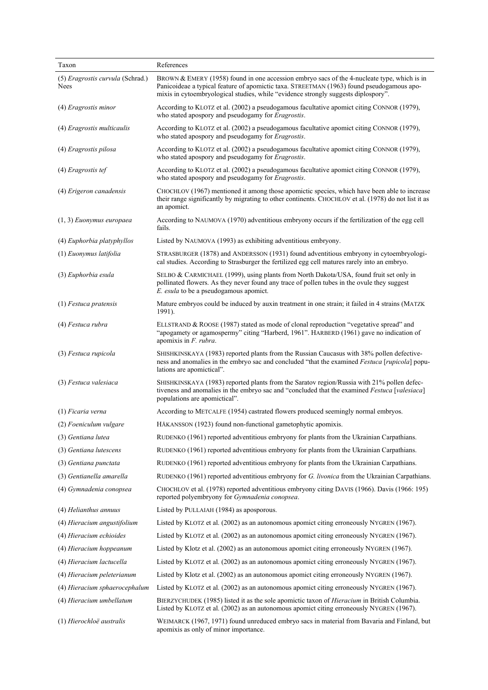| Taxon                                    | References                                                                                                                                                                                                                                                                     |
|------------------------------------------|--------------------------------------------------------------------------------------------------------------------------------------------------------------------------------------------------------------------------------------------------------------------------------|
| (5) Eragrostis curvula (Schrad.)<br>Nees | BROWN & EMERY (1958) found in one accession embryo sacs of the 4-nucleate type, which is in<br>Panicoideae a typical feature of apomictic taxa. STREETMAN (1963) found pseudogamous apo-<br>mixis in cytoembryological studies, while "evidence strongly suggests diplospory". |
| (4) Eragrostis minor                     | According to KLOTZ et al. (2002) a pseudogamous facultative apomict citing CONNOR (1979),<br>who stated apospory and pseudogamy for <i>Eragrostis</i> .                                                                                                                        |
| (4) Eragrostis multicaulis               | According to KLOTZ et al. (2002) a pseudogamous facultative apomict citing CONNOR (1979),<br>who stated apospory and pseudogamy for <i>Eragrostis</i> .                                                                                                                        |
| (4) Eragrostis pilosa                    | According to KLOTZ et al. (2002) a pseudogamous facultative apomict citing CONNOR (1979),<br>who stated apospory and pseudogamy for Eragrostis.                                                                                                                                |
| (4) Eragrostis tef                       | According to KLOTZ et al. (2002) a pseudogamous facultative apomict citing CONNOR (1979),<br>who stated apospory and pseudogamy for Eragrostis.                                                                                                                                |
| (4) Erigeron canadensis                  | CHOCHLOV (1967) mentioned it among those apomictic species, which have been able to increase<br>their range significantly by migrating to other continents. CHOCHLOV et al. (1978) do not list it as<br>an apomict.                                                            |
| $(1, 3)$ Euonymus europaea               | According to NAUMOVA (1970) adventitious embryony occurs if the fertilization of the egg cell<br>fails.                                                                                                                                                                        |
| (4) Euphorbia platyphyllos               | Listed by NAUMOVA (1993) as exhibiting adventitious embryony.                                                                                                                                                                                                                  |
| (1) Euonymus latifolia                   | STRASBURGER (1878) and ANDERSSON (1931) found adventitious embryony in cytoembryologi-<br>cal studies. According to Strasburger the fertilized egg cell matures rarely into an embryo.                                                                                         |
| (3) Euphorbia esula                      | SELBO & CARMICHAEL (1999), using plants from North Dakota/USA, found fruit set only in<br>pollinated flowers. As they never found any trace of pollen tubes in the ovule they suggest<br>E. esula to be a pseudogamous apomict.                                                |
| $(1)$ Festuca pratensis                  | Mature embryos could be induced by auxin treatment in one strain; it failed in 4 strains (MATZK<br>1991).                                                                                                                                                                      |
| (4) Festuca rubra                        | ELLSTRAND & ROOSE (1987) stated as mode of clonal reproduction "vegetative spread" and<br>"apogamety or agamospermy" citing "Harberd, 1961". HARBERD (1961) gave no indication of<br>apomixis in $F$ . rubra.                                                                  |
| (3) Festuca rupicola                     | SHISHKINSKAYA (1983) reported plants from the Russian Caucasus with 38% pollen defective-<br>ness and anomalies in the embryo sac and concluded "that the examined Festuca [rupicola] popu-<br>lations are apomictical".                                                       |
| (3) Festuca valesiaca                    | SHISHKINSKAYA (1983) reported plants from the Saratov region/Russia with 21% pollen defec-<br>tiveness and anomalies in the embryo sac and "concluded that the examined Festuca [valesiaca]<br>populations are apomictical".                                                   |
| $(1)$ Ficaria verna                      | According to METCALFE (1954) castrated flowers produced seemingly normal embryos.                                                                                                                                                                                              |
| (2) Foeniculum vulgare                   | HÅKANSSON (1923) found non-functional gametophytic apomixis.                                                                                                                                                                                                                   |
| (3) Gentiana lutea                       | RUDENKO (1961) reported adventitious embryony for plants from the Ukrainian Carpathians.                                                                                                                                                                                       |
| (3) Gentiana lutescens                   | RUDENKO (1961) reported adventitious embryony for plants from the Ukrainian Carpathians.                                                                                                                                                                                       |
| (3) Gentiana punctata                    | RUDENKO (1961) reported adventitious embryony for plants from the Ukrainian Carpathians.                                                                                                                                                                                       |
| (3) Gentianella amarella                 | RUDENKO (1961) reported adventitious embryony for G. livonica from the Ukrainian Carpathians.                                                                                                                                                                                  |
| (4) Gymnadenia conopsea                  | CHOCHLOV et al. (1978) reported adventitious embryony citing DAVIS (1966). Davis (1966: 195)<br>reported polyembryony for Gymnadenia conopsea.                                                                                                                                 |
| (4) Helianthus annuus                    | Listed by PULLAIAH (1984) as aposporous.                                                                                                                                                                                                                                       |
| (4) Hieracium angustifolium              | Listed by KLOTZ et al. (2002) as an autonomous apomict citing erroneously NYGREN (1967).                                                                                                                                                                                       |
| (4) Hieracium echioides                  | Listed by KLOTZ et al. (2002) as an autonomous apomict citing erroneously NYGREN (1967).                                                                                                                                                                                       |
| (4) Hieracium hoppeanum                  | Listed by Klotz et al. (2002) as an autonomous apomict citing erroneously NYGREN (1967).                                                                                                                                                                                       |
| (4) Hieracium lactucella                 | Listed by KLOTZ et al. (2002) as an autonomous apomict citing erroneously NYGREN (1967).                                                                                                                                                                                       |
| (4) Hieracium peleterianum               | Listed by Klotz et al. (2002) as an autonomous apomict citing erroneously NYGREN (1967).                                                                                                                                                                                       |
| (4) Hieracium sphaerocephalum            | Listed by KLOTZ et al. (2002) as an autonomous apomict citing erroneously NYGREN (1967).                                                                                                                                                                                       |
| (4) Hieracium umbellatum                 | BIERZYCHUDEK (1985) listed it as the sole apomictic taxon of <i>Hieracium</i> in British Columbia.<br>Listed by KLOTZ et al. (2002) as an autonomous apomict citing erroneously NYGREN (1967).                                                                                 |
| (1) Hierochloë australis                 | WEIMARCK (1967, 1971) found unreduced embryo sacs in material from Bavaria and Finland, but<br>apomixis as only of minor importance.                                                                                                                                           |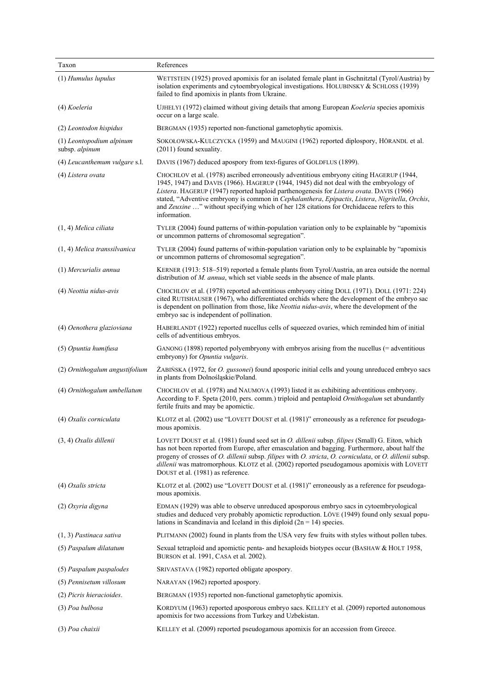| Taxon                                      | References                                                                                                                                                                                                                                                                                                                                                                                                                                                                                     |
|--------------------------------------------|------------------------------------------------------------------------------------------------------------------------------------------------------------------------------------------------------------------------------------------------------------------------------------------------------------------------------------------------------------------------------------------------------------------------------------------------------------------------------------------------|
| (1) Humulus lupulus                        | WETTSTEIN (1925) proved apomixis for an isolated female plant in Gschnitztal (Tyrol/Austria) by<br>isolation experiments and cytoembryological investigations. HOLUBINSKY & SCHLOSS (1939)<br>failed to find apomixis in plants from Ukraine.                                                                                                                                                                                                                                                  |
| (4) Koeleria                               | UJHELYI (1972) claimed without giving details that among European Koeleria species apomixis<br>occur on a large scale.                                                                                                                                                                                                                                                                                                                                                                         |
| (2) Leontodon hispidus                     | BERGMAN (1935) reported non-functional gametophytic apomixis.                                                                                                                                                                                                                                                                                                                                                                                                                                  |
| (1) Leontopodium alpinum<br>subsp. alpinum | SOKOŁOWSKA-KULCZYCKA (1959) and MAUGINI (1962) reported diplospory, HÖRANDL et al.<br>$(2011)$ found sexuality.                                                                                                                                                                                                                                                                                                                                                                                |
| (4) Leucanthemum vulgare s.l.              | DAVIS (1967) deduced apospory from text-figures of GOLDFLUS (1899).                                                                                                                                                                                                                                                                                                                                                                                                                            |
| (4) Listera ovata                          | CHOCHLOV et al. (1978) ascribed erroneously adventitious embryony citing HAGERUP (1944,<br>1945, 1947) and DAVIS (1966). HAGERUP (1944, 1945) did not deal with the embryology of<br>Listera. HAGERUP (1947) reported haploid parthenogenesis for Listera ovata. DAVIS (1966)<br>stated, "Adventive embryony is common in Cephalanthera, Epipactis, Listera, Nigritella, Orchis,<br>and Zeuxine " without specifying which of her 128 citations for Orchidaceae refers to this<br>information. |
| $(1, 4)$ Melica ciliata                    | TYLER (2004) found patterns of within-population variation only to be explainable by "apomixis"<br>or uncommon patterns of chromosomal segregation".                                                                                                                                                                                                                                                                                                                                           |
| (1, 4) Melica transsilvanica               | TYLER (2004) found patterns of within-population variation only to be explainable by "apomixis"<br>or uncommon patterns of chromosomal segregation".                                                                                                                                                                                                                                                                                                                                           |
| (1) Mercurialis annua                      | KERNER (1913: 518–519) reported a female plants from Tyrol/Austria, an area outside the normal<br>distribution of $M$ . annua, which set viable seeds in the absence of male plants.                                                                                                                                                                                                                                                                                                           |
| (4) Neottia nidus-avis                     | CHOCHLOV et al. (1978) reported adventitious embryony citing DOLL (1971). DOLL (1971: 224)<br>cited RUTISHAUSER (1967), who differentiated orchids where the development of the embryo sac<br>is dependent on pollination from those, like Neottia nidus-avis, where the development of the<br>embryo sac is independent of pollination.                                                                                                                                                       |
| (4) Oenothera glazioviana                  | HABERLANDT (1922) reported nucellus cells of squeezed ovaries, which reminded him of initial<br>cells of adventitious embryos.                                                                                                                                                                                                                                                                                                                                                                 |
| (5) Opuntia humifusa                       | GANONG (1898) reported polyembryony with embryos arising from the nucellus (= adventitious<br>embryony) for <i>Opuntia vulgaris</i> .                                                                                                                                                                                                                                                                                                                                                          |
| (2) Ornithogalum angustifolium             | ŽABIŃSKA (1972, for <i>O. gussonei</i> ) found aposporic initial cells and young unreduced embryo sacs<br>in plants from Dolnośląskie/Poland.                                                                                                                                                                                                                                                                                                                                                  |
| (4) Ornithogalum umbellatum                | CHOCHLOV et al. (1978) and NAUMOVA (1993) listed it as exhibiting adventitious embryony.<br>According to F. Speta (2010, pers. comm.) triploid and pentaploid <i>Ornithogalum</i> set abundantly<br>fertile fruits and may be apomictic.                                                                                                                                                                                                                                                       |
| (4) Oxalis corniculata                     | KLOTZ et al. (2002) use "LOVETT DOUST et al. (1981)" erroneously as a reference for pseudoga-<br>mous apomixis.                                                                                                                                                                                                                                                                                                                                                                                |
| $(3, 4)$ Oxalis dillenii                   | LOVETT DOUST et al. (1981) found seed set in <i>O. dillenii</i> subsp. <i>filipes</i> (Small) G. Eiton, which<br>has not been reported from Europe, after emasculation and bagging. Furthermore, about half the<br>progeny of crosses of O. dillenii subsp. filipes with O. stricta, O. corniculata, or O. dillenii subsp.<br>dillenii was matromorphous. KLOTZ et al. (2002) reported pseudogamous apomixis with LOVETT<br>DOUST et al. (1981) as reference.                                  |
| (4) Oxalis stricta                         | KLOTZ et al. (2002) use "LOVETT DOUST et al. (1981)" erroneously as a reference for pseudoga-<br>mous apomixis.                                                                                                                                                                                                                                                                                                                                                                                |
| (2) Oxyria digyna                          | EDMAN (1929) was able to observe unreduced aposporous embryo sacs in cytoembryological<br>studies and deduced very probably apomictic reproduction. LÖVE (1949) found only sexual popu-<br>lations in Scandinavia and Iceland in this diploid $(2n = 14)$ species.                                                                                                                                                                                                                             |
| $(1, 3)$ Pastinaca sativa                  | PLITMANN (2002) found in plants from the USA very few fruits with styles without pollen tubes.                                                                                                                                                                                                                                                                                                                                                                                                 |
| (5) Paspalum dilatatum                     | Sexual tetraploid and apomictic penta- and hexaploids biotypes occur (BASHAW & HOLT 1958,<br>BURSON et al. 1991, CASA et al. 2002).                                                                                                                                                                                                                                                                                                                                                            |
| (5) Paspalum paspalodes                    | SRIVASTAVA (1982) reported obligate apospory.                                                                                                                                                                                                                                                                                                                                                                                                                                                  |
| (5) Pennisetum villosum                    | NARAYAN (1962) reported apospory.                                                                                                                                                                                                                                                                                                                                                                                                                                                              |
| (2) Picris hieracioides.                   | BERGMAN (1935) reported non-functional gametophytic apomixis.                                                                                                                                                                                                                                                                                                                                                                                                                                  |
| (3) Poa bulbosa                            | KORDYUM (1963) reported aposporous embryo sacs. KELLEY et al. (2009) reported autonomous<br>apomixis for two accessions from Turkey and Uzbekistan.                                                                                                                                                                                                                                                                                                                                            |
| (3) Poa chaixii                            | KELLEY et al. (2009) reported pseudogamous apomixis for an accession from Greece.                                                                                                                                                                                                                                                                                                                                                                                                              |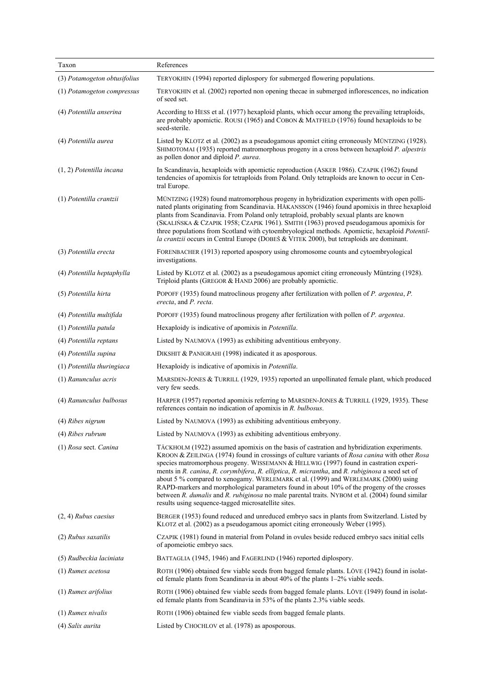| Taxon                        | References                                                                                                                                                                                                                                                                                                                                                                                                                                                                                                                                                                                                                                                                                                                            |
|------------------------------|---------------------------------------------------------------------------------------------------------------------------------------------------------------------------------------------------------------------------------------------------------------------------------------------------------------------------------------------------------------------------------------------------------------------------------------------------------------------------------------------------------------------------------------------------------------------------------------------------------------------------------------------------------------------------------------------------------------------------------------|
| (3) Potamogeton obtusifolius | TERYOKHIN (1994) reported diplospory for submerged flowering populations.                                                                                                                                                                                                                                                                                                                                                                                                                                                                                                                                                                                                                                                             |
| (1) Potamogeton compressus   | TERYOKHIN et al. (2002) reported non opening thecae in submerged inflorescences, no indication<br>of seed set.                                                                                                                                                                                                                                                                                                                                                                                                                                                                                                                                                                                                                        |
| (4) Potentilla anserina      | According to HESS et al. (1977) hexaploid plants, which occur among the prevailing tetraploids,<br>are probably apomictic. ROUSI (1965) and COBON & MATFIELD (1976) found hexaploids to be<br>seed-sterile.                                                                                                                                                                                                                                                                                                                                                                                                                                                                                                                           |
| (4) Potentilla aurea         | Listed by KLOTZ et al. (2002) as a pseudogamous apomict citing erroneously MÜNTZING (1928).<br>SHIMOTOMAI (1935) reported matromorphous progeny in a cross between hexaploid P. alpestris<br>as pollen donor and diploid P. aurea.                                                                                                                                                                                                                                                                                                                                                                                                                                                                                                    |
| $(1, 2)$ Potentilla incana   | In Scandinavia, hexaploids with apomictic reproduction (ASKER 1986). CZAPIK (1962) found<br>tendencies of apomixis for tetraploids from Poland. Only tetraploids are known to occur in Cen-<br>tral Europe.                                                                                                                                                                                                                                                                                                                                                                                                                                                                                                                           |
| (1) Potentilla crantzii      | MÜNTZING (1928) found matromorphous progeny in hybridization experiments with open polli-<br>nated plants originating from Scandinavia. HÅKANSSON (1946) found apomixis in three hexaploid<br>plants from Scandinavia. From Poland only tetraploid, probably sexual plants are known<br>(SKALIŃSKA & CZAPIK 1958; CZAPIK 1961). SMITH (1963) proved pseudogamous apomixis for<br>three populations from Scotland with cytoembryological methods. Apomictic, hexaploid Potentil-<br>la crantzii occurs in Central Europe (DOBEŠ & VITEK 2000), but tetraploids are dominant.                                                                                                                                                           |
| (3) Potentilla erecta        | FORENBACHER (1913) reported apospory using chromosome counts and cytoembryological<br>investigations.                                                                                                                                                                                                                                                                                                                                                                                                                                                                                                                                                                                                                                 |
| (4) Potentilla heptaphylla   | Listed by KLOTZ et al. (2002) as a pseudogamous apomict citing erroneously Müntzing (1928).<br>Triploid plants (GREGOR & HAND 2006) are probably apomictic.                                                                                                                                                                                                                                                                                                                                                                                                                                                                                                                                                                           |
| (5) Potentilla hirta         | POPOFF (1935) found matroclinous progeny after fertilization with pollen of P. argentea, P.<br>erecta, and P. recta.                                                                                                                                                                                                                                                                                                                                                                                                                                                                                                                                                                                                                  |
| (4) Potentilla multifida     | POPOFF (1935) found matroclinous progeny after fertilization with pollen of <i>P. argentea</i> .                                                                                                                                                                                                                                                                                                                                                                                                                                                                                                                                                                                                                                      |
| (1) Potentilla patula        | Hexaploidy is indicative of apomixis in Potentilla.                                                                                                                                                                                                                                                                                                                                                                                                                                                                                                                                                                                                                                                                                   |
| (4) Potentilla reptans       | Listed by NAUMOVA (1993) as exhibiting adventitious embryony.                                                                                                                                                                                                                                                                                                                                                                                                                                                                                                                                                                                                                                                                         |
| (4) Potentilla supina        | DIKSHIT & PANIGRAHI (1998) indicated it as aposporous.                                                                                                                                                                                                                                                                                                                                                                                                                                                                                                                                                                                                                                                                                |
| (1) Potentilla thuringiaca   | Hexaploidy is indicative of apomixis in Potentilla.                                                                                                                                                                                                                                                                                                                                                                                                                                                                                                                                                                                                                                                                                   |
| (1) Ranunculus acris         | MARSDEN-JONES & TURRILL (1929, 1935) reported an unpollinated female plant, which produced<br>very few seeds.                                                                                                                                                                                                                                                                                                                                                                                                                                                                                                                                                                                                                         |
| (4) Ranunculus bulbosus      | HARPER (1957) reported apomixis referring to MARSDEN-JONES & TURRILL (1929, 1935). These<br>references contain no indication of apomixis in $R$ . bulbosus.                                                                                                                                                                                                                                                                                                                                                                                                                                                                                                                                                                           |
| (4) Ribes nigrum             | Listed by NAUMOVA (1993) as exhibiting adventitious embryony.                                                                                                                                                                                                                                                                                                                                                                                                                                                                                                                                                                                                                                                                         |
| $(4)$ Ribes rubrum           | Listed by NAUMOVA (1993) as exhibiting adventitious embryony.                                                                                                                                                                                                                                                                                                                                                                                                                                                                                                                                                                                                                                                                         |
| (1) Rosa sect. Canina        | TÄCKHOLM (1922) assumed apomixis on the basis of castration and hybridization experiments.<br>KROON & ZEILINGA (1974) found in crossings of culture variants of Rosa canina with other Rosa<br>species matromorphous progeny. WISSEMANN & HELLWIG (1997) found in castration experi-<br>ments in R. canina, R. corymbifera, R. elliptica, R. micrantha, and R. rubiginosa a seed set of<br>about 5 % compared to xenogamy. WERLEMARK et al. (1999) and WERLEMARK (2000) using<br>RAPD-markers and morphological parameters found in about 10% of the progeny of the crosses<br>between R. dumalis and R. rubiginosa no male parental traits. NYBOM et al. (2004) found similar<br>results using sequence-tagged microsatellite sites. |
| $(2, 4)$ Rubus caesius       | BERGER (1953) found reduced and unreduced embryo sacs in plants from Switzerland. Listed by<br>KLOTZ et al. (2002) as a pseudogamous apomict citing erroneously Weber (1995).                                                                                                                                                                                                                                                                                                                                                                                                                                                                                                                                                         |
| (2) Rubus saxatilis          | CZAPIK (1981) found in material from Poland in ovules beside reduced embryo sacs initial cells<br>of apomeiotic embryo sacs.                                                                                                                                                                                                                                                                                                                                                                                                                                                                                                                                                                                                          |
| (5) Rudbeckia laciniata      | BATTAGLIA (1945, 1946) and FAGERLIND (1946) reported diplospory.                                                                                                                                                                                                                                                                                                                                                                                                                                                                                                                                                                                                                                                                      |
| (1) Rumex acetosa            | ROTH (1906) obtained few viable seeds from bagged female plants. LÖVE (1942) found in isolat-<br>ed female plants from Scandinavia in about 40% of the plants 1–2% viable seeds.                                                                                                                                                                                                                                                                                                                                                                                                                                                                                                                                                      |
| $(1)$ Rumex arifolius        | ROTH (1906) obtained few viable seeds from bagged female plants. LÖVE (1949) found in isolat-<br>ed female plants from Scandinavia in 53% of the plants 2.3% viable seeds.                                                                                                                                                                                                                                                                                                                                                                                                                                                                                                                                                            |
| $(1)$ Rumex nivalis          | ROTH (1906) obtained few viable seeds from bagged female plants.                                                                                                                                                                                                                                                                                                                                                                                                                                                                                                                                                                                                                                                                      |
| (4) Salix aurita             | Listed by CHOCHLOV et al. (1978) as aposporous.                                                                                                                                                                                                                                                                                                                                                                                                                                                                                                                                                                                                                                                                                       |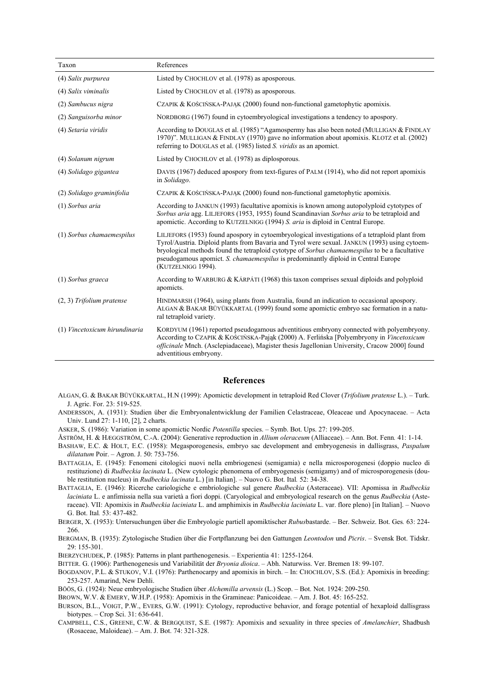| Taxon                         | References                                                                                                                                                                                                                                                                                                                                                                                                    |
|-------------------------------|---------------------------------------------------------------------------------------------------------------------------------------------------------------------------------------------------------------------------------------------------------------------------------------------------------------------------------------------------------------------------------------------------------------|
| (4) Salix purpurea            | Listed by CHOCHLOV et al. (1978) as aposporous.                                                                                                                                                                                                                                                                                                                                                               |
| (4) Salix viminalis           | Listed by CHOCHLOV et al. (1978) as aposporous.                                                                                                                                                                                                                                                                                                                                                               |
| (2) Sambucus nigra            | CZAPIK & KOŚCIŃSKA-PAJAK (2000) found non-functional gametophytic apomixis.                                                                                                                                                                                                                                                                                                                                   |
| (2) Sanguisorba minor         | NORDBORG (1967) found in cytoembryological investigations a tendency to apospory.                                                                                                                                                                                                                                                                                                                             |
| (4) Setaria viridis           | According to DOUGLAS et al. (1985) "Agamospermy has also been noted (MULLIGAN & FINDLAY<br>1970)". MULLIGAN & FINDLAY (1970) gave no information about apomixis. KLOTZ et al. (2002)<br>referring to DOUGLAS et al. (1985) listed <i>S. viridis</i> as an apomict.                                                                                                                                            |
| (4) Solanum nigrum            | Listed by CHOCHLOV et al. (1978) as diplosporous.                                                                                                                                                                                                                                                                                                                                                             |
| (4) Solidago gigantea         | DAVIS (1967) deduced apospory from text-figures of PALM (1914), who did not report apomixis<br>in Solidago.                                                                                                                                                                                                                                                                                                   |
| (2) Solidago graminifolia     | CZAPIK & KOŚCIŃSKA-PAJĄK (2000) found non-functional gametophytic apomixis.                                                                                                                                                                                                                                                                                                                                   |
| (1) Sorbus aria               | According to JANKUN (1993) facultative apomixis is known among autopolyploid cytotypes of<br>Sorbus aria agg. LILJEFORS (1953, 1955) found Scandinavian Sorbus aria to be tetraploid and<br>apomictic. According to KUTZELNIGG (1994) S. aria is diploid in Central Europe.                                                                                                                                   |
| (1) Sorbus chamaemespilus     | LILIEFORS (1953) found apospory in cytoembryological investigations of a tetraploid plant from<br>Tyrol/Austria. Diploid plants from Bavaria and Tyrol were sexual. JANKUN (1993) using cytoem-<br>bryological methods found the tetraploid cytotype of Sorbus chamaemespilus to be a facultative<br>pseudogamous apomict. S. chamaemespilus is predominantly diploid in Central Europe<br>(KUTZELNIGG 1994). |
| (1) Sorbus graeca             | According to WARBURG & KÁRPÁTI (1968) this taxon comprises sexual diploids and polyploid<br>apomicts.                                                                                                                                                                                                                                                                                                         |
| $(2, 3)$ Trifolium pratense   | HINDMARSH (1964), using plants from Australia, found an indication to occasional apospory.<br>ALGAN & BAKAR BÜYÜKKARTAL (1999) found some apomictic embryo sac formation in a natu-<br>ral tetraploid variety.                                                                                                                                                                                                |
| (1) Vincetoxicum hirundinaria | KORDYUM (1961) reported pseudogamous adventitious embryony connected with polyembryony.<br>According to CZAPIK & KOŚCIŃSKA-Pająk (2000) A. Ferlińska [Polyembryony in Vincetoxicum<br>officinale Mnch. (Asclepiadaceae), Magister thesis Jagellonian University, Cracow 2000] found<br>adventitious embryony.                                                                                                 |

## **References**

- ALGAN, G. & BAKAR BÜYÜKKARTAL, H.N (1999): Apomictic development in tetraploid Red Clover (*Trifolium pratense* L.). Turk. J. Agric. For. 23: 519-525.
- ANDERSSON, A. (1931): Studien über die Embryonalentwicklung der Familien Celastraceae, Oleaceae und Apocynaceae. Acta Univ. Lund 27: 1-110, [2], 2 charts.

ASKER, S. (1986): Variation in some apomictic Nordic *Potentilla* species. – Symb. Bot. Ups. 27: 199-205.

ÅSTRÖM, H. & HÆGGSTRÖM, C.-A. (2004): Generative reproduction in *Allium oleraceum* (Alliaceae). – Ann. Bot. Fenn*.* 41: 1-14.

- BASHAW, E.C. & HOLT, E.C. (1958): Megasporogenesis, embryo sac development and embryogenesis in dallisgrass, *Paspalum dilatatum* Poir. – Agron. J. 50: 753-756.
- BATTAGLIA, E. (1945): Fenomeni citologici nuovi nella embriogenesi (semigamia) e nella microsporogenesi (doppio nucleo di restituzione) di *Rudbeckia lacinata* L. (New cytologic phenomena of embryogenesis (semigamy) and of microsporogenesis (double restitution nucleus) in *Rudbeckia lacinata* L.) [in Italian]. – Nuovo G. Bot. Ital*.* 52: 34-38.
- BATTAGLIA, E. (1946): Ricerche cariologiche e embriologiche sul genere *Rudbeckia* (Asteraceae). VII: Apomissa in *Rudbeckia laciniata* L. e anfimissia nella sua varietà a fiori doppi. (Caryological and embryological research on the genus *Rudbeckia* (Asteraceae). VII: Apomixis in *Rudbeckia laciniata* L. and amphimixis in *Rudbeckia laciniata* L. var. flore pleno) [in Italian]. – Nuovo G. Bot. Ital*.* 53: 437-482.

BERGER, X. (1953): Untersuchungen über die Embryologie partiell apomiktischer *Rubus*bastarde. – Ber. Schweiz. Bot. Ges*.* 63: 224- 266.

BERGMAN, B. (1935): Zytologische Studien über die Fortpflanzung bei den Gattungen *Leontodon* und *Picris*. – Svensk Bot. Tidskr. 29: 155-301.

BIERZYCHUDEK, P. (1985): Patterns in plant parthenogenesis. – Experientia 41: 1255-1264.

BITTER. G. (1906): Parthenogenesis und Variabilität der *Bryonia dioica*. – Abh. Naturwiss. Ver. Bremen 18: 99-107.

BOGDANOV, P.L. & STUKOV, V.I. (1976): Parthenocarpy and apomixis in birch. – In: CHOCHLOV, S.S. (Ed.): Apomixis in breeding: 253-257. Amarind, New Dehli.

BÖÖS, G. (1924): Neue embryologische Studien über *Alchemilla arvensis* (L.) Scop. – Bot. Not. 1924: 209-250.

BROWN, W.V. & EMERY, W.H.P. (1958): Apomixis in the Gramineae: Panicoideae. – Am. J. Bot. 45: 165-252.

BURSON, B.L., VOIGT, P.W., EVERS, G.W. (1991): Cytology, reproductive behavior, and forage potential of hexaploid dallisgrass biotypes. – Crop Sci. 31: 636-641.

CAMPBELL, C.S., GREENE, C.W. & BERGQUIST, S.E. (1987): Apomixis and sexuality in three species of *Amelanchier*, Shadbush (Rosaceae, Maloideae). – Am. J. Bot. 74: 321-328.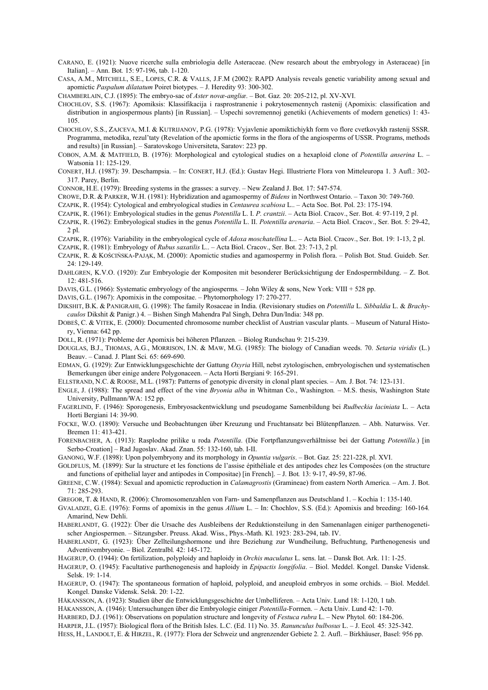- CARANO, E. (1921): Nuove ricerche sulla embriologia delle Asteraceae. (New research about the embryology in Asteraceae) [in Italian]. – Ann. Bot*.* 15: 97-196, tab. 1-120.
- CASA, A.M., MITCHELL, S.E., LOPES, C.R. & VALLS, J.F.M (2002): RAPD Analysis reveals genetic variability among sexual and apomictic *Paspalum dilatatum* Poiret biotypes. – J. Heredity 93: 300-302.

CHAMBERLAIN, C.J. (1895): The embryo-sac of *Aster novæ-angliæ*. – Bot. Gaz*.* 20: 205-212, pl. XV-XVI.

- CHOCHLOV, S.S. (1967): Apomiksis: Klassifikacija i rasprostranenie i pokrytosemennych rastenij (Apomixis: classification and distribution in angiospermous plants) [in Russian]. – Uspechi sovremennoj genetiki (Achievements of modern genetics) 1: 43-105.
- CHOCHLOV, S.S., ZAJCEVA, M.I. & KUTRIJANOV, P.G. (1978): Vyjavlenie apomiktichiykh form vo flore cvetkovykh rastenij SSSR. Programma, metodika, rezul'taty (Revelation of the apomictic forms in the flora of the angiosperms of USSR. Programs, methods and results) [in Russian]. – Saratovskogo Universiteta, Saratov: 223 pp.
- COBON, A.M. & MATFIELD, B. (1976): Morphological and cytological studies on a hexaploid clone of *Potentilla anserina* L. Watsonia 11: 125-129.
- CONERT, H.J. (1987): 39. Deschampsia. In: CONERT, H.J. (Ed.): Gustav Hegi. Illustrierte Flora von Mitteleuropa 1. 3 Aufl.: 302- 317. Parey, Berlin.
- CONNOR, H.E. (1979): Breeding systems in the grasses: a survey. New Zealand J. Bot. 17: 547-574.
- CROWE, D.R. & PARKER, W.H. (1981): Hybridization and agamospermy of *Bidens* in Northwest Ontario. Taxon 30: 749-760.
- CZAPIK, R. (1954): Cytological and embryological studies in *Centaurea scabiosa* L.. Acta Soc. Bot. Pol. 23: 175-194.
- CZAPIK, R. (1961): Embryological studies in the genus *Potentilla* L. I. *P. crantzii*. Acta Biol. Cracov., Ser. Bot. 4: 97-119, 2 pl.
- CZAPIK, R. (1962): Embryological studies in the genus *Potentilla* L. II. *Potentilla arenaria*. Acta Biol. Cracov., Ser. Bot. 5: 29-42, 2 pl.
- CZAPIK, R. (1976): Variability in the embryological cycle of *Adoxa moschatellina* L.. Acta Biol. Cracov., Ser. Bot. 19: 1-13, 2 pl.
- CZAPIK, R. (1981): Embryology of *Rubus saxatilis* L.. Acta Biol. Cracov., Ser. Bot. 23: 7-13, 2 pl.
- CZAPIK, R. & KOŚCIŃSKA-PAJĄK, M. (2000): Apomictic studies and agamospermy in Polish flora. Polish Bot. Stud. Guideb. Ser*.*  24: 129-149.
- DAHLGREN, K.V.O. (1920): Zur Embryologie der Kompositen mit besonderer Berücksichtigung der Endospermbildung. Z. Bot. 12: 481-516.
- DAVIS, G.L. (1966): Systematic embryology of the angiosperms*.* John Wiley & sons, New York: VIII + 528 pp.
- DAVIS, G.L. (1967): Apomixis in the compositae. Phytomorphology 17: 270-277.
- DIKSHIT, B.K. & PANIGRAHI, G. (1998): The family Rosaceae in India. (Revisionary studies on *Potentilla* L. *Sibbaldia* L. & *Brachycaulos* Dikshit & Panigr.) 4. – Bishen Singh Mahendra Pal Singh, Dehra Dun/India: 348 pp.
- DOBEŠ, C. & VITEK, E. (2000): Documented chromosome number checklist of Austrian vascular plants. Museum of Natural History, Vienna: 642 pp.
- DOLL, R. (1971): Probleme der Apomixis bei höheren Pflanzen. Biolog Rundschau 9: 215-239.
- DOUGLAS, B.J., THOMAS, A.G., MORRISON, I.N. & MAW, M.G. (1985): The biology of Canadian weeds. 70. *Setaria viridis* (L.) Beauv. – Canad. J. Plant Sci*.* 65: 669-690.
- EDMAN, G. (1929): Zur Entwicklungsgeschichte der Gattung *Oxyria* Hill, nebst zytologischen, embryologischen und systematischen Bemerkungen über einige andere Polygonaceen. – Acta Horti Bergiani 9: 165-291.
- ELLSTRAND, N.C. & ROOSE, M.L. (1987): Patterns of genotypic diversity in clonal plant species. Am. J. Bot. 74: 123-131.
- ENGLE, J. (1988): The spread and effect of the vine *Bryonia alba* in Whitman Co., Washington*.* M.S. thesis, Washington State University, Pullmann/WA: 152 pp.
- FAGERLIND, F. (1946): Sporogenesis, Embryosackentwicklung und pseudogame Samenbildung bei *Rudbeckia laciniata* L. Acta Horti Bergiani 14: 39-90.
- FOCKE, W.O. (1890): Versuche und Beobachtungen über Kreuzung und Fruchtansatz bei Blütenpflanzen. Abh. Naturwiss. Ver. Bremen 11: 413-421.
- FORENBACHER, A. (1913): Rasplodne prilike u roda *Potentilla*. (Die Fortpflanzungsverhältnisse bei der Gattung *Potentilla*.) [in Serbo-Croation] – Rad Jugoslav. Akad. Znan. 55: 132-160, tab. I-II.
- GANONG, W.F. (1898): Upon polyembryony and its morphology in *Opuntia vulgaris*. Bot. Gaz*.* 25: 221-228, pl. XVI.
- GOLDFLUS, M. (1899): Sur la structure et les fonctions de l'assise épithéliale et des antipodes chez les Composées (on the structure and functions of epithelial layer and antipodes in Compositae) [in French]. – J. Bot*.* 13: 9-17, 49-59, 87-96.
- GREENE, C.W. (1984): Sexual and apomictic reproduction in *Calamagrostis* (Gramineae) from eastern North America. Am. J. Bot. 71: 285-293.
- GREGOR, T. & HAND, R. (2006): Chromosomenzahlen von Farn- und Samenpflanzen aus Deutschland 1. Kochia 1: 135-140.
- GVALADZE, G.E. (1976): Forms of apomixis in the genus *Allium* L. In: Chochlov, S.S. (Ed.): Apomixis and breeding: 160-164*.* Amarind, New Dehli.
- HABERLANDT, G. (1922): Über die Ursache des Ausbleibens der Reduktionsteilung in den Samenanlagen einiger parthenogenetischer Angiospermen. – Sitzungsber. Preuss. Akad. Wiss., Phys.-Math. Kl. 1923: 283-294, tab. IV.
- HABERLANDT, G. (1923): Über Zellteilungshormone und ihre Beziehung zur Wundheilung, Befruchtung, Parthenogenesis und Adventivembryonie. – Biol. Zentralbl*.* 42: 145-172.
- HAGERUP, O. (1944): On fertilization, polyploidy and haploidy in *Orchis maculatus* L. sens. lat. *–* Dansk Bot. Ark. 11: 1-25.
- HAGERUP, O. (1945): Facultative parthenogenesis and haploidy in *Epipactis longifolia*. Biol. Meddel. Kongel. Danske Vidensk. Selsk. 19: 1-14.
- HAGERUP, O. (1947): The spontaneous formation of haploid, polyploid, and aneuploid embryos in some orchids. Biol. Meddel. Kongel. Danske Vidensk. Selsk. 20: 1-22.
- HÅKANSSON, A. (1923): Studien über die Entwicklungsgeschichte der Umbelliferen. Acta Univ. Lund 18: 1-120, 1 tab.
- HÅKANSSON, A. (1946): Untersuchungen über die Embryologie einiger *Potentilla-*Formen. Acta Univ. Lund 42: 1-70.
- HARBERD, D.J. (1961): Observations on population structure and longevity of *Festuca rubra* L. New Phytol*.* 60: 184-206.

HARPER, J.L. (1957): Biological flora of the British Isles. L.C. (Ed. 11) No. 35. *Ranunculus bulbosus* L. – J. Ecol*.* 45: 325-342.

HESS, H., LANDOLT, E. & HIRZEL, R. (1977): Flora der Schweiz und angrenzender Gebiete 2*.* 2. Aufl. – Birkhäuser, Basel: 956 pp.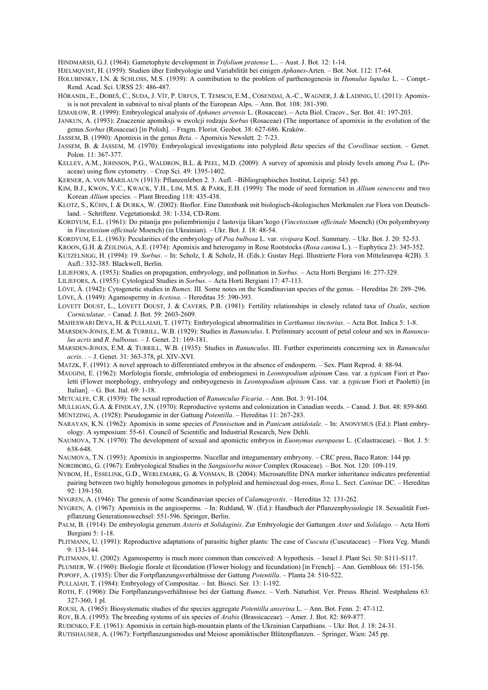HINDMARSH, G.J. (1964): Gametophyte development in *Trifolium pratense* L.. – Aust. J. Bot*.* 12: 1-14.

HJELMQVIST, H. (1959): Studien über Embryologie und Variabilität bei einigen *Aphanes*-Arten. – Bot. Not. 112: 17-64.

- HOLUBINSKY, I.N. & SCHLOSS, M.S. (1939): A contribution to the problem of parthenogenesis in *Humulus lupulus* L. Compt.- Rend. Acad. Sci. URSS 23: 486-487.
- HÖRANDL, E., DOBEŠ, C., SUDA, J. VÍT, P. URFUS, T. TEMSCH, E.M., COSENDAI, A.-C., WAGNER, J. & LADINIG, U. (2011): Apomixis is not prevalent in subnival to nival plants of the European Alps. – Ann. Bot. 108: 381-390.

IZMAIŁOW, R. (1999): Embryological analysis of *Aphanes arvensis* L. (Rosaceae). – Acta Biol. Cracov., Ser. Bot. 41: 197-203.

- JANKUN, A. (1993): Znaczenie apomiksji w ewolcji rodzaju *Sorbus* (Rosaceae) (The importance of apomixis in the evolution of the genus *Sorbus* (Rosaceae) [in Polish]. – Fragm. Florist. Geobot*.* 38: 627-686. Kraków.
- JASSEM, B. (1990): Apomixis in the genus *Beta*. Apomixis Newslett*.* 2: 7-23.
- JASSEM, B. & JASSEM, M. (1970): Embryological investigations into polyploid *Beta* species of the *Corollinae* section. Genet. Polon*.* 11: 367-377.
- KELLEY, A.M., JOHNSON, P.G., WALDRON, B.L. & PEEL, M.D. (2009): A survey of apomixis and ploidy levels among *Poa* L. (Poaceae) using flow cytometry. – Crop Sci. 49: 1395-1402.

KERNER, A. VON MARILAUN (1913): Pflanzenleben 2. 3. Aufl. –Bibliographisches Institut, Leipzig: 543 pp.

- KIM, B.J., KWON, Y.C., KWACK, Y.H., LIM, M.S. & PARK, E.H. (1999): The mode of seed formation in *Allium senescens* and two Korean *Allium* species. – Plant Breeding 118: 435-438.
- KLOTZ, S., KÜHN, I. & DURKA, W. (2002): Bioflor. Eine Datenbank mit biologisch-ökologischen Merkmalen zur Flora von Deutschland. – Schriftenr. Vegetationskd. 38: 1-334, CD-Rom.
- KORDYUM, E.L. (1961): Do pitanija pro poliembrioniju č lastovija likars'kogo (*Vincetoxium officinale* Moench) (On polyembryony in *Vincetoxium officinale* Moench) (in Ukrainian). *–* Ukr. Bot. J. 18: 48-54.

KORDYUM, E.L. (1963): Pecularities of the embryology of *Poa bulbosa* L. var. *vivipara* Koel. Summary. *–* Ukr. Bot. J. 20: 52-53.

- KROON, G.H. & ZEILINGA, A.E. (1974): Apomixis and heterogamy in Rose Rootstocks (*Rosa canina* L.). Euphytica 23: 345-352.
- KUTZELNIGG, H. (1994): 19. *Sorbus*. In: Scholz, I. & Scholz, H. (Eds.): Gustav Hegi. Illustrierte Flora von Mitteleuropa 4(2B). 3. Aufl.: 332-385. Blackwell, Berlin.

LILJEFORS, A. (1953): Studies on propagation, embryology, and pollination in *Sorbus*. – Acta Horti Bergiani 16: 277-329.

LILJEFORS, A. (1955): Cytological Studies in *Sorbus*. – Acta Horti Bergiani 17: 47-113.

LÖVE, Á. (1942): Cytogenetic studies in *Rumex*. III. Some notes on the Scandinavian species of the genus. – Hereditas 28: 289–296.

LÖVE, Á. (1949): Agamospermy in *Acetosa*. – Hereditas 35: 390-393.

LOVETT DOUST, L., LOVETT DOUST, J. & CAVERS, P.B. (1981): Fertility relationships in closely related taxa of *Oxalis*, section *Corniculatae*. – Canad. J. Bot. 59: 2603-2609.

MAHESWARI DEVA, H. & PULLAIAH, T. (1977): Embryological abnormalities in *Carthamus tinctorius*. – Acta Bot. Indica 5: 1-8.

- MARSDEN-JONES, E.M. & TURRILL, W.B. (1929): Studies in *Ranunculus*. I. Preliminary account of petal colour and sex in *Ranunculus acris* and *R. bulbosus*. – J. Genet. 21: 169-181.
- MARSDEN-JONES, E.M. & TURRILL, W.B. (1935): Studies in *Ranunculus*. III. Further experiments concerning sex in *Ranunculus acris*. . – J. Genet. 31: 363-378, pl. XIV-XVI.
- MATZK, F. (1991): A novel approach to differentiated embryos in the absence of endosperm. Sex. Plant Reprod. 4: 88-94.
- MAUGINI, E. (1962): Morfologia fiorale, embriologia ed embriogenesi in *Leontopodium alpinum* Cass. var. a *typicum* Fiori et Paoletti (Flower morphology, embryology and embryogenesis in *Leontopodium alpinum* Cass. var. a *typicum* Fiori et Paoletti) [in Italian]. – G. Bot. Ital. 69: 1-18.
- METCALFE, C.R. (1939): The sexual reproduction of *Ranunculus Ficaria*. Ann. Bot. 3: 91-104.
- MULLIGAN, G.A. & FINDLAY, J.N. (1970): Reproductive systems and colonization in Canadian weeds. Canad. J. Bot. 48: 859-860. MÜNTZING, A. (1928): Pseudogamie in der Gattung *Potentilla*. – Hereditas 11: 267-283.

NARAYAN, K.N. (1962): Apomixis in some species of *Pennisetum* and in *Panicum antidotale*. – In: ANONYMUS (Ed.): Plant embryology. A symposium: 55-61. Council of Scientific and Industrial Research, New Dehli.

- NAUMOVA, T.N. (1970): The development of sexual and apomictic embryos in *Euonymus europaeus* L. (Celastraceae). Bot. J. 5: 638-648.
- NAUMOVA, T.N. (1993): Apomixis in angiosperms. Nucellar and integumentary embryony*.* CRC press, Baco Raton: 144 pp.

NORDBORG, G. (1967): Embryological Studies in the *Sanguisorba minor* Complex (Rosaceae). – Bot. Not. 120: 109-119.

- NYBOM, H., ESSELINK, G.D., WERLEMARK, G. & VOSMAN, B. (2004): Microsatellite DNA marker inheritance indicates preferential pairing between two highly homologous genomes in polyploid and hemisexual dog-roses, *Rosa* L. Sect. *Caninae* DC. – Hereditas 92: 139-150.
- NYGREN, A. (1946): The genesis of some Scandinavian species of *Calamagrostis*. Hereditas 32: 131-262.
- NYGREN, A. (1967): Apomixis in the angiosperms. In: Ruhland, W. (Ed.): Handbuch der Pflanzenphysiologie 18. Sexualität Fortpflanzung Generationswechsel: 551-596. Springer, Berlin.
- PALM, B. (1914): De embryologia generum *Asteris* et *Solidaginis*. Zur Embryologie der Gattungen *Aster* und *Solidago*. Acta Horti Bergiani 5: 1-18.
- PLITMANN, U. (1991): Reproductive adaptations of parasitic higher plants: The case of *Cuscuta* (Cuscutaceae)*. –* Flora Veg. Mundi 9: 133-144.

PLITMANN, U. (2002): Agamospermy is much more common than conceived: A hypothesis. – Israel J. Plant Sci*.* 50: S111-S117.

- PLUMIER, W. (1960): Biologie florale et fécondation (Flower biology and fecundation) [in French]. Ann. Gembloux 66: 151-156.
- POPOFF, A. (1935): Über die Fortpflanzungsverhältnisse der Gattung *Potentilla*. Planta 24: 510-522.
- PULLAIAH, T. (1984): Embryology of Compositae. Int. Biosci. Ser*.* 13: 1-192.
- ROTH, F. (1906): Die Fortpflanzungsverhältnisse bei der Gattung *Rumex*. Verh. Naturhist. Ver. Preuss. Rheinl. Westphalens 63: 327-360, 1 pl.
- ROUSI, A. (1965): Biosystematic studies of the species aggregate *Potentilla anserina* L. Ann. Bot. Fenn*.* 2: 47-112.

ROY, B.A. (1995): The breeding systems of six species of *Arabis* (Brassicaceae). – Amer. J. Bot. 82: 869-877.

- RUDENKO, F.E. (1961): Аpomixis in certain high-mountain plants of the Ukrainian Carpathians. Ukr. Bot. J. 18: 24-31.
- RUTISHAUSER, A. (1967): Fortpflanzungsmodus und Meiose apomiktischer Blütenpflanzen. Springer, Wien: 245 pp.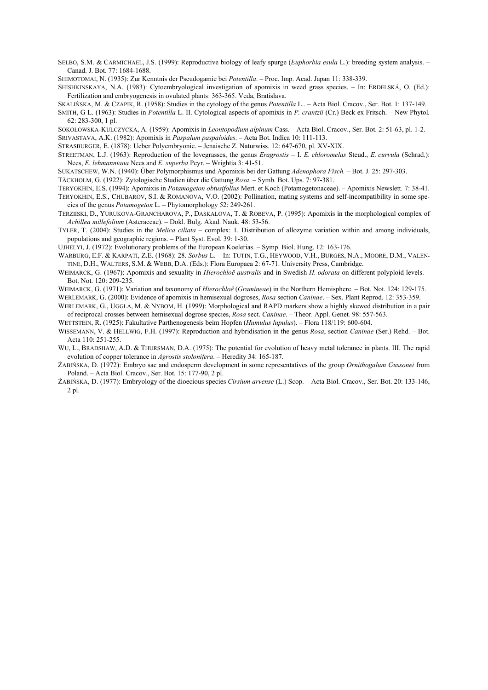SELBO, S.M. & CARMICHAEL, J.S. (1999): Reproductive biology of leafy spurge (*Euphorbia esula* L.): breeding system analysis. – Canad. J. Bot. 77: 1684-1688.

SHIMOTOMAI, N. (1935): Zur Kenntnis der Pseudogamie bei *Potentilla*. – Proc. Imp. Acad. Japan 11: 338-339.

SHISHKINSKAYA, N.A. (1983): Cytoembryological investigation of apomixis in weed grass species. – In: ERDELSKÁ, O. (Ed.): Fertilization and embryogenesis in ovulated plants: 363-365. Veda, Bratislava.

SKALIŃSKA, M. & CZAPIK, R. (1958): Studies in the cytology of the genus *Potentilla* L.. – Acta Biol. Cracov., Ser. Bot. 1: 137-149.

SMITH, G L. (1963): Studies in *Potentilla* L. II. Cytological aspects of apomixis in *P. crantzii* (Cr.) Beck ex Fritsch. – New Phytol*.* 62: 283-300, 1 pl.

SOKOŁOWSKA-KULCZYCKA, A. (1959): Apomixis in *Leontopodium alpinum* Cass. – Acta Biol. Cracov., Ser. Bot. 2: 51-63, pl. 1-2. SRIVASTAVA, A.K. (1982): Apomixis in *Paspalum paspaloides*. – Acta Bot. Indica 10: 111-113.

STRASBURGER, E. (1878): Ueber Polyembryonie. – Jenaische Z. Naturwiss*.* 12: 647-670, pl. XV-XIX.

STREETMAN, L.J. (1963): Reproduction of the lovegrasses, the genus *Eragrostis* – I. *E. chloromelas* Steud., *E. curvula* (Schrad.): Nees, *E. lehmanniana* Nees and *E. superba* Peyr. – Wrightia 3: 41-51.

SUKATSCHEW, W.N. (1940): Über Polymorphismus und Apomixis bei der Gattung *Adenophora Fisch.* – Bot. J. 25: 297-303.

TÄCKHOLM, G. (1922): Zytologische Studien über die Gattung *Rosa*. – Symb. Bot. Ups. 7: 97-381.

TERYOKHIN, E.S. (1994): Apomixis in *Potamogeton obtusifolius* Mert. et Koch (Potamogetonaceae). – Apomixis Newslett*.* 7: 38-41.

TERYOKHIN, E.S., CHUBAROV, S.I. & ROMANOVA, V.O. (2002): Pollination, mating systems and self-incompatibility in some species of the genus *Potamogeton* L. – Phytomorphology 52: 249-261.

TERZIISKI, D., YURUKOVA-GRANCHAROVA, P., DASKALOVA, T. & ROBEVA, P. (1995): Apomixis in the morphological complex of *Achillea millefolium* (Asteraceae). – Dokl. Bulg. Akad. Nauk. 48: 53-56.

TYLER, T. (2004): Studies in the *Melica ciliata* – complex: 1. Distribution of allozyme variation within and among individuals, populations and geographic regions. – Plant Syst. Evol*.* 39: 1-30.

UJHELYI, J. (1972): Evolutionary problems of the European Koelerias. – Symp. Biol. Hung. 12: 163-176.

WARBURG, E.F. & KARPATI, Z.E. (1968): 28. *Sorbus* L. – In: TUTIN, T.G., HEYWOOD, V.H., BURGES, N.A., MOORE, D.M., VALEN-TINE, D.H., WALTERS, S.M. & WEBB, D.A. (Eds.): Flora Europaea 2: 67-71. University Press, Cambridge.

WEIMARCK, G. (1967): Apomixis and sexuality in *Hierochloë australis* and in Swedish *H. odorata* on different polyploid levels. – Bot. Not. 120: 209-235.

WEIMARCK, G. (1971): Variation and taxonomy of *Hierochloë* (*Gramineae*) in the Northern Hemisphere. – Bot. Not. 124: 129-175.

WERLEMARK, G. (2000): Evidence of apomixis in hemisexual dogroses, *Rosa* section *Caninae*. – Sex. Plant Reprod. 12: 353-359.

WERLEMARK, G., UGGLA, M. & NYBOM, H. (1999): Morphological and RAPD markers show a highly skewed distribution in a pair of reciprocal crosses between hemisexual dogrose species, *Rosa* sect. *Caninae*. – Theor. Appl. Genet*.* 98: 557-563.

WETTSTEIN, R. (1925): Fakultative Parthenogenesis beim Hopfen (*Humulus lupulus*). – Flora 118/119: 600-604.

WISSEMANN, V. & HELLWIG, F.H. (1997): Reproduction and hybridisation in the genus *Rosa*, section *Caninae* (Ser.) Rehd. – Bot. Acta 110: 251-255.

WU, L., BRADSHAW, A.D. & THURSMAN, D.A. (1975): The potential for evolution of heavy metal tolerance in plants. III. The rapid evolution of copper tolerance in *Agrostis stolonifera*. – Heredity 34: 165-187.

ŻABIŃSKA, D. (1972): Embryo sac and endosperm development in some representatives of the group *Ornithogalum Gussonei* from Poland. – Acta Biol. Cracov., Ser. Bot. 15: 177-90, 2 pl.

ŻABIŃSKA, D. (1977): Embryology of the dioecious species *Cirsium arvense* (L.) Scop. – Acta Biol. Cracov., Ser. Bot. 20: 133-146, 2 pl.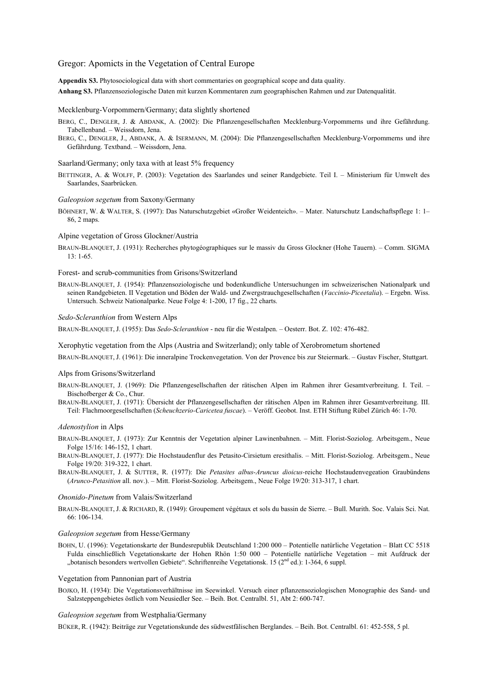## Gregor: Apomicts in the Vegetation of Central Europe

**Appendix S3.** Phytosociological data with short commentaries on geographical scope and data quality. **Anhang S3.** Pflanzensoziologische Daten mit kurzen Kommentaren zum geographischen Rahmen und zur Datenqualität.

### Mecklenburg-Vorpommern/Germany; data slightly shortened

BERG, C., DENGLER, J. & ABDANK, A. (2002): Die Pflanzengesellschaften Mecklenburg-Vorpommerns und ihre Gefährdung. Tabellenband. – Weissdorn, Jena.

BERG, C., DENGLER, J., ABDANK, A. & ISERMANN, M. (2004): Die Pflanzengesellschaften Mecklenburg-Vorpommerns und ihre Gefährdung. Textband. – Weissdorn, Jena.

#### Saarland/Germany; only taxa with at least 5% frequency

BETTINGER, A. & WOLFF, P. (2003): Vegetation des Saarlandes und seiner Randgebiete. Teil I. – Ministerium für Umwelt des Saarlandes, Saarbrücken.

#### *Galeopsion segetum* from Saxony/Germany

BÖHNERT, W. & WALTER, S. (1997): Das Naturschutzgebiet «Großer Weidenteich». – Mater. Naturschutz Landschaftspflege 1: 1– 86, 2 maps.

### Alpine vegetation of Gross Glockner/Austria

BRAUN-BLANQUET, J. (1931): Recherches phytogéographiques sur le massiv du Gross Glockner (Hohe Tauern). – Comm. SIGMA 13: 1-65.

## Forest- and scrub-communities from Grisons/Switzerland

BRAUN-BLANQUET, J. (1954): Pflanzensoziologische und bodenkundliche Untersuchungen im schweizerischen Nationalpark und seinen Randgebieten. II Vegetation und Böden der Wald- und Zwergstrauchgesellschaften (*Vaccinio-Piceetalia*). – Ergebn. Wiss. Untersuch. Schweiz Nationalparke. Neue Folge 4: 1-200, 17 fig., 22 charts.

## *Sedo-Scleranthion* from Western Alps

BRAUN-BLANQUET, J. (1955): Das *Sedo-Scleranthion* - neu für die Westalpen. – Oesterr. Bot. Z. 102: 476-482.

Xerophytic vegetation from the Alps (Austria and Switzerland); only table of Xerobrometum shortened

BRAUN-BLANQUET, J. (1961): Die inneralpine Trockenvegetation. Von der Provence bis zur Steiermark. – Gustav Fischer, Stuttgart.

#### Alps from Grisons/Switzerland

BRAUN-BLANQUET, J. (1969): Die Pflanzengesellschaften der rätischen Alpen im Rahmen ihrer Gesamtverbreitung. I. Teil. – Bischofberger & Co., Chur.

BRAUN-BLANQUET, J. (1971): Übersicht der Pflanzengesellschaften der rätischen Alpen im Rahmen ihrer Gesamtverbreitung. III. Teil: Flachmoorgesellschaften (*Scheuchzerio-Caricetea fuscae*). – Veröff. Geobot. Inst. ETH Stiftung Rübel Zürich 46: 1-70.

#### *Adenostylion* in Alps

BRAUN-BLANQUET, J. (1973): Zur Kenntnis der Vegetation alpiner Lawinenbahnen. – Mitt. Florist-Soziolog. Arbeitsgem., Neue Folge 15/16: 146-152, 1 chart.

BRAUN-BLANQUET, J. (1977): Die Hochstaudenflur des Petasito-Cirsietum eresithalis. – Mitt. Florist-Soziolog. Arbeitsgem., Neue Folge 19/20: 319-322, 1 chart.

BRAUN-BLANQUET, J. & SUTTER, R. (1977): Die *Petasites albus-Aruncus dioicus-*reiche Hochstaudenvegeation Graubündens (*Arunco-Petasition* all. nov.). – Mitt. Florist-Soziolog. Arbeitsgem., Neue Folge 19/20: 313-317, 1 chart.

## *Ononido-Pinetum* from Valais/Switzerland

BRAUN-BLANQUET, J. & RICHARD, R. (1949): Groupement végétaux et sols du bassin de Sierre. – Bull. Murith. Soc. Valais Sci. Nat. 66: 106-134.

## *Galeopsion segetum* from Hesse/Germany

BOHN, U. (1996): Vegetationskarte der Bundesrepublik Deutschland 1:200 000 – Potentielle natürliche Vegetation – Blatt CC 5518 Fulda einschließlich Vegetationskarte der Hohen Rhön 1:50 000 – Potentielle natürliche Vegetation – mit Aufdruck der "botanisch besonders wertvollen Gebiete". Schriftenreihe Vegetationsk. 15 (2<sup>nd</sup> ed.): 1-364, 6 suppl.

#### Vegetation from Pannonian part of Austria

BOJKO, H. (1934): Die Vegetationsverhältnisse im Seewinkel. Versuch einer pflanzensoziologischen Monographie des Sand- und Salzsteppengebietes östlich vom Neusiedler See. – Beih. Bot. Centralbl. 51, Abt 2: 600-747.

#### *Galeopsion segetum* from Westphalia/Germany

BÜKER, R. (1942): Beiträge zur Vegetationskunde des südwestfälischen Berglandes. – Beih. Bot. Centralbl. 61: 452-558, 5 pl.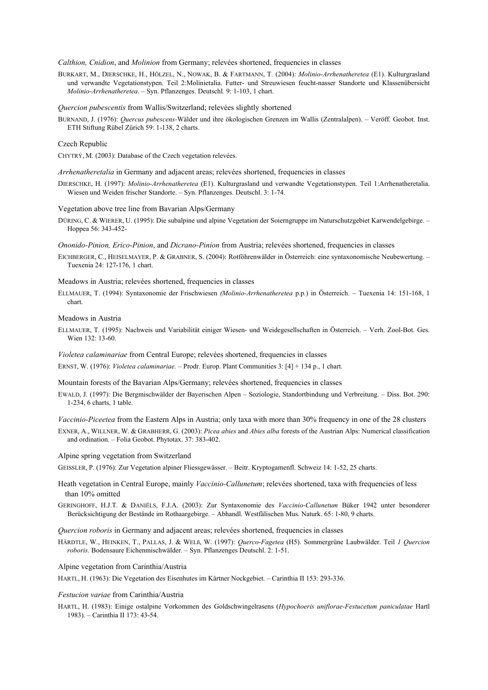## *Calthion, Cnidion*, and *Molinion* from Germany; relevées shortened, frequencies in classes

BURKART, M., DIERSCHKE, H., HÖLZEL, N., NOWAK, B. & FARTMANN, T. (2004): *Molinio-Arrhenatheretea* (E1). Kulturgrasland und verwandte Vegetationstypen. Teil 2:Molinietalia. Futter- und Streuwiesen feucht-nasser Standorte und Klassenübersicht *Molinio-Arrhenatheretea*. – Syn. Pflanzenges. Deutschl*.* 9: 1-103, 1 chart.

#### *Quercion pubescentis* from Wallis/Switzerland; relevées slightly shortened

BURNAND, J. (1976): *Quercus pubescens-*Wälder und ihre ökologischen Grenzen im Wallis (Zentralalpen). – Veröff. Geobot. Inst. ETH Stiftung Rübel Zürich 59: 1-138, 2 charts.

### Czech Republic

CHYTRÝ, M. (2003): Database of the Czech vegetation relevées.

*Arrhenatheretalia* in Germany and adjacent areas; relevées shortened, frequencies in classes

DIERSCHKE, H. (1997): *Molinio-Arrhenatheretea* (E1). Kulturgrasland und verwandte Vegetationstypen. Teil 1:Arrhenatheretalia. Wiesen und Weiden frischer Standorte. – Syn. Pflanzenges. Deutschl. 3: 1-74.

#### Vegetation above tree line from Bavarian Alps/Germany

DÜRING, C. & WIERER, U. (1995): Die subalpine und alpine Vegetation der Soierngruppe im Naturschutzgebiet Karwendelgebirge. – Hoppea 56: 343-452-

*Ononido-Pinion, Erico-Pinion*, and *Dicrano-Pinion* from Austria; relevées shortened, frequencies in classes

EICHBERGER, C., HEISELMAYER, P. & GRABNER, S. (2004): Rotföhrenwälder in Österreich: eine syntaxonomische Neubewertung. – Tuexenia 24: 127-176, 1 chart.

## Meadows in Austria; relevées shortened, frequencies in classes

ELLMAUER, T. (1994): Syntaxonomie der Frischwiesen *(Molinio-Arrhenatheretea* p.p.) in Österreich. – Tuexenia 14: 151-168, 1 chart.

## Meadows in Austria

ELLMAUER, T. (1995): Nachweis und Variabilität einiger Wiesen- und Weidegesellschaften in Österreich. – Verh. Zool-Bot. Ges. Wien 132: 13-60.

*Violetea calaminariae* from Central Europe; relevées shortened, frequencies in classes ERNST, W. (1976): *Violetea calaminariae.* – Prodr. Europ. Plant Communities 3: [4] + 134 p., 1 chart.

Mountain forests of the Bavarian Alps/Germany; relevées shortened, frequencies in classes

- EWALD, J. (1997): Die Bergmischwälder der Bayerischen Alpen Soziologie, Standortbindung und Verbreitung. Diss. Bot. 290: 1-234, 6 charts, 1 table.
- *Vaccinio-Piceetea* from the Eastern Alps in Austria; only taxa with more than 30% frequency in one of the 28 clusters EXNER, A., WILLNER, W. & GRABHERR, G. (2003): *Picea abies* and *Abies alba* forests of the Austrian Alps: Numerical classification and ordination. – Folia Geobot. Phytotax. 37: 383-402.

## Alpine spring vegetation from Switzerland

- GEISSLER, P. (1976): Zur Vegetation alpiner Fliessgewässer. Beitr. Kryptogamenfl. Schweiz 14: 1-52, 25 charts.
- Heath vegetation in Central Europe, mainly *Vaccinio-Callunetum*; relevées shortened, taxa with frequencies of less than 10% omitted
- GERINGHOFF, H.J.T. & DANIËLS, F.J.A. (2003): Zur Syntaxonomie des *Vaccinio-Callunetum* Büker 1942 unter besonderer Berücksichtigung der Bestände im Rothaargebirge. – Abhandl. Westfälischen Mus. Naturk. 65: 1-80, 9 charts.

#### *Quercion roboris* in Germany and adjacent areas; relevées shortened, frequencies in classes

HÄRDTLE, W., HEINKEN, T., PALLAS, J. & WELß, W. (1997): *Querco-Fagetea* (H5). Sommergrüne Laubwälder. Teil *1 Quercion roboris*. Bodensaure Eichenmischwälder. – Syn. Pflanzenges Deutschl. 2: 1-51.

### Alpine vegetation from Carinthia/Austria

HARTL, H. (1963): Die Vegetation des Eisenhutes im Kärtner Nockgebiet. – Carinthia II 153: 293-336.

## *Festucion variae* from Carinthia/Austria

HARTL, H. (1983): Einige ostalpine Vorkommen des Goldschwingelrasens (*Hypochoeris uniflorae-Festucetum paniculatae* Hartl 1983). – Carinthia II 173: 43-54.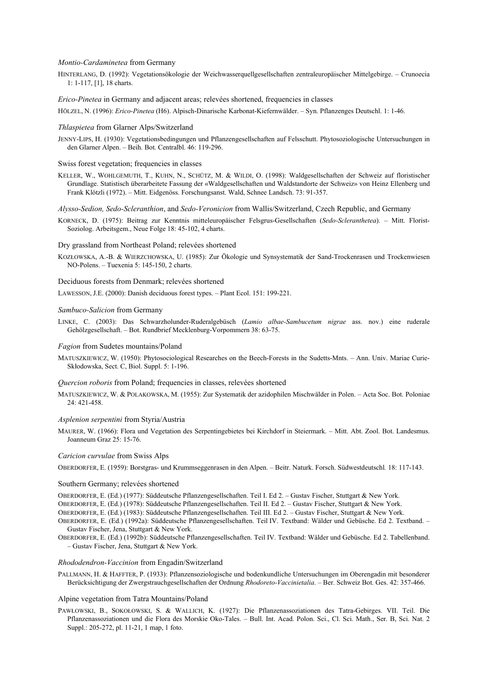### *Montio-Cardaminetea* from Germany

HINTERLANG, D. (1992): Vegetationsökologie der Weichwasserquellgesellschaften zentraleuropäischer Mittelgebirge. – Crunoecia 1: 1-117, [1], 18 charts.

*Erico-Pinetea* in Germany and adjacent areas; relevées shortened, frequencies in classes

HÖLZEL, N. (1996): *Erico-Pinetea* (H6). Alpisch-Dinarische Karbonat-Kiefernwälder. – Syn. Pflanzenges Deutschl. 1: 1-46.

### *Thlaspietea* from Glarner Alps/Switzerland

JENNY-LIPS, H. (1930): Vegetationsbedingungen und Pflanzengesellschaften auf Felsschutt. Phytosoziologische Untersuchungen in den Glarner Alpen. – Beih. Bot. Centralbl. 46: 119-296.

Swiss forest vegetation; frequencies in classes

- KELLER, W., WOHLGEMUTH, T., KUHN, N., SCHÜTZ, M. & WILDI, O. (1998): Waldgesellschaften der Schweiz auf floristischer Grundlage. Statistisch überarbeitete Fassung der «Waldgesellschaften und Waldstandorte der Schweiz» von Heinz Ellenberg und Frank Klötzli (1972). – Mitt. Eidgenöss. Forschungsanst. Wald, Schnee Landsch. 73: 91-357.
- *Alysso-Sedion, Sedo-Scleranthion*, and *Sedo-Veronicion* from Wallis/Switzerland, Czech Republic, and Germany
- KORNECK, D. (1975): Beitrag zur Kenntnis mitteleuropäischer Felsgrus-Gesellschaften (*Sedo-Scleranthetea*). Mitt. Florist-Soziolog. Arbeitsgem., Neue Folge 18: 45-102, 4 charts.

#### Dry grassland from Northeast Poland; relevées shortened

KOZŁOWSKA, A.-B. & WIERZCHOWSKA, U. (1985): Zur Ökologie und Synsystematik der Sand-Trockenrasen und Trockenwiesen NO-Polens. – Tuexenia 5: 145-150, 2 charts.

### Deciduous forests from Denmark; relevées shortened

LAWESSON, J.E. (2000): Danish deciduous forest types. – Plant Ecol. 151: 199-221.

#### *Sambuco-Salicion* from Germany

LINKE, C. (2003): Das Schwarzholunder-Ruderalgebüsch (*Lamio albae-Sambucetum nigrae* ass. nov.) eine ruderale Gehölzgesellschaft. – Bot. Rundbrief Mecklenburg-Vorpommern 38: 63-75.

## *Fagion* from Sudetes mountains/Poland

MATUSZKIEWICZ, W. (1950): Phytosociological Researches on the Beech-Forests in the Sudetts-Mnts. – Ann. Univ. Mariae Curie-Skłodowska, Sect. C, Biol. Suppl. 5: 1-196.

## *Quercion roboris* from Poland; frequencies in classes, relevées shortened

MATUSZKIEWICZ, W. & POLAKOWSKA, M. (1955): Zur Systematik der azidophilen Mischwälder in Polen. – Acta Soc. Bot. Poloniae 24: 421-458.

## *Asplenion serpentini* from Styria/Austria

MAURER, W. (1966): Flora und Vegetation des Serpentingebietes bei Kirchdorf in Steiermark. – Mitt. Abt. Zool. Bot. Landesmus. Joanneum Graz 25: 15-76.

#### *Caricion curvulae* from Swiss Alps

OBERDORFER, E. (1959): Borstgras- und Krummseggenrasen in den Alpen. – Beitr. Naturk. Forsch. Südwestdeutschl*.* 18: 117-143.

#### Southern Germany; relevées shortened

OBERDORFER, E. (Ed.) (1977): Süddeutsche Pflanzengesellschaften. Teil I. Ed 2. – Gustav Fischer, Stuttgart & New York.

OBERDORFER, E. (Ed.) (1978): Süddeutsche Pflanzengesellschaften. Teil II. Ed 2. – Gustav Fischer, Stuttgart & New York.

OBERDORFER, E. (Ed.) (1983): Süddeutsche Pflanzengesellschaften. Teil III. Ed 2. – Gustav Fischer, Stuttgart & New York.

OBERDORFER, E. (Ed.) (1992a): Süddeutsche Pflanzengesellschaften. Teil IV. Textband: Wälder und Gebüsche. Ed 2. Textband. – Gustav Fischer, Jena, Stuttgart & New York.

OBERDORFER, E. (Ed.) (1992b): Süddeutsche Pflanzengesellschaften. Teil IV. Textband: Wälder und Gebüsche. Ed 2. Tabellenband. – Gustav Fischer, Jena, Stuttgart & New York.

#### *Rhododendron-Vaccinion* from Engadin/Switzerland

PALLMANN, H. & HAFFTER, P. (1933): Pflanzensoziologische und bodenkundliche Untersuchungen im Oberengadin mit besonderer Berücksichtigung der Zwergstrauchgesellschaften der Ordnung *Rhodoreto-Vaccinietalia*. – Ber. Schweiz Bot. Ges. 42: 357-466.

#### Alpine vegetation from Tatra Mountains/Poland

PAWŁOWSKI, B., SOKOŁOWSKI, S. & WALLICH, K. (1927): Die Pflanzenassoziationen des Tatra-Gebirges. VII. Teil. Die Pflanzenassoziationen und die Flora des Morskie Oko-Tales. – Bull. Int. Acad. Polon. Sci., Cl. Sci. Math., Ser. B, Sci. Nat. 2 Suppl.: 205-272, pl. 11-21, 1 map, 1 foto.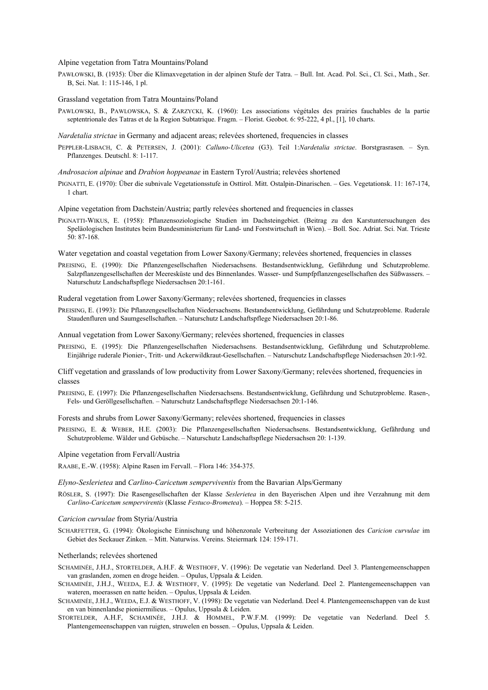#### Alpine vegetation from Tatra Mountains/Poland

PAWŁOWSKI, B. (1935): Über die Klimaxvegetation in der alpinen Stufe der Tatra. – Bull. Int. Acad. Pol. Sci., Cl. Sci., Math., Ser. B, Sci. Nat. 1: 115-146, 1 pl.

Grassland vegetation from Tatra Mountains/Poland

PAWLOWSKI, B., PAWLOWSKA, S. & ZARZYCKI, K. (1960): Les associations végétales des prairies fauchables de la partie septentrionale des Tatras et de la Region Subtatrique. Fragm. – Florist. Geobot. 6: 95-222, 4 pl., [1], 10 charts.

#### *Nardetalia strictae* in Germany and adjacent areas; relevées shortened, frequencies in classes

PEPPLER-LISBACH, C. & PETERSEN, J. (2001): *Calluno-Ulicetea* (G3). Teil 1:*Nardetalia strictae*. Borstgrasrasen. – Syn. Pflanzenges. Deutschl. 8: 1-117.

*Androsacion alpinae* and *Drabion hoppeanae* in Eastern Tyrol/Austria; relevées shortened

PIGNATTI, E. (1970): Über die subnivale Vegetationsstufe in Osttirol. Mitt. Ostalpin-Dinarischen. – Ges. Vegetationsk. 11: 167-174, 1 chart.

Alpine vegetation from Dachstein/Austria; partly relevées shortened and frequencies in classes

PIGNATTI-WIKUS, E. (1958): Pflanzensoziologische Studien im Dachsteingebiet. (Beitrag zu den Karstuntersuchungen des Speläologischen Institutes beim Bundesministerium für Land- und Forstwirtschaft in Wien). – Boll. Soc. Adriat. Sci. Nat. Trieste 50: 87-168.

Water vegetation and coastal vegetation from Lower Saxony/Germany; relevées shortened, frequencies in classes

PREISING, E. (1990): Die Pflanzengesellschaften Niedersachsens. Bestandsentwicklung, Gefährdung und Schutzprobleme. Salzpflanzengesellschaften der Meeresküste und des Binnenlandes. Wasser- und Sumpfpflanzengesellschaften des Süßwassers. – Naturschutz Landschaftspflege Niedersachsen 20:1-161.

Ruderal vegetation from Lower Saxony/Germany; relevées shortened, frequencies in classes

PREISING, E. (1993): Die Pflanzengesellschaften Niedersachsens. Bestandsentwicklung, Gefährdung und Schutzprobleme. Ruderale Staudenfluren und Saumgesellschaften. – Naturschutz Landschaftspflege Niedersachsen 20:1-86.

Annual vegetation from Lower Saxony/Germany; relevées shortened, frequencies in classes

PREISING, E. (1995): Die Pflanzengesellschaften Niedersachsens. Bestandsentwicklung, Gefährdung und Schutzprobleme. Einjährige ruderale Pionier-, Tritt- und Ackerwildkraut-Gesellschaften. – Naturschutz Landschaftspflege Niedersachsen 20:1-92.

Cliff vegetation and grasslands of low productivity from Lower Saxony/Germany; relevées shortened, frequencies in classes

PREISING, E. (1997): Die Pflanzengesellschaften Niedersachsens. Bestandsentwicklung, Gefährdung und Schutzprobleme. Rasen-, Fels- und Geröllgesellschaften. – Naturschutz Landschaftspflege Niedersachsen 20:1-146.

Forests and shrubs from Lower Saxony/Germany; relevées shortened, frequencies in classes

PREISING, E. & WEBER, H.E. (2003): Die Pflanzengesellschaften Niedersachsens. Bestandsentwicklung, Gefährdung und Schutzprobleme. Wälder und Gebüsche. – Naturschutz Landschaftspflege Niedersachsen 20: 1-139.

Alpine vegetation from Fervall/Austria

RAABE, E.-W. (1958): Alpine Rasen im Fervall. – Flora 146: 354-375.

*Elyno-Seslerietea* and *Carlino-Caricetum semperviventis* from the Bavarian Alps/Germany

RÖSLER, S. (1997): Die Rasengesellschaften der Klasse *Seslerietea* in den Bayerischen Alpen und ihre Verzahnung mit dem *Carlino-Caricetum sempervirentis* (Klasse *Festuco-Brometea*). – Hoppea 58: 5-215.

#### *Caricion curvulae* from Styria/Austria

SCHARFETTER, G. (1994): Ökologische Einnischung und höhenzonale Verbreitung der Assoziationen des *Caricion curvulae* im Gebiet des Seckauer Zinken. – Mitt. Naturwiss. Vereins. Steiermark 124: 159-171.

#### Netherlands; relevées shortened

- SCHAMINÉE, J.H.J., STORTELDER, A.H.F. & WESTHOFF, V. (1996): De vegetatie van Nederland. Deel 3. Plantengemeenschappen van graslanden, zomen en droge heiden. – Opulus, Uppsala & Leiden.
- SCHAMINÉE, J.H.J., WEEDA, E.J. & WESTHOFF, V. (1995): De vegetatie van Nederland. Deel 2. Plantengemeenschappen van wateren, moerassen en natte heiden. – Opulus, Uppsala & Leiden.
- SCHAMINÉE, J.H.J., WEEDA, E.J. & WESTHOFF, V. (1998): De vegetatie van Nederland. Deel 4. Plantengemeenschappen van de kust en van binnenlandse pioniermilieus. – Opulus, Uppsala & Leiden.
- STORTELDER, A.H.F, SCHAMINÉE, J.H.J. & HOMMEL, P.W.F.M. (1999): De vegetatie van Nederland. Deel 5. Plantengemeenschappen van ruigten, struwelen en bossen. – Opulus, Uppsala & Leiden.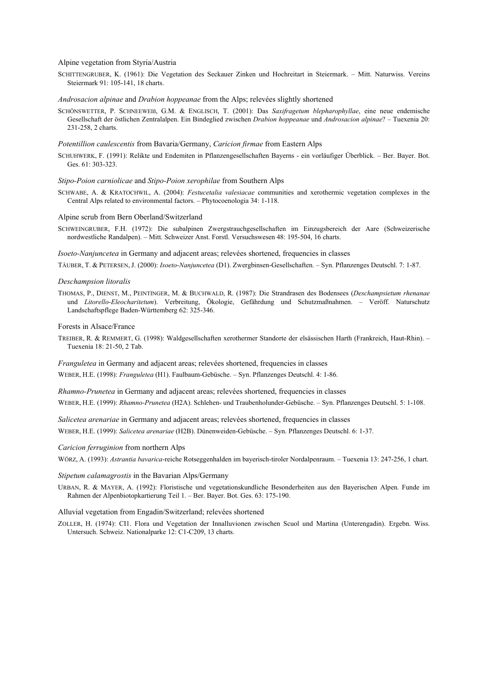Alpine vegetation from Styria/Austria

SCHITTENGRUBER, K. (1961): Die Vegetation des Seckauer Zinken und Hochreitart in Steiermark. – Mitt. Naturwiss. Vereins Steiermark 91: 105-141, 18 charts.

*Androsacion alpinae* and *Drabion hoppeanae* from the Alps; relevées slightly shortened

SCHÖNSWETTER, P. SCHNEEWEIß, G.M. & ENGLISCH, T. (2001): Das *Saxifragetum blepharophyllae*, eine neue endemische Gesellschaft der östlichen Zentralalpen. Ein Bindeglied zwischen *Drabion hoppeanae* und *Androsacion alpinae*? – Tuexenia 20: 231-258, 2 charts.

*Potentillion caulescentis* from Bavaria/Germany, *Caricion firmae* from Eastern Alps

SCHUHWERK, F. (1991): Relikte und Endemiten in Pflanzengesellschaften Bayerns - ein vorläufiger Überblick. – Ber. Bayer. Bot. Ges. 61: 303-323.

#### *Stipo-Poion carniolicae* and *Stipo-Poion xerophilae* from Southern Alps

SCHWABE, A. & KRATOCHWIL, A. (2004): *Festucetalia valesiacae* communities and xerothermic vegetation complexes in the Central Alps related to environmental factors. – Phytocoenologia 34: 1-118.

Alpine scrub from Bern Oberland/Switzerland

SCHWEINGRUBER, F.H. (1972): Die subalpinen Zwergstrauchgesellschaften im Einzugsbereich der Aare (Schweizerische nordwestliche Randalpen). – Mitt. Schweizer Anst. Forstl. Versuchswesen 48: 195-504, 16 charts.

*Isoeto-Nanjuncetea* in Germany and adjacent areas; relevées shortened, frequencies in classes

TÄUBER, T. & PETERSEN, J. (2000): *Isoeto-Nanjuncetea* (D1). Zwergbinsen-Gesellschaften. – Syn. Pflanzenges Deutschl. 7: 1-87.

#### *Deschampsion litoralis*

THOMAS, P., DIENST, M., PEINTINGER, M. & BUCHWALD, R. (1987): Die Strandrasen des Bodensees (*Deschampsietum rhenanae* und *Litorello-Eleocharitetum*). Verbreitung, Ökologie, Gefährdung und Schutzmaßnahmen. – Veröff. Naturschutz Landschaftspflege Baden-Württemberg 62: 325-346.

Forests in Alsace/France

TREIBER, R. & REMMERT, G. (1998): Waldgesellschaften xerothermer Standorte der elsässischen Harth (Frankreich, Haut-Rhin). – Tuexenia 18: 21-50, 2 Tab.

*Franguletea* in Germany and adjacent areas; relevées shortened, frequencies in classes

WEBER, H.E. (1998): *Franguletea* (H1). Faulbaum-Gebüsche. – Syn. Pflanzenges Deutschl. 4: 1-86.

*Rhamno-Prunetea* in Germany and adjacent areas; relevées shortened, frequencies in classes

WEBER, H.E. (1999): *Rhamno-Prunetea* (H2A). Schlehen- und Traubenholunder-Gebüsche. – Syn. Pflanzenges Deutschl. 5: 1-108.

*Salicetea arenariae* in Germany and adjacent areas; relevées shortened, frequencies in classes WEBER, H.E. (1999): *Salicetea arenariae* (H2B). Dünenweiden-Gebüsche. – Syn. Pflanzenges Deutschl. 6: 1-37.

#### *Caricion ferruginion* from northern Alps

WÖRZ, A. (1993): *Astrantia bavarica*-reiche Rotseggenhalden im bayerisch-tiroler Nordalpenraum. – Tuexenia 13: 247-256, 1 chart.

#### *Stipetum calamagrostis* in the Bavarian Alps/Germany

URBAN, R. & MAYER, A. (1992): Floristische und vegetationskundliche Besonderheiten aus den Bayerischen Alpen. Funde im Rahmen der Alpenbiotopkartierung Teil 1. – Ber. Bayer. Bot. Ges. 63: 175-190.

#### Alluvial vegetation from Engadin/Switzerland; relevées shortened

ZOLLER, H. (1974): CI1. Flora und Vegetation der Innalluvionen zwischen Scuol und Martina (Unterengadin). Ergebn. Wiss. Untersuch. Schweiz. Nationalparke 12: C1-C209, 13 charts.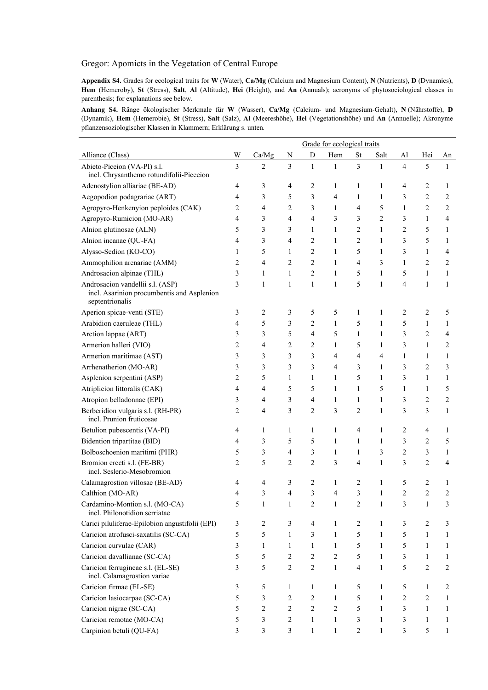# Gregor: Apomicts in the Vegetation of Central Europe

**Appendix S4.** Grades for ecological traits for **W** (Water), **Ca/Mg** (Calcium and Magnesium Content), **N** (Nutrients), **D** (Dynamics), **Hem** (Hemeroby), **St** (Stress), **Salt**, **Al** (Altitude), **Hei** (Height), and **An** (Annuals); acronyms of phytosociological classes in parenthesis; for explanations see below.

**Anhang S4.** Ränge ökologischer Merkmale für **W** (Wasser), **Ca/Mg** (Calcium- und Magnesium-Gehalt), **N** (Nährstoffe), **D** (Dynamik), **Hem** (Hemerobie), **St** (Stress), **Salt** (Salz), **Al** (Meereshöhe), **Hei** (Vegetationshöhe) und **An** (Annuelle); Akronyme pflanzensoziologischer Klassen in Klammern; Erklärung s. unten.

|                                                                                                   |                |                |                  |                         | Grade for ecological traits |                |                |                |                |                         |
|---------------------------------------------------------------------------------------------------|----------------|----------------|------------------|-------------------------|-----------------------------|----------------|----------------|----------------|----------------|-------------------------|
| Alliance (Class)                                                                                  | W              | Ca/Mg          | N                | D                       | Hem                         | <b>St</b>      | Salt           | Al             | Hei            | An                      |
| Abieto-Piceion (VA-PI) s.l.<br>incl. Chrysanthemo rotundifolii-Piceeion                           | $\overline{3}$ | 2              | $\overline{3}$   | $\mathbf{1}$            | $\mathbf{1}$                | 3              | $\mathbf{1}$   | $\overline{4}$ | 5              | $\mathbf{1}$            |
| Adenostylion alliariae (BE-AD)                                                                    | 4              | 3              | 4                | 2                       | 1                           | 1              | 1              | 4              | 2              | 1                       |
| Aegopodion podagrariae (ART)                                                                      | 4              | 3              | 5                | 3                       | 4                           | $\mathbf{1}$   | $\mathbf{1}$   | 3              | $\overline{c}$ | 2                       |
| Agropyro-Henkenyion peploides (CAK)                                                               | 2              | 4              | $\overline{c}$   | 3                       | $\mathbf{1}$                | 4              | 5              | 1              | $\overline{c}$ | 2                       |
| Agropyro-Rumicion (MO-AR)                                                                         | 4              | 3              | 4                | 4                       | 3                           | 3              | $\overline{c}$ | 3              | 1              | 4                       |
| Alnion glutinosae (ALN)                                                                           | 5              | 3              | 3                | 1                       | 1                           | $\overline{c}$ | $\mathbf{1}$   | 2              | 5              | 1                       |
| Alnion incanae (QU-FA)                                                                            | 4              | 3              | 4                | 2                       | 1                           | $\overline{c}$ | 1              | 3              | 5              | 1                       |
| Alysso-Sedion (KO-CO)                                                                             | 1              | 5              | 1                | $\overline{c}$          | 1                           | 5              | 1              | 3              | $\mathbf{1}$   | 4                       |
| Ammophilion arenariae (AMM)                                                                       | 2              | 4              | $\overline{c}$   | $\overline{\mathbf{c}}$ | $\mathbf{1}$                | 4              | 3              | 1              | 2              | 2                       |
| Androsacion alpinae (THL)                                                                         | 3              | 1              | 1                | $\overline{c}$          | 1                           | 5              | 1              | 5              | 1              | 1                       |
| Androsacion vandellii s.l. (ASP)<br>incl. Asarinion procumbentis and Asplenion<br>septentrionalis | 3              | 1              | 1                | 1                       | 1                           | 5              | 1              | 4              | $\mathbf{1}$   | 1                       |
| Aperion spicae-venti (STE)                                                                        | 3              | 2              | 3                | 5                       | 5                           | 1              | 1              | 2              | 2              | 5                       |
| Arabidion caeruleae (THL)                                                                         | 4              | 5              | 3                | $\overline{c}$          | 1                           | 5              | 1              | 5              | 1              | 1                       |
| Arction lappae (ART)                                                                              | 3              | 3              | 5                | 4                       | 5                           | $\mathbf{1}$   | 1              | 3              | $\overline{c}$ | 4                       |
| Armerion halleri (VIO)                                                                            | 2              | 4              | $\overline{c}$   | $\overline{c}$          | 1                           | 5              | 1              | 3              | $\mathbf{1}$   | 2                       |
| Armerion maritimae (AST)                                                                          | 3              | 3              | 3                | 3                       | 4                           | 4              | 4              | 1              | 1              | 1                       |
| Arrhenatherion (MO-AR)                                                                            | 3              | 3              | 3                | 3                       | 4                           | 3              | $\mathbf{1}$   | 3              | 2              | 3                       |
| Asplenion serpentini (ASP)                                                                        | 2              | 5              | 1                | 1                       | 1                           | 5              | 1              | 3              | 1              | 1                       |
| Atriplicion littoralis (CAK)                                                                      | 4              | 4              | 5                | 5                       | $\mathbf{1}$                | $\mathbf{1}$   | 5              | 1              | $\mathbf{1}$   | 5                       |
| Atropion belladonnae (EPI)                                                                        | 3              | 4              | 3                | 4                       | $\mathbf{1}$                | 1              | 1              | 3              | $\overline{c}$ | $\overline{\mathbf{c}}$ |
| Berberidion vulgaris s.l. (RH-PR)<br>incl. Prunion fruticosae                                     | $\overline{c}$ | 4              | 3                | $\boldsymbol{2}$        | 3                           | $\overline{c}$ | $\mathbf{1}$   | 3              | 3              | 1                       |
| Betulion pubescentis (VA-PI)                                                                      | 4              | 1              | 1                | 1                       | 1                           | 4              | 1              | 2              | 4              | 1                       |
| Bidention tripartitae (BID)                                                                       | 4              | 3              | 5                | 5                       | 1                           | 1              | 1              | 3              | 2              | 5                       |
| Bolboschoenion maritimi (PHR)                                                                     | 5              | 3              | 4                | 3                       | $\mathbf{1}$                | 1              | 3              | $\overline{c}$ | 3              | 1                       |
| Bromion erecti s.l. (FE-BR)<br>incl. Seslerio-Mesobromion                                         | 2              | 5              | $\overline{c}$   | $\overline{c}$          | 3                           | 4              | 1              | 3              | $\overline{c}$ | 4                       |
| Calamagrostion villosae (BE-AD)                                                                   | 4              | 4              | 3                | $\overline{c}$          | 1                           | 2              | 1              | 5              | 2              | 1                       |
| Calthion (MO-AR)                                                                                  | 4              | 3              | 4                | 3                       | $\overline{4}$              | 3              | 1              | 2              | $\overline{2}$ | 2                       |
| Cardamino-Montion s.l. (MO-CA)<br>incl. Philonotidion serriatae                                   | 5              | 1              |                  | 2                       |                             | 2              | 1              | 3              | 1              | 3                       |
| Carici piluliferae-Epilobion angustifolii (EPI)                                                   | 3              | $\overline{c}$ | 3                | $\overline{4}$          | 1                           | 2              | 1              | 3              | 2              | 3                       |
| Caricion atrofusci-saxatilis (SC-CA)                                                              | 5              | 5              | $\mathbf{1}$     | 3                       | 1                           | 5              | $\mathbf{1}$   | 5              | 1              | 1                       |
| Caricion curvulae (CAR)                                                                           | 3              | $\mathbf{1}$   | 1                | $\mathbf{1}$            | $\mathbf{1}$                | 5              | $\mathbf{1}$   | 5              | $\mathbf{1}$   | 1                       |
| Caricion davallianae (SC-CA)                                                                      | 5              | 5              | $\overline{c}$   | $\overline{c}$          | 2                           | 5              | $\mathbf{1}$   | 3              | $\mathbf{1}$   | 1                       |
| Caricion ferrugineae s.l. (EL-SE)<br>incl. Calamagrostion variae                                  | 3              | 5              | $\boldsymbol{2}$ | $\boldsymbol{2}$        | $\mathbf{1}$                | $\overline{4}$ | 1              | 5              | $\overline{c}$ | 2                       |
| Caricion firmae (EL-SE)                                                                           | 3              | 5              | 1                | 1                       | 1                           | 5              | 1              | 5              | 1              | 2                       |
| Caricion lasiocarpae (SC-CA)                                                                      | 5              | 3              | 2                | $\overline{c}$          | 1                           | 5              | 1              | 2              | 2              | 1                       |
| Caricion nigrae (SC-CA)                                                                           | 5              | 2              | 2                | $\overline{c}$          | $\overline{2}$              | 5              | $\mathbf{1}$   | 3              | 1              | 1                       |
| Caricion remotae (MO-CA)                                                                          | 5              | 3              | $\sqrt{2}$       | $\mathbf{1}$            | $\mathbf{1}$                | 3              | $\mathbf{1}$   | 3              | $\mathbf{1}$   | 1                       |
| Carpinion betuli (QU-FA)                                                                          | 3              | 3              | 3                | $\mathbf{1}$            | $\mathbf{1}$                | 2              | $\mathbf{1}$   | 3              | 5              | 1                       |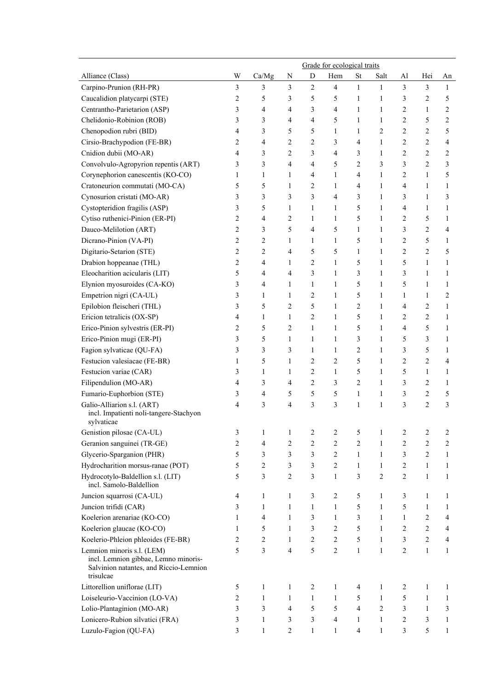|                                                                                                                           |                |              |                         |                | Grade for ecological traits |                |                         |                |                |              |
|---------------------------------------------------------------------------------------------------------------------------|----------------|--------------|-------------------------|----------------|-----------------------------|----------------|-------------------------|----------------|----------------|--------------|
| Alliance (Class)                                                                                                          | W              | Ca/Mg        | N                       | D              | Hem                         | <b>St</b>      | Salt                    | Al             | Hei            | An           |
| Carpino-Prunion (RH-PR)                                                                                                   | 3              | 3            | 3                       | $\overline{c}$ | $\overline{4}$              | $\mathbf{1}$   | $\mathbf{1}$            | $\mathfrak{Z}$ | 3              | 1            |
| Caucalidion platycarpi (STE)                                                                                              | $\overline{c}$ | 5            | 3                       | 5              | 5                           | 1              | 1                       | 3              | 2              | 5            |
| Centrantho-Parietarion (ASP)                                                                                              | 3              | 4            | 4                       | 3              | 4                           | 1              | 1                       | 2              | $\mathbf{1}$   | 2            |
| Chelidonio-Robinion (ROB)                                                                                                 | 3              | 3            | 4                       | 4              | 5                           | 1              | 1                       | 2              | 5              | 2            |
| Chenopodion rubri (BID)                                                                                                   | 4              | 3            | 5                       | 5              | 1                           | 1              | $\overline{\mathbf{c}}$ | 2              | $\overline{c}$ | 5            |
| Cirsio-Brachypodion (FE-BR)                                                                                               | 2              | 4            | 2                       | 2              | 3                           | 4              | 1                       | 2              | 2              | 4            |
| Cnidion dubii (MO-AR)                                                                                                     | 4              | 3            | 2                       | 3              | 4                           | 3              | 1                       | 2              | $\overline{c}$ | 2            |
| Convolvulo-Agropyrion repentis (ART)                                                                                      | 3              | 3            | $\overline{4}$          | 4              | 5                           | $\overline{c}$ | 3                       | 3              | $\overline{c}$ | 3            |
| Corynephorion canescentis (KO-CO)                                                                                         | 1              | 1            | 1                       | 4              | 1                           | 4              | 1                       | 2              | 1              | 5            |
| Cratoneurion commutati (MO-CA)                                                                                            | 5              | 5            | 1                       | 2              | 1                           | 4              | 1                       | 4              | 1              | 1            |
| Cynosurion cristati (MO-AR)                                                                                               | 3              | 3            | 3                       | 3              | 4                           | 3              | 1                       | 3              | 1              | 3            |
| Cystopteridion fragilis (ASP)                                                                                             | 3              | 5            | 1                       | 1              | 1                           | 5              | 1                       | 4              | $\mathbf{1}$   | 1            |
| Cytiso ruthenici-Pinion (ER-PI)                                                                                           | $\overline{c}$ | 4            | 2                       | 1              | $\mathbf{1}$                | 5              | 1                       | 2              | 5              | 1            |
| Dauco-Melilotion (ART)                                                                                                    | $\overline{c}$ | 3            | 5                       | 4              | 5                           | 1              | 1                       | 3              | 2              | 4            |
| Dicrano-Pinion (VA-PI)                                                                                                    | $\overline{c}$ | 2            | 1                       | 1              | $\mathbf{1}$                | 5              | 1                       | 2              | 5              | 1            |
| Digitario-Setarion (STE)                                                                                                  | $\overline{c}$ | 2            | 4                       | 5              | 5                           | 1              | 1                       | 2              | $\overline{c}$ | 5            |
| Drabion hoppeanae (THL)                                                                                                   | $\overline{c}$ | 4            | 1                       | 2              | 1                           | 5              | 1                       | 5              | $\mathbf{1}$   | 1            |
| Eleocharition acicularis (LIT)                                                                                            | 5              | 4            | 4                       | 3              | 1                           | 3              | 1                       | 3              | 1              | 1            |
| Elynion myosuroides (CA-KO)                                                                                               | 3              | 4            | 1                       | 1              | 1                           | 5              | 1                       | 5              | 1              | 1            |
| Empetrion nigri (CA-UL)                                                                                                   | 3              | 1            | 1                       | 2              | $\mathbf{1}$                | 5              | 1                       | 1              | $\mathbf{1}$   | 2            |
| Epilobion fleischeri (THL)                                                                                                | 3              | 5            | 2                       | 5              | 1                           | $\overline{2}$ | 1                       | 4              | 2              | 1            |
| Ericion tetralicis (OX-SP)                                                                                                | 4              | 1            | 1                       | 2              | 1                           | 5              | 1                       | 2              | $\overline{c}$ | 1            |
| Erico-Pinion sylvestris (ER-PI)                                                                                           | 2              | 5            | 2                       | 1              | 1                           | 5              | 1                       | 4              | 5              | 1            |
| Erico-Pinion mugi (ER-PI)                                                                                                 | 3              | 5            | 1                       | 1              | 1                           | 3              | 1                       | 5              | 3              | 1            |
| Fagion sylvaticae (QU-FA)                                                                                                 | 3              | 3            | 3                       | 1              | $\mathbf{1}$                | $\overline{2}$ | 1                       | 3              | 5              | 1            |
| Festucion valesiacae (FE-BR)                                                                                              | 1              | 5            | 1                       | 2              | 2                           | 5              | 1                       | 2              | $\overline{c}$ | 4            |
| Festucion variae (CAR)                                                                                                    | 3              | 1            | 1                       | 2              | 1                           | 5              | 1                       | 5              | 1              | 1            |
| Filipendulion (MO-AR)                                                                                                     | 4              | 3            | 4                       | 2              | 3                           | $\overline{c}$ | 1                       | 3              | 2              | 1            |
| Fumario-Euphorbion (STE)                                                                                                  | 3              | 4            | 5                       | 5              | 5                           | 1              | 1                       | 3              | 2              | 5            |
| Galio-Alliarion s.l. (ART)                                                                                                | 4              | 3            | 4                       | 3              | 3                           | 1              | 1                       | 3              | $\overline{c}$ | 3            |
| incl. Impatienti noli-tangere-Stachyon<br>sylvaticae                                                                      |                |              |                         |                |                             |                |                         |                |                |              |
| Genistion pilosae (CA-UL)                                                                                                 | 3              | 1            | 1                       | 2              | 2                           | 5              | 1                       | 2              | 2              | 2            |
| Geranion sanguinei (TR-GE)                                                                                                | 2              | 4            | $\overline{\mathbf{c}}$ | 2              | 2                           | $\overline{c}$ | 1                       | 2              | $\overline{c}$ | 2            |
| Glycerio-Sparganion (PHR)                                                                                                 | 5              | 3            | 3                       | 3              | 2                           | $\mathbf{1}$   | 1                       | 3              | $\overline{c}$ | 1            |
| Hydrocharition morsus-ranae (POT)                                                                                         | 5              | 2            | 3                       | 3              | $\overline{c}$              | $\mathbf{1}$   | $\mathbf{1}$            | 2              | 1              | 1            |
| Hydrocotylo-Baldellion s.l. (LIT)<br>incl. Samolo-Baldellion                                                              | 5              | 3            | 2                       | 3              | $\mathbf{1}$                | 3              | $\overline{c}$          | $\overline{c}$ | $\mathbf{1}$   | 1            |
| Juncion squarrosi (CA-UL)                                                                                                 | 4              | $\mathbf{1}$ | 1                       | 3              | 2                           | 5              | 1                       | 3              | $\mathbf{1}$   | 1            |
| Juncion trifidi (CAR)                                                                                                     | 3              | $\mathbf{1}$ | 1                       | $\mathbf{1}$   | $\mathbf{1}$                | 5              | 1                       | 5              | $\mathbf{1}$   | 1            |
| Koelerion arenariae (KO-CO)                                                                                               | 1              | 4            | 1                       | 3              | $\mathbf{1}$                | 3              | 1                       | $\mathbf{1}$   | 2              | 4            |
| Koelerion glaucae (KO-CO)                                                                                                 | 1              | 5            | 1                       | 3              | 2                           | 5              | 1                       | 2              | $\overline{c}$ | 4            |
| Koelerio-Phleion phleoides (FE-BR)                                                                                        | 2              | 2            | 1                       | 2              | 2                           | 5              | 1                       | 3              | $\overline{c}$ | 4            |
| Lemnion minoris s.l. (LEM)<br>incl. Lemnion gibbae, Lemno minoris-<br>Salvinion natantes, and Riccio-Lemnion<br>trisulcae | 5              | 3            | 4                       | 5              | $\overline{2}$              | $\mathbf{1}$   | $\mathbf{1}$            | 2              | $\mathbf{1}$   | 1            |
| Littorellion uniflorae (LIT)                                                                                              | 5              | $\mathbf{1}$ | 1                       | 2              | $\mathbf{1}$                | $\overline{4}$ | 1                       | $\overline{2}$ | $\mathbf{1}$   | 1            |
| Loiseleurio-Vaccinion (LO-VA)                                                                                             | 2              | 1            | $\mathbf{1}$            | $\mathbf{1}$   | $\mathbf{1}$                | 5              | $\mathbf{1}$            | 5              | 1              | 1            |
| Lolio-Plantaginion (MO-AR)                                                                                                | 3              | 3            | 4                       | 5              | 5                           | $\overline{4}$ | 2                       | 3              | 1              | 3            |
| Lonicero-Rubion silvatici (FRA)                                                                                           | 3              | 1            | 3                       | 3              | 4                           | 1              | $\mathbf{1}$            | 2              | 3              | 1            |
| Luzulo-Fagion (QU-FA)                                                                                                     | 3              | $\mathbf{1}$ | 2                       | $\mathbf{1}$   | $\mathbf{1}$                | $\overline{4}$ | $\mathbf{1}$            | 3              | 5              | $\mathbf{1}$ |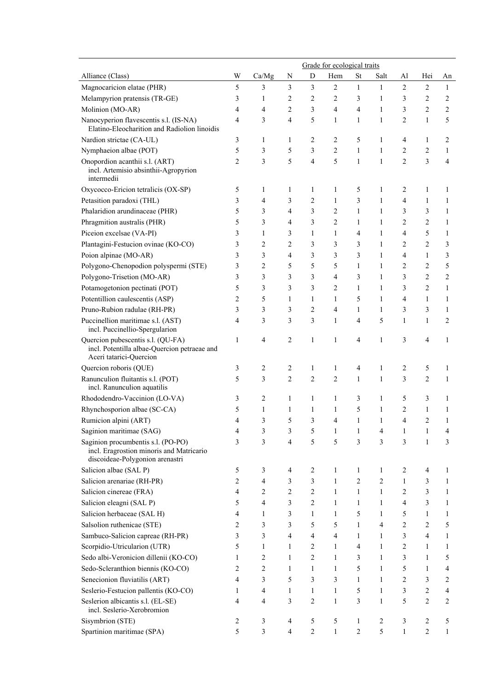|                                                                                                                   | Grade for ecological traits |                |                |              |                |                |              |                |                |                |
|-------------------------------------------------------------------------------------------------------------------|-----------------------------|----------------|----------------|--------------|----------------|----------------|--------------|----------------|----------------|----------------|
| Alliance (Class)                                                                                                  | W                           | Ca/Mg          | N              | D            | Hem            | <b>St</b>      | Salt         | Al             | Hei            | An             |
| Magnocaricion elatae (PHR)                                                                                        | 5                           | 3              | 3              | 3            | $\overline{2}$ | $\mathbf{1}$   | $\mathbf{1}$ | $\overline{2}$ | $\overline{2}$ | $\mathbf{1}$   |
| Melampyrion pratensis (TR-GE)                                                                                     | 3                           | 1              | 2              | 2            | 2              | 3              | 1            | 3              | 2              | 2              |
| Molinion (MO-AR)                                                                                                  | 4                           | 4              | 2              | 3            | 4              | $\overline{4}$ | 1            | 3              | $\overline{c}$ | 2              |
| Nanocyperion flavescentis s.l. (IS-NA)<br>Elatino-Eleocharition and Radiolion linoidis                            | 4                           | 3              | 4              | 5            | $\mathbf{1}$   | $\mathbf{1}$   | 1            | 2              | $\mathbf{1}$   | 5              |
| Nardion strictae (CA-UL)                                                                                          | 3                           | 1              | 1              | 2            | 2              | 5              | 1            | 4              | $\mathbf{1}$   | 2              |
| Nymphaeion albae (POT)                                                                                            | 5                           | 3              | 5              | 3            | $\overline{c}$ | $\mathbf{1}$   | 1            | 2              | $\overline{c}$ | 1              |
| Onopordion acanthii s.l. (ART)<br>incl. Artemisio absinthii-Agropyrion<br>intermedii                              | $\overline{2}$              | 3              | 5              | 4            | 5              | $\mathbf{1}$   | 1            | 2              | 3              | 4              |
| Oxycocco-Ericion tetralicis (OX-SP)                                                                               | 5                           | 1              | 1              | $\mathbf{1}$ | 1              | 5              | 1            | 2              | 1              | 1              |
| Petasition paradoxi (THL)                                                                                         | 3                           | 4              | 3              | 2            | 1              | 3              | 1            | 4              | 1              | 1              |
| Phalaridion arundinaceae (PHR)                                                                                    | 5                           | 3              | 4              | 3            | 2              | $\mathbf{1}$   | 1            | 3              | 3              | 1              |
| Phragmition australis (PHR)                                                                                       | 5                           | 3              | 4              | 3            | $\overline{c}$ | 1              | 1            | 2              | $\overline{c}$ | 1              |
| Piceion excelsae (VA-PI)                                                                                          | 3                           | 1              | 3              | 1            | 1              | $\overline{4}$ | 1            | 4              | 5              | 1              |
| Plantagini-Festucion ovinae (KO-CO)                                                                               | 3                           | 2              | $\overline{c}$ | 3            | 3              | 3              | 1            | 2              | $\overline{c}$ | 3              |
| Poion alpinae (MO-AR)                                                                                             | 3                           | 3              | 4              | 3            | 3              | 3              | 1            | 4              | 1              | 3              |
| Polygono-Chenopodion polyspermi (STE)                                                                             | 3                           | $\overline{c}$ | 5              | 5            | 5              | $\mathbf{1}$   | 1            | 2              | $\overline{c}$ | 5              |
| Polygono-Trisetion (MO-AR)                                                                                        | 3                           | 3              | 3              | 3            | 4              | 3              | 1            | 3              | $\overline{2}$ | $\overline{c}$ |
| Potamogetonion pectinati (POT)                                                                                    | 5                           | 3              | 3              | 3            | 2              | $\mathbf{1}$   | 1            | 3              | $\overline{c}$ | $\mathbf{1}$   |
| Potentillion caulescentis (ASP)                                                                                   | 2                           | 5              | 1              | 1            | 1              | 5              | 1            | 4              | 1              | 1              |
| Pruno-Rubion radulae (RH-PR)                                                                                      | 3                           | 3              | 3              | 2            | 4              | $\mathbf{1}$   | 1            | 3              | 3              | 1              |
| Puccinellion maritimae s.l. (AST)<br>incl. Puccinellio-Spergularion                                               | 4                           | 3              | 3              | 3            | 1              | $\overline{4}$ | 5            | $\mathbf{1}$   | $\mathbf{1}$   | 2              |
| Quercion pubescentis s.l. (QU-FA)<br>incl. Potentilla albae-Quercion petraeae and<br>Aceri tatarici-Quercion      | 1                           | 4              | 2              | $\mathbf{1}$ | 1              | 4              | 1            | 3              | 4              | 1              |
| Quercion roboris (QUE)                                                                                            | 3                           | 2              | 2              | 1            | 1              | $\overline{4}$ | 1            | 2              | 5              | 1              |
| Ranunculion fluitantis s.l. (POT)<br>incl. Ranunculion aquatilis                                                  | 5                           | 3              | $\overline{2}$ | 2            | $\overline{2}$ | $\mathbf{1}$   | 1            | 3              | $\overline{2}$ | 1              |
| Rhododendro-Vaccinion (LO-VA)                                                                                     | 3                           | 2              | 1              | $\mathbf{1}$ | 1              | 3              | 1            | 5              | 3              | 1              |
| Rhynchosporion albae (SC-CA)                                                                                      | 5                           | $\mathbf{1}$   | 1              | $\mathbf{1}$ | 1              | 5              | 1            | 2              | $\mathbf{1}$   | 1              |
| Rumicion alpini (ART)                                                                                             | 4                           | 3              | 5              | 3            | 4              | $\mathbf{1}$   | 1            | 4              | $\overline{c}$ | 1              |
| Saginion maritimae (SAG)                                                                                          | 4                           | 3              | 3              | 5            |                |                |              |                |                |                |
| Saginion procumbentis s.l. (PO-PO)<br>incl. Eragrostion minoris and Matricario<br>discoideae-Polygonion arenastri | 3                           | 3              | 4              | 5            | 5              | 3              | 3            | 3              | 1              | 3              |
| Salicion albae (SAL P)                                                                                            | 5                           | 3              | 4              | 2            | 1              | 1              | 1            | 2              | 4              | 1              |
| Salicion arenariae (RH-PR)                                                                                        | $\overline{2}$              | 4              | 3              | 3            | $\mathbf{1}$   | $\overline{2}$ | 2            | 1              | 3              | 1              |
| Salicion cinereae (FRA)                                                                                           | 4                           | 2              | 2              | 2            | 1              | $\mathbf{1}$   | 1            | 2              | 3              | 1              |
| Salicion eleagni (SAL P)                                                                                          | 5                           | 4              | 3              | 2            | $\mathbf{1}$   | 1              | 1            | 4              | 3              | 1              |
| Salicion herbaceae (SAL H)                                                                                        | 4                           | 1              | 3              | 1            | 1              | 5              | 1            | 5              | 1              | 1              |
| Salsolion ruthenicae (STE)                                                                                        | 2                           | 3              | 3              | 5            | 5              | 1              | 4            | 2              | 2              | 5              |
| Sambuco-Salicion capreae (RH-PR)                                                                                  | 3                           | 3              | 4              | 4            | 4              | 1              | 1            | 3              | 4              | 1              |
| Scorpidio-Utricularion (UTR)                                                                                      | 5                           | 1              | 1              | 2            | 1              | 4              | 1            | 2              | 1              | 1              |
| Sedo albi-Veronicion dillenii (KO-CO)                                                                             | 1                           | 2              | 1              | 2            | 1              | 3              | 1            | 3              | 1              | 5              |
| Sedo-Scleranthion biennis (KO-CO)                                                                                 | 2                           | 2              | 1              | 1            | 1              | 5              | 1            | 5              | 1              | 4              |
| Senecionion fluviatilis (ART)                                                                                     | 4                           | 3              | 5              | 3            | 3              | 1              | 1            | 2              | 3              | 2              |
| Seslerio-Festucion pallentis (KO-CO)                                                                              | 1                           | 4              | 1              | 1            | $\mathbf{1}$   | 5              | 1            | 3              | $\overline{c}$ | 4              |
| Seslerion albicantis s.l. (EL-SE)<br>incl. Seslerio-Xerobromion                                                   | 4                           | 4              | 3              | 2            | 1              | 3              | 1            | 5              | $\overline{c}$ | 2              |
| Sisymbrion (STE)                                                                                                  | 2                           | 3              | 4              | 5            | 5              | 1              | 2            | 3              | 2              | 5              |
| Spartinion maritimae (SPA)                                                                                        | 5                           | 3              | 4              | 2            | $\mathbf{1}$   | $\overline{2}$ | 5            | $\mathbf{1}$   | $\overline{c}$ | 1              |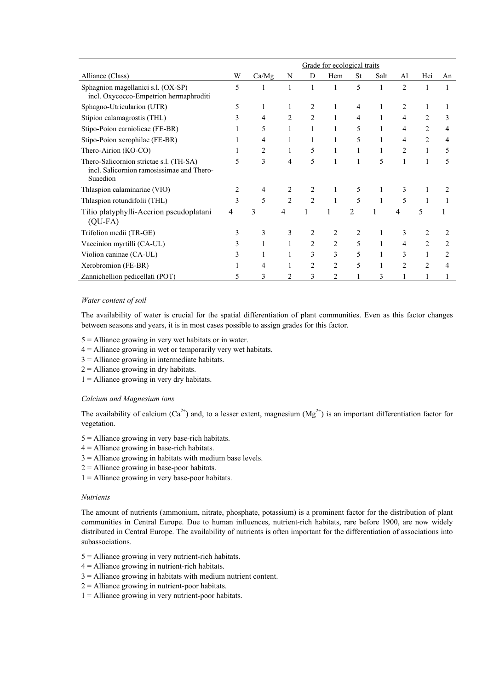|                                                                                                  | Grade for ecological traits |       |                |                |                |                |      |                |                |    |
|--------------------------------------------------------------------------------------------------|-----------------------------|-------|----------------|----------------|----------------|----------------|------|----------------|----------------|----|
| Alliance (Class)                                                                                 | W                           | Ca/Mg | N              | D              | Hem            | <b>St</b>      | Salt | Al             | Hei            | An |
| Sphagnion magellanici s.l. (OX-SP)<br>incl. Oxycocco-Empetrion hermaphroditi                     | 5                           | 1     | 1              |                |                | 5              |      | $\overline{2}$ |                |    |
| Sphagno-Utricularion (UTR)                                                                       | 5                           | 1     |                | 2              |                | 4              |      |                | 1              |    |
| Stipion calamagrostis (THL)                                                                      | 3                           | 4     | 2              | 2              |                | 4              |      | 4              | $\mathfrak{D}$ | 3  |
| Stipo-Poion carniolicae (FE-BR)                                                                  |                             | 5     |                |                |                | 5              |      | 4              | $\overline{2}$ | 4  |
| Stipo-Poion xerophilae (FE-BR)                                                                   |                             | 4     |                |                |                | 5              |      | 4              | $\overline{2}$ | 4  |
| Thero-Airion (KO-CO)                                                                             |                             | 2     |                | 5              |                | 1              | 1    | 2              | 1              | 5  |
| Thero-Salicornion strictae s.l. (TH-SA)<br>incl. Salicornion ramosissimae and Thero-<br>Suaedion | 5                           | 3     | 4              | 5              |                | 1              | 5    | 1              | 1              | 5  |
| Thlaspion calaminariae (VIO)                                                                     | 2                           | 4     |                | 2              |                | 5              |      | 3              |                |    |
| Thlaspion rotundifolii (THL)                                                                     | 3                           | 5     | $\mathfrak{D}$ | $\overline{c}$ |                | 5              | 1    | 5              |                |    |
| Tilio platyphylli-Acerion pseudoplatani<br>$(QU-FA)$                                             | 4                           | 3     | 4              |                |                | $\overline{c}$ |      | 4              | 5              |    |
| Trifolion medii (TR-GE)                                                                          | 3                           | 3     | 3              | 2              |                |                |      | 3              |                |    |
| Vaccinion myrtilli (CA-UL)                                                                       |                             | 1     |                | 2              | $\overline{2}$ | 5              | 1    | 4              | 2              | 2  |
| Violion caninae (CA-UL)                                                                          | 3                           |       |                | 3              | 3              | 5              |      | 3              | 1              | 2  |
| Xerobromion (FE-BR)                                                                              |                             | 4     |                | $\overline{c}$ | $\overline{2}$ | 5              |      | $\overline{c}$ | $\mathfrak{D}$ | 4  |
| Zannichellion pedicellati (POT)                                                                  | 5                           | 3     |                | 3              | $\overline{c}$ |                | 3    |                |                |    |

## *Water content of soil*

The availability of water is crucial for the spatial differentiation of plant communities. Even as this factor changes between seasons and years, it is in most cases possible to assign grades for this factor.

- 5 = Alliance growing in very wet habitats or in water.
- $4 =$  Alliance growing in wet or temporarily very wet habitats.
- $3 =$  Alliance growing in intermediate habitats.
- $2 =$  Alliance growing in dry habitats.
- $1 =$  Alliance growing in very dry habitats.

## *Calcium and Magnesium ions*

The availability of calcium (Ca<sup>2+</sup>) and, to a lesser extent, magnesium (Mg<sup>2+</sup>) is an important differentiation factor for vegetation.

- $5 =$  Alliance growing in very base-rich habitats.
- $4 =$  Alliance growing in base-rich habitats.
- 3 = Alliance growing in habitats with medium base levels.
- $2 =$  Alliance growing in base-poor habitats.
- $1 =$  Alliance growing in very base-poor habitats.

## *Nutrients*

The amount of nutrients (ammonium, nitrate, phosphate, potassium) is a prominent factor for the distribution of plant communities in Central Europe. Due to human influences, nutrient-rich habitats, rare before 1900, are now widely distributed in Central Europe. The availability of nutrients is often important for the differentiation of associations into subassociations.

- 5 = Alliance growing in very nutrient-rich habitats.
- $4 =$  Alliance growing in nutrient-rich habitats.
- 3 = Alliance growing in habitats with medium nutrient content.
- $2 =$  Alliance growing in nutrient-poor habitats.
- $1 =$  Alliance growing in very nutrient-poor habitats.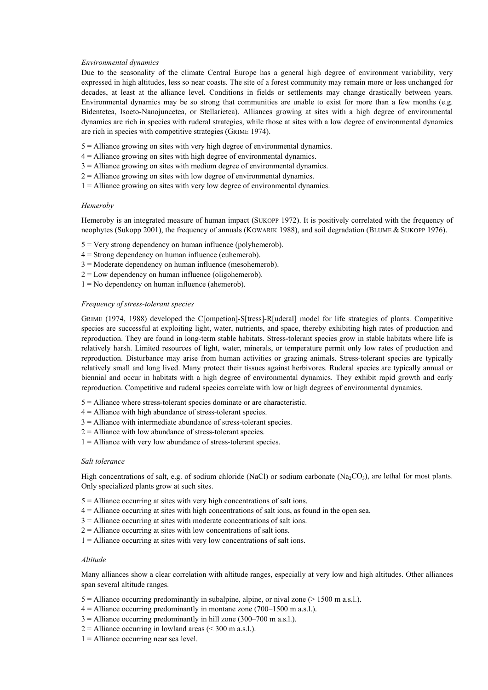## *Environmental dynamics*

Due to the seasonality of the climate Central Europe has a general high degree of environment variability, very expressed in high altitudes, less so near coasts. The site of a forest community may remain more or less unchanged for decades, at least at the alliance level. Conditions in fields or settlements may change drastically between years. Environmental dynamics may be so strong that communities are unable to exist for more than a few months (e.g. Bidentetea, Isoeto-Nanojuncetea, or Stellarietea). Alliances growing at sites with a high degree of environmental dynamics are rich in species with ruderal strategies, while those at sites with a low degree of environmental dynamics are rich in species with competitive strategies (GRIME 1974).

- 5 = Alliance growing on sites with very high degree of environmental dynamics.
- 4 = Alliance growing on sites with high degree of environmental dynamics.
- 3 = Alliance growing on sites with medium degree of environmental dynamics.
- $2 =$  Alliance growing on sites with low degree of environmental dynamics.
- $1 =$  Alliance growing on sites with very low degree of environmental dynamics.

## *Hemeroby*

Hemeroby is an integrated measure of human impact (SUKOPP 1972). It is positively correlated with the frequency of neophytes (Sukopp 2001), the frequency of annuals (KOWARIK 1988), and soil degradation (BLUME & SUKOPP 1976).

- 5 = Very strong dependency on human influence (polyhemerob).
- 4 = Strong dependency on human influence (euhemerob).
- 3 = Moderate dependency on human influence (mesohemerob).
- $2 =$ Low dependency on human influence (oligohemerob).
- $1 = No$  dependency on human influence (ahemerob).

## *Frequency of stress-tolerant species*

GRIME (1974, 1988) developed the C[ompetion]-S[tress]-R[uderal] model for life strategies of plants. Competitive species are successful at exploiting light, water, nutrients, and space, thereby exhibiting high rates of production and reproduction. They are found in long-term stable habitats. Stress-tolerant species grow in stable habitats where life is relatively harsh. Limited resources of light, water, minerals, or temperature permit only low rates of production and reproduction. Disturbance may arise from human activities or grazing animals. Stress-tolerant species are typically relatively small and long lived. Many protect their tissues against herbivores. Ruderal species are typically annual or biennial and occur in habitats with a high degree of environmental dynamics. They exhibit rapid growth and early reproduction. Competitive and ruderal species correlate with low or high degrees of environmental dynamics.

- 5 = Alliance where stress-tolerant species dominate or are characteristic.
- 4 = Alliance with high abundance of stress-tolerant species.
- 3 = Alliance with intermediate abundance of stress-tolerant species.
- $2 =$  Alliance with low abundance of stress-tolerant species.
- $1 =$  Alliance with very low abundance of stress-tolerant species.

### *Salt tolerance*

High concentrations of salt, e.g. of sodium chloride (NaCl) or sodium carbonate (Na<sub>2</sub>CO<sub>3</sub>), are lethal for most plants. Only specialized plants grow at such sites.

- 5 = Alliance occurring at sites with very high concentrations of salt ions.
- 4 = Alliance occurring at sites with high concentrations of salt ions, as found in the open sea.
- 3 = Alliance occurring at sites with moderate concentrations of salt ions.
- $2 =$  Alliance occurring at sites with low concentrations of salt ions.
- 1 = Alliance occurring at sites with very low concentrations of salt ions.

## *Altitude*

Many alliances show a clear correlation with altitude ranges, especially at very low and high altitudes. Other alliances span several altitude ranges.

- $5 =$  Alliance occurring predominantly in subalpine, alpine, or nival zone ( $> 1500$  m a.s.l.).
- $4 =$  Alliance occurring predominantly in montane zone (700–1500 m a.s.l.).
- $3 =$  Alliance occurring predominantly in hill zone (300–700 m a.s.l.).
- $2 =$  Alliance occurring in lowland areas (< 300 m a.s.l.).
- $1 =$  Alliance occurring near sea level.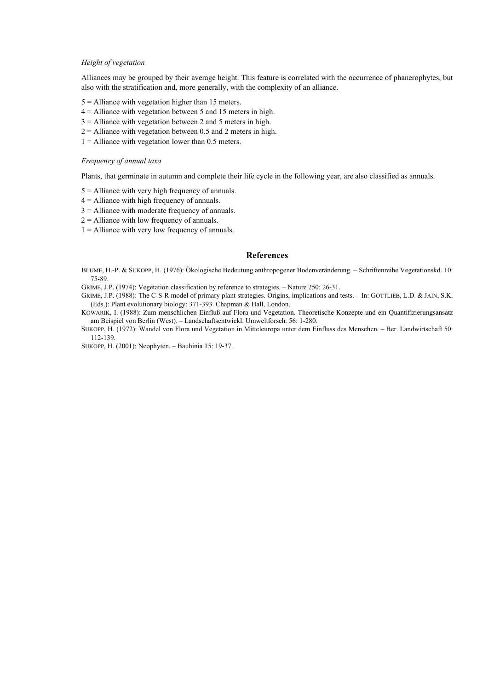## *Height of vegetation*

Alliances may be grouped by their average height. This feature is correlated with the occurrence of phanerophytes, but also with the stratification and, more generally, with the complexity of an alliance.

- 5 = Alliance with vegetation higher than 15 meters.
- $4 =$  Alliance with vegetation between 5 and 15 meters in high.
- $3 =$  Alliance with vegetation between 2 and 5 meters in high.
- $2 =$  Alliance with vegetation between 0.5 and 2 meters in high.
- $1 =$  Alliance with vegetation lower than 0.5 meters.

## *Frequency of annual taxa*

Plants, that germinate in autumn and complete their life cycle in the following year, are also classified as annuals.

- 5 = Alliance with very high frequency of annuals.
- 4 = Alliance with high frequency of annuals.
- 3 = Alliance with moderate frequency of annuals.
- $2 =$  Alliance with low frequency of annuals.
- $1 =$  Alliance with very low frequency of annuals.

## **References**

BLUME, H.-P. & SUKOPP, H. (1976): Ökologische Bedeutung anthropogener Bodenveränderung. – Schriftenreihe Vegetationskd. 10: 75-89.

GRIME, J.P. (1974): Vegetation classification by reference to strategies. – Nature 250: 26-31.

GRIME, J.P. (1988): The C-S-R model of primary plant strategies. Origins, implications and tests. – In: GOTTLIEB, L.D. & JAIN, S.K. (Eds.): Plant evolutionary biology: 371-393. Chapman & Hall, London.

- KOWARIK, I. (1988): Zum menschlichen Einfluß auf Flora und Vegetation. Theoretische Konzepte und ein Quantifizierungsansatz am Beispiel von Berlin (West). – Landschaftsentwickl. Umweltforsch. 56: 1-280.
- SUKOPP, H. (1972): Wandel von Flora und Vegetation in Mitteleuropa unter dem Einfluss des Menschen. *–* Ber. Landwirtschaft 50: 112-139.

SUKOPP, H. (2001): Neophyten. – Bauhinia 15: 19-37.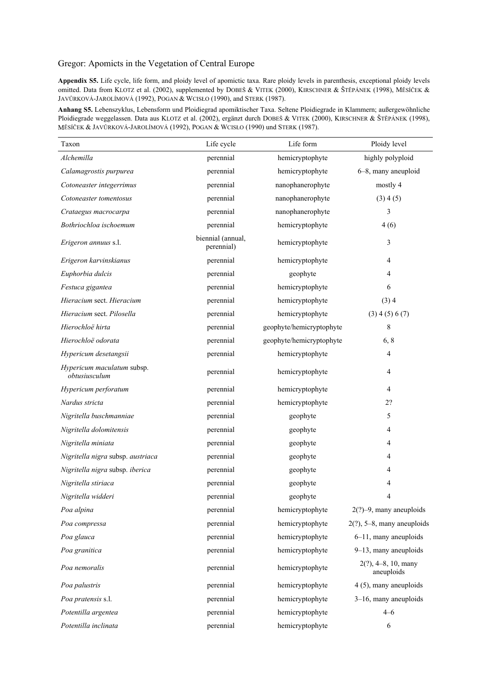# Gregor: Apomicts in the Vegetation of Central Europe

**Appendix S5.** Life cycle, life form, and ploidy level of apomictic taxa. Rare ploidy levels in parenthesis, exceptional ploidy levels omitted. Data from KLOTZ et al. (2002), supplemented by DOBEŠ & VITEK (2000), KIRSCHNER & ŠTĚPÁNEK (1998), MĚSÍČEK & JAVŮRKOVÁ-JAROLÍMOVÁ (1992), POGAN & WCISŁO (1990), and STERK (1987).

**Anhang S5.** Lebenszyklus, Lebensform und Ploidiegrad apomiktischer Taxa. Seltene Ploidiegrade in Klammern; außergewöhnliche Ploidiegrade weggelassen. Data aus KLOTZ et al. (2002), ergänzt durch DOBEŠ & VITEK (2000), KIRSCHNER & ŠTĚPÁNEK (1998), MĚSÍČEK & JAVŮRKOVÁ-JAROLÍMOVÁ (1992), POGAN & WCISŁO (1990) und STERK (1987).

| Taxon                                       | Life cycle                      | Life form                | Ploidy level                         |
|---------------------------------------------|---------------------------------|--------------------------|--------------------------------------|
| Alchemilla                                  | perennial                       | hemicryptophyte          | highly polyploid                     |
| Calamagrostis purpurea                      | perennial                       | hemicryptophyte          | 6-8, many aneuploid                  |
| Cotoneaster integerrimus                    | perennial                       | nanophanerophyte         | mostly 4                             |
| Cotoneaster tomentosus                      | perennial                       | nanophanerophyte         | (3) 4(5)                             |
| Crataegus macrocarpa                        | perennial                       | nanophanerophyte         | 3                                    |
| Bothriochloa ischoemum                      | perennial                       | hemicryptophyte          | 4(6)                                 |
| Erigeron annuus s.l.                        | biennial (annual,<br>perennial) | hemicryptophyte          | 3                                    |
| Erigeron karvinskianus                      | perennial                       | hemicryptophyte          | 4                                    |
| Euphorbia dulcis                            | perennial                       | geophyte                 | 4                                    |
| Festuca gigantea                            | perennial                       | hemicryptophyte          | 6                                    |
| Hieracium sect. Hieracium                   | perennial                       | hemicryptophyte          | (3)4                                 |
| Hieracium sect. Pilosella                   | perennial                       | hemicryptophyte          | $(3)$ 4 (5) 6 (7)                    |
| Hierochloë hirta                            | perennial                       | geophyte/hemicryptophyte | 8                                    |
| Hierochloë odorata                          | perennial                       | geophyte/hemicryptophyte | 6, 8                                 |
| Hypericum desetangsii                       | perennial                       | hemicryptophyte          | 4                                    |
| Hypericum maculatum subsp.<br>obtusiusculum | perennial                       | hemicryptophyte          | 4                                    |
| Hypericum perforatum                        | perennial                       | hemicryptophyte          | 4                                    |
| Nardus stricta                              | perennial                       | hemicryptophyte          | 2?                                   |
| Nigritella buschmanniae                     | perennial                       | geophyte                 | 5                                    |
| Nigritella dolomitensis                     | perennial                       | geophyte                 | 4                                    |
| Nigritella miniata                          | perennial                       | geophyte                 | 4                                    |
| Nigritella nigra subsp. austriaca           | perennial                       | geophyte                 | 4                                    |
| Nigritella nigra subsp. iberica             | perennial                       | geophyte                 | 4                                    |
| Nigritella stiriaca                         | perennial                       | geophyte                 | 4                                    |
| Nigritella widderi                          | perennial                       | geophyte                 | 4                                    |
| Poa alpina                                  | perennial                       | hemicryptophyte          | $2(?)-9$ , many aneuploids           |
| Poa compressa                               | perennial                       | hemicryptophyte          | $2(?)$ , 5-8, many aneuploids        |
| Poa glauca                                  | perennial                       | hemicryptophyte          | 6-11, many aneuploids                |
| Poa granitica                               | perennial                       | hemicryptophyte          | 9-13, many aneuploids                |
| Poa nemoralis                               | perennial                       | hemicryptophyte          | $2(?)$ , 4-8, 10, many<br>aneuploids |
| Poa palustris                               | perennial                       | hemicryptophyte          | 4 (5), many aneuploids               |
| Poa pratensis s.l.                          | perennial                       | hemicryptophyte          | $3-16$ , many aneuploids             |
| Potentilla argentea                         | perennial                       | hemicryptophyte          | $4 - 6$                              |
| Potentilla inclinata                        | perennial                       | hemicryptophyte          | 6                                    |